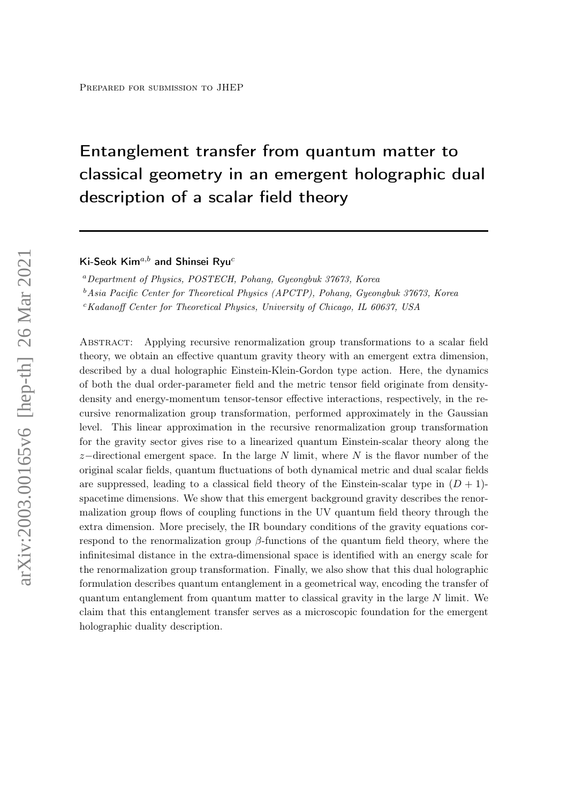# Entanglement transfer from quantum matter to classical geometry in an emergent holographic dual description of a scalar field theory

Ki-Seok Kim<sup>a,b</sup> and Shinsei Ryu<sup>c</sup>

<sup>a</sup>Department of Physics, POSTECH, Pohang, Gyeongbuk 37673, Korea

<sup>b</sup>Asia Pacific Center for Theoretical Physics (APCTP), Pohang, Gyeongbuk 37673, Korea

 $c$ Kadanoff Center for Theoretical Physics, University of Chicago, IL 60637, USA

Abstract: Applying recursive renormalization group transformations to a scalar field theory, we obtain an effective quantum gravity theory with an emergent extra dimension, described by a dual holographic Einstein-Klein-Gordon type action. Here, the dynamics of both the dual order-parameter field and the metric tensor field originate from densitydensity and energy-momentum tensor-tensor effective interactions, respectively, in the recursive renormalization group transformation, performed approximately in the Gaussian level. This linear approximation in the recursive renormalization group transformation for the gravity sector gives rise to a linearized quantum Einstein-scalar theory along the z–directional emergent space. In the large N limit, where N is the flavor number of the original scalar fields, quantum fluctuations of both dynamical metric and dual scalar fields are suppressed, leading to a classical field theory of the Einstein-scalar type in  $(D + 1)$ spacetime dimensions. We show that this emergent background gravity describes the renormalization group flows of coupling functions in the UV quantum field theory through the extra dimension. More precisely, the IR boundary conditions of the gravity equations correspond to the renormalization group  $\beta$ -functions of the quantum field theory, where the infinitesimal distance in the extra-dimensional space is identified with an energy scale for the renormalization group transformation. Finally, we also show that this dual holographic formulation describes quantum entanglement in a geometrical way, encoding the transfer of quantum entanglement from quantum matter to classical gravity in the large N limit. We claim that this entanglement transfer serves as a microscopic foundation for the emergent holographic duality description.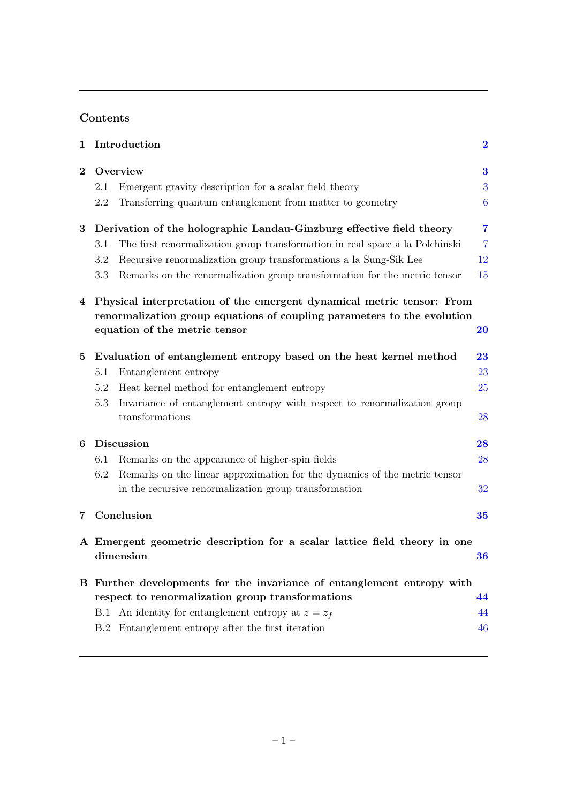# Contents

| $\mathbf 1$                                                            | Introduction                                                                                       | $\bf{2}$       |
|------------------------------------------------------------------------|----------------------------------------------------------------------------------------------------|----------------|
| $\overline{2}$                                                         | Overview                                                                                           | 3              |
|                                                                        | Emergent gravity description for a scalar field theory<br>2.1                                      | 3              |
|                                                                        | Transferring quantum entanglement from matter to geometry<br>2.2                                   | 6              |
| 3                                                                      | Derivation of the holographic Landau-Ginzburg effective field theory                               | 7              |
|                                                                        | The first renormalization group transformation in real space a la Polchinski<br>3.1                | $\overline{7}$ |
|                                                                        | Recursive renormalization group transformations a la Sung-Sik Lee<br>3.2                           | 12             |
|                                                                        | Remarks on the renormalization group transformation for the metric tensor<br>3.3                   | 15             |
| 4                                                                      | Physical interpretation of the emergent dynamical metric tensor: From                              |                |
|                                                                        | renormalization group equations of coupling parameters to the evolution                            |                |
|                                                                        | equation of the metric tensor                                                                      | <b>20</b>      |
| 5                                                                      | Evaluation of entanglement entropy based on the heat kernel method                                 | 23             |
|                                                                        | Entanglement entropy<br>5.1                                                                        | 23             |
|                                                                        | Heat kernel method for entanglement entropy<br>5.2                                                 | 25             |
|                                                                        | Invariance of entanglement entropy with respect to renormalization group<br>5.3<br>transformations | 28             |
| 6                                                                      | Discussion                                                                                         | 28             |
|                                                                        | Remarks on the appearance of higher-spin fields<br>6.1                                             | 28             |
|                                                                        | Remarks on the linear approximation for the dynamics of the metric tensor<br>6.2                   |                |
|                                                                        | in the recursive renormalization group transformation                                              | 32             |
| 7                                                                      | Conclusion                                                                                         | 35             |
|                                                                        | A Emergent geometric description for a scalar lattice field theory in one<br>dimension             | 36             |
| B Further developments for the invariance of entanglement entropy with |                                                                                                    |                |
|                                                                        | respect to renormalization group transformations                                                   | 44             |
|                                                                        | B.1 An identity for entanglement entropy at $z = z_f$                                              | 44             |
|                                                                        | B.2 Entanglement entropy after the first iteration                                                 | 46             |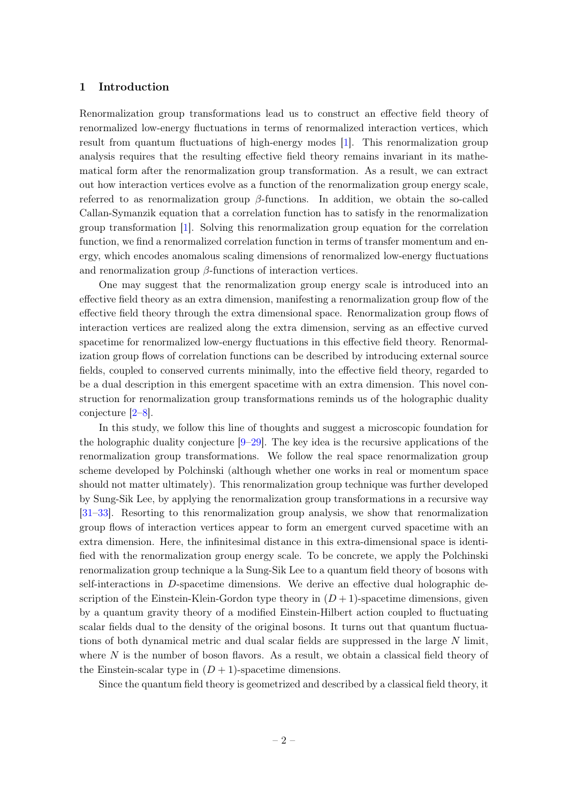#### <span id="page-2-0"></span>1 Introduction

Renormalization group transformations lead us to construct an effective field theory of renormalized low-energy fluctuations in terms of renormalized interaction vertices, which result from quantum fluctuations of high-energy modes [\[1\]](#page-48-0). This renormalization group analysis requires that the resulting effective field theory remains invariant in its mathematical form after the renormalization group transformation. As a result, we can extract out how interaction vertices evolve as a function of the renormalization group energy scale, referred to as renormalization group  $\beta$ -functions. In addition, we obtain the so-called Callan-Symanzik equation that a correlation function has to satisfy in the renormalization group transformation [\[1\]](#page-48-0). Solving this renormalization group equation for the correlation function, we find a renormalized correlation function in terms of transfer momentum and energy, which encodes anomalous scaling dimensions of renormalized low-energy fluctuations and renormalization group  $\beta$ -functions of interaction vertices.

One may suggest that the renormalization group energy scale is introduced into an effective field theory as an extra dimension, manifesting a renormalization group flow of the effective field theory through the extra dimensional space. Renormalization group flows of interaction vertices are realized along the extra dimension, serving as an effective curved spacetime for renormalized low-energy fluctuations in this effective field theory. Renormalization group flows of correlation functions can be described by introducing external source fields, coupled to conserved currents minimally, into the effective field theory, regarded to be a dual description in this emergent spacetime with an extra dimension. This novel construction for renormalization group transformations reminds us of the holographic duality conjecture [\[2](#page-48-1)[–8\]](#page-48-2).

In this study, we follow this line of thoughts and suggest a microscopic foundation for the holographic duality conjecture [\[9–](#page-48-3)[29\]](#page-49-0). The key idea is the recursive applications of the renormalization group transformations. We follow the real space renormalization group scheme developed by Polchinski (although whether one works in real or momentum space should not matter ultimately). This renormalization group technique was further developed by Sung-Sik Lee, by applying the renormalization group transformations in a recursive way [\[31–](#page-49-1)[33\]](#page-49-2). Resorting to this renormalization group analysis, we show that renormalization group flows of interaction vertices appear to form an emergent curved spacetime with an extra dimension. Here, the infinitesimal distance in this extra-dimensional space is identified with the renormalization group energy scale. To be concrete, we apply the Polchinski renormalization group technique a la Sung-Sik Lee to a quantum field theory of bosons with self-interactions in D-spacetime dimensions. We derive an effective dual holographic description of the Einstein-Klein-Gordon type theory in  $(D+1)$ -spacetime dimensions, given by a quantum gravity theory of a modified Einstein-Hilbert action coupled to fluctuating scalar fields dual to the density of the original bosons. It turns out that quantum fluctuations of both dynamical metric and dual scalar fields are suppressed in the large  $N$  limit, where  $N$  is the number of boson flavors. As a result, we obtain a classical field theory of the Einstein-scalar type in  $(D+1)$ -spacetime dimensions.

Since the quantum field theory is geometrized and described by a classical field theory, it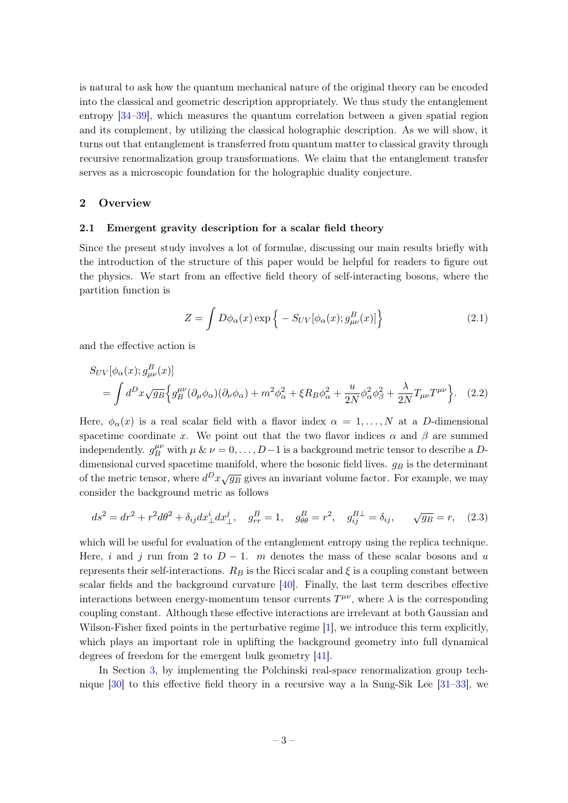is natural to ask how the quantum mechanical nature of the original theory can be encoded into the classical and geometric description appropriately. We thus study the entanglement entropy [\[34–](#page-49-3)[39\]](#page-50-0), which measures the quantum correlation between a given spatial region and its complement, by utilizing the classical holographic description. As we will show, it turns out that entanglement is transferred from quantum matter to classical gravity through recursive renormalization group transformations. We claim that the entanglement transfer serves as a microscopic foundation for the holographic duality conjecture.

#### <span id="page-3-0"></span>2 Overview

#### <span id="page-3-1"></span>2.1 Emergent gravity description for a scalar field theory

Since the present study involves a lot of formulae, discussing our main results briefly with the introduction of the structure of this paper would be helpful for readers to figure out the physics. We start from an effective field theory of self-interacting bosons, where the partition function is

$$
Z = \int D\phi_{\alpha}(x) \exp\left\{-S_{UV}[\phi_{\alpha}(x); g^{B}_{\mu\nu}(x)]\right\}
$$
(2.1)

and the effective action is

$$
S_{UV}[\phi_{\alpha}(x); g^{B}_{\mu\nu}(x)]
$$
  
= 
$$
\int d^{D}x \sqrt{g_{B}} \Big\{ g^{\mu\nu}_{B}(\partial_{\mu}\phi_{\alpha})(\partial_{\nu}\phi_{\alpha}) + m^{2}\phi_{\alpha}^{2} + \xi R_{B}\phi_{\alpha}^{2} + \frac{u}{2N}\phi_{\alpha}^{2}\phi_{\beta}^{2} + \frac{\lambda}{2N}T_{\mu\nu}T^{\mu\nu} \Big\}.
$$
 (2.2)

Here,  $\phi_{\alpha}(x)$  is a real scalar field with a flavor index  $\alpha = 1, \ldots, N$  at a D-dimensional spacetime coordinate x. We point out that the two flavor indices  $\alpha$  and  $\beta$  are summed independently.  $g_B^{\mu\nu}$  with  $\mu \& \nu = 0, \ldots, D-1$  is a background metric tensor to describe a Ddimensional curved spacetime manifold, where the bosonic field lives.  $g_B$  is the determinant of the metric tensor, where  $d^D x \sqrt{g_B}$  gives an invariant volume factor. For example, we may consider the background metric as follows

$$
ds^{2} = dr^{2} + r^{2}d\theta^{2} + \delta_{ij}dx^{i}_{\perp}dx^{j}_{\perp}, \quad g_{rr}^{B} = 1, \quad g_{\theta\theta}^{B} = r^{2}, \quad g_{ij}^{B\perp} = \delta_{ij}, \qquad \sqrt{g_{B}} = r, \quad (2.3)
$$

which will be useful for evaluation of the entanglement entropy using the replica technique. Here, i and j run from 2 to  $D-1$ . m denotes the mass of these scalar bosons and u represents their self-interactions.  $R_B$  is the Ricci scalar and  $\xi$  is a coupling constant between scalar fields and the background curvature  $[40]$ . Finally, the last term describes effective interactions between energy-momentum tensor currents  $T^{\mu\nu}$ , where  $\lambda$  is the corresponding coupling constant. Although these effective interactions are irrelevant at both Gaussian and Wilson-Fisher fixed points in the perturbative regime [\[1\]](#page-48-0), we introduce this term explicitly, which plays an important role in uplifting the background geometry into full dynamical degrees of freedom for the emergent bulk geometry [\[41\]](#page-50-2).

In Section [3,](#page-7-0) by implementing the Polchinski real-space renormalization group technique [\[30\]](#page-49-4) to this effective field theory in a recursive way a la Sung-Sik Lee [\[31–](#page-49-1)[33\]](#page-49-2), we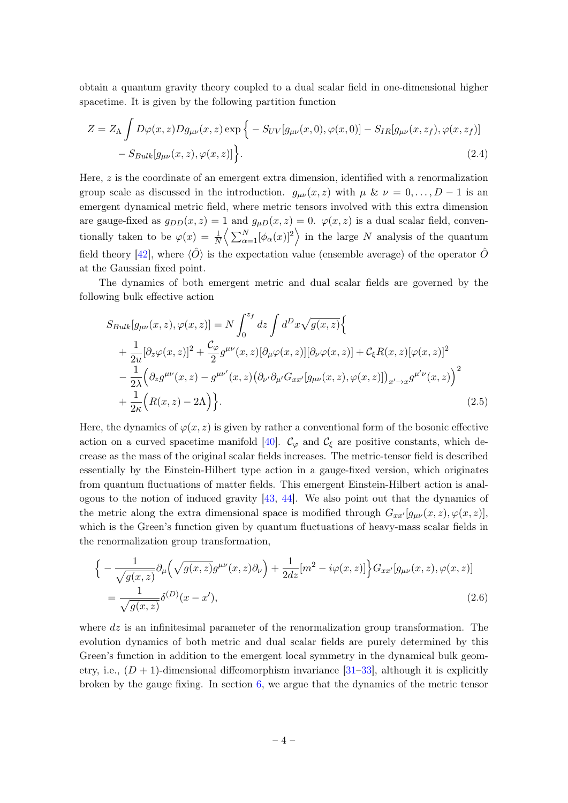obtain a quantum gravity theory coupled to a dual scalar field in one-dimensional higher spacetime. It is given by the following partition function

<span id="page-4-0"></span>
$$
Z = Z_{\Lambda} \int D\varphi(x, z) Dg_{\mu\nu}(x, z) \exp \Big\{ -S_{UV}[g_{\mu\nu}(x, 0), \varphi(x, 0)] - S_{IR}[g_{\mu\nu}(x, z_f), \varphi(x, z_f)] - S_{Bulk}[g_{\mu\nu}(x, z), \varphi(x, z)] \Big\}.
$$
\n(2.4)

Here,  $z$  is the coordinate of an emergent extra dimension, identified with a renormalization group scale as discussed in the introduction.  $g_{\mu\nu}(x, z)$  with  $\mu \& \nu = 0, \ldots, D-1$  is an emergent dynamical metric field, where metric tensors involved with this extra dimension are gauge-fixed as  $g_{DD}(x, z) = 1$  and  $g_{\mu D}(x, z) = 0$ .  $\varphi(x, z)$  is a dual scalar field, conventionally taken to be  $\varphi(x) = \frac{1}{N} \left\langle \sum_{\alpha=1}^{N} [\phi_{\alpha}(x)]^2 \right\rangle$  in the large N analysis of the quantum field theory [\[42\]](#page-50-3), where  $\langle \hat{O} \rangle$  is the expectation value (ensemble average) of the operator  $\hat{O}$ at the Gaussian fixed point.

The dynamics of both emergent metric and dual scalar fields are governed by the following bulk effective action

<span id="page-4-1"></span>
$$
S_{Bulk}[g_{\mu\nu}(x,z),\varphi(x,z)] = N \int_0^{z_f} dz \int d^D x \sqrt{g(x,z)} \Big\{ + \frac{1}{2u} [\partial_z \varphi(x,z)]^2 + \frac{C_{\varphi}}{2} g^{\mu\nu}(x,z) [\partial_\mu \varphi(x,z)][\partial_\nu \varphi(x,z)] + C_{\xi} R(x,z) [\varphi(x,z)]^2 - \frac{1}{2\lambda} (\partial_z g^{\mu\nu}(x,z) - g^{\mu\nu'}(x,z) (\partial_{\nu'} \partial_{\mu'} G_{xx'} [g_{\mu\nu}(x,z), \varphi(x,z)])_{x'\to x} g^{\mu'\nu}(x,z) \Big)^2 + \frac{1}{2\kappa} (R(x,z) - 2\Lambda) \Big\}.
$$
 (2.5)

Here, the dynamics of  $\varphi(x, z)$  is given by rather a conventional form of the bosonic effective action on a curved spacetime manifold [\[40\]](#page-50-1).  $\mathcal{C}_{\varphi}$  and  $\mathcal{C}_{\xi}$  are positive constants, which decrease as the mass of the original scalar fields increases. The metric-tensor field is described essentially by the Einstein-Hilbert type action in a gauge-fixed version, which originates from quantum fluctuations of matter fields. This emergent Einstein-Hilbert action is analogous to the notion of induced gravity  $[43, 44]$  $[43, 44]$  $[43, 44]$ . We also point out that the dynamics of the metric along the extra dimensional space is modified through  $G_{xx'}[g_{\mu\nu}(x, z), \varphi(x, z)],$ which is the Green's function given by quantum fluctuations of heavy-mass scalar fields in the renormalization group transformation,

$$
\begin{split} \Big\{ -\frac{1}{\sqrt{g(x,z)}} \partial_{\mu} \Big( \sqrt{g(x,z)} g^{\mu\nu}(x,z) \partial_{\nu} \Big) + \frac{1}{2dz} [m^2 - i\varphi(x,z)] \Big\} G_{xx'} [g_{\mu\nu}(x,z), \varphi(x,z)] \\ &= \frac{1}{\sqrt{g(x,z)}} \delta^{(D)}(x-x'), \end{split} \tag{2.6}
$$

where  $dz$  is an infinitesimal parameter of the renormalization group transformation. The evolution dynamics of both metric and dual scalar fields are purely determined by this Green's function in addition to the emergent local symmetry in the dynamical bulk geometry, i.e.,  $(D + 1)$ -dimensional diffeomorphism invariance [\[31](#page-49-1)[–33\]](#page-49-2), although it is explicitly broken by the gauge fixing. In section [6,](#page-28-1) we argue that the dynamics of the metric tensor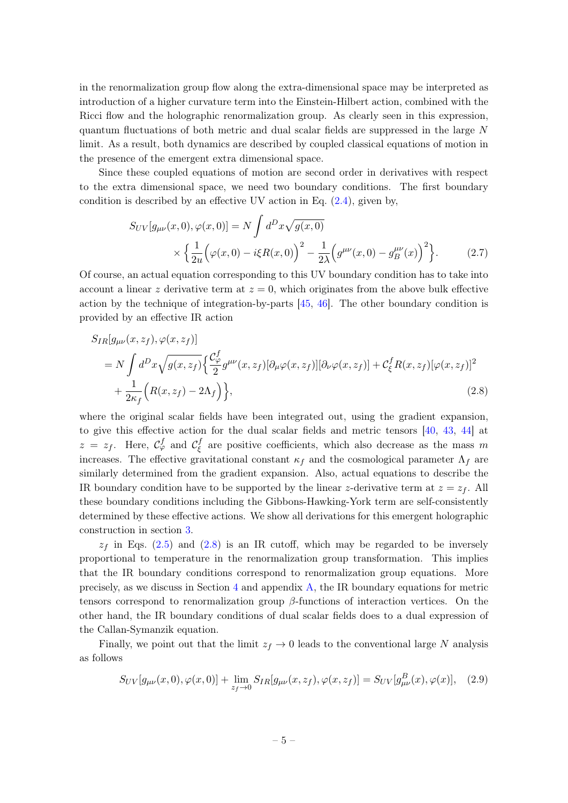in the renormalization group flow along the extra-dimensional space may be interpreted as introduction of a higher curvature term into the Einstein-Hilbert action, combined with the Ricci flow and the holographic renormalization group. As clearly seen in this expression, quantum fluctuations of both metric and dual scalar fields are suppressed in the large N limit. As a result, both dynamics are described by coupled classical equations of motion in the presence of the emergent extra dimensional space.

Since these coupled equations of motion are second order in derivatives with respect to the extra dimensional space, we need two boundary conditions. The first boundary condition is described by an effective UV action in Eq.  $(2.4)$ , given by,

<span id="page-5-0"></span>
$$
S_{UV}[g_{\mu\nu}(x,0),\varphi(x,0)] = N \int d^D x \sqrt{g(x,0)} \times \left\{ \frac{1}{2u} \Big( \varphi(x,0) - i\xi R(x,0) \Big)^2 - \frac{1}{2\lambda} \Big( g^{\mu\nu}(x,0) - g_B^{\mu\nu}(x) \Big)^2 \right\}.
$$
 (2.7)

Of course, an actual equation corresponding to this UV boundary condition has to take into account a linear z derivative term at  $z = 0$ , which originates from the above bulk effective action by the technique of integration-by-parts [\[45,](#page-50-6) [46\]](#page-50-7). The other boundary condition is provided by an effective IR action

$$
S_{IR}[g_{\mu\nu}(x,z_f),\varphi(x,z_f)]
$$
  
=  $N \int d^D x \sqrt{g(x,z_f)} \left\{ \frac{\mathcal{C}^f_{\varphi}}{2} g^{\mu\nu}(x,z_f) [\partial_{\mu}\varphi(x,z_f)][\partial_{\nu}\varphi(x,z_f)] + \mathcal{C}^f_{\xi} R(x,z_f) [\varphi(x,z_f)]^2$   
+  $\frac{1}{2\kappa_f} \left( R(x,z_f) - 2\Lambda_f \right) \right\},$  (2.8)

where the original scalar fields have been integrated out, using the gradient expansion, to give this effective action for the dual scalar fields and metric tensors [\[40,](#page-50-1) [43,](#page-50-4) [44\]](#page-50-5) at  $z = z_f$ . Here,  $\mathcal{C}_{\varphi}^f$  and  $\mathcal{C}_{\xi}^f$  $\zeta$  are positive coefficients, which also decrease as the mass m increases. The effective gravitational constant  $\kappa_f$  and the cosmological parameter  $\Lambda_f$  are similarly determined from the gradient expansion. Also, actual equations to describe the IR boundary condition have to be supported by the linear z-derivative term at  $z = z_f$ . All these boundary conditions including the Gibbons-Hawking-York term are self-consistently determined by these effective actions. We show all derivations for this emergent holographic construction in section [3.](#page-7-0)

 $z_f$  in Eqs. [\(2.5\)](#page-4-1) and [\(2.8\)](#page-5-0) is an IR cutoff, which may be regarded to be inversely proportional to temperature in the renormalization group transformation. This implies that the IR boundary conditions correspond to renormalization group equations. More precisely, as we discuss in Section [4](#page-20-0) and appendix [A,](#page-36-0) the IR boundary equations for metric tensors correspond to renormalization group  $\beta$ -functions of interaction vertices. On the other hand, the IR boundary conditions of dual scalar fields does to a dual expression of the Callan-Symanzik equation.

Finally, we point out that the limit  $z_f \rightarrow 0$  leads to the conventional large N analysis as follows

$$
S_{UV}[g_{\mu\nu}(x,0),\varphi(x,0)] + \lim_{z_f \to 0} S_{IR}[g_{\mu\nu}(x,z_f),\varphi(x,z_f)] = S_{UV}[g_{\mu\nu}^B(x),\varphi(x)], \quad (2.9)
$$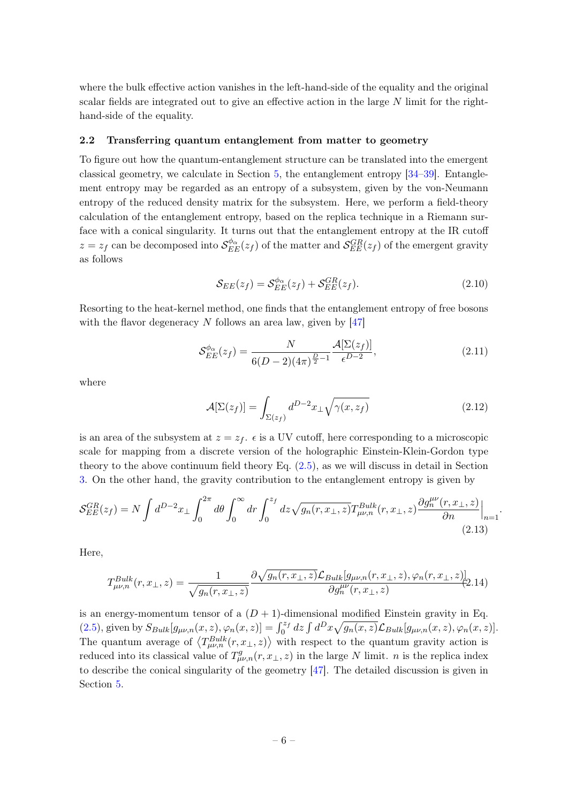where the bulk effective action vanishes in the left-hand-side of the equality and the original scalar fields are integrated out to give an effective action in the large N limit for the righthand-side of the equality.

#### <span id="page-6-0"></span>2.2 Transferring quantum entanglement from matter to geometry

To figure out how the quantum-entanglement structure can be translated into the emergent classical geometry, we calculate in Section [5,](#page-23-0) the entanglement entropy [\[34–](#page-49-3)[39\]](#page-50-0). Entanglement entropy may be regarded as an entropy of a subsystem, given by the von-Neumann entropy of the reduced density matrix for the subsystem. Here, we perform a field-theory calculation of the entanglement entropy, based on the replica technique in a Riemann surface with a conical singularity. It turns out that the entanglement entropy at the IR cutoff  $z = z_f$  can be decomposed into  $\mathcal{S}_{EE}^{\phi_\alpha}(z_f)$  of the matter and  $\mathcal{S}_{EE}^{GR}(z_f)$  of the emergent gravity as follows

$$
\mathcal{S}_{EE}(z_f) = \mathcal{S}_{EE}^{\phi_\alpha}(z_f) + \mathcal{S}_{EE}^{GR}(z_f). \tag{2.10}
$$

Resorting to the heat-kernel method, one finds that the entanglement entropy of free bosons with the flavor degeneracy  $N$  follows an area law, given by [\[47\]](#page-50-8)

$$
\mathcal{S}_{EE}^{\phi_{\alpha}}(z_f) = \frac{N}{6(D-2)(4\pi)^{\frac{D}{2}-1}} \frac{\mathcal{A}[\Sigma(z_f)]}{\epsilon^{D-2}},
$$
\n(2.11)

where

$$
\mathcal{A}[\Sigma(z_f)] = \int_{\Sigma(z_f)} d^{D-2}x_\perp \sqrt{\gamma(x, z_f)}
$$
\n(2.12)

is an area of the subsystem at  $z = z_f$ .  $\epsilon$  is a UV cutoff, here corresponding to a microscopic scale for mapping from a discrete version of the holographic Einstein-Klein-Gordon type theory to the above continuum field theory Eq. [\(2.5\)](#page-4-1), as we will discuss in detail in Section [3.](#page-7-0) On the other hand, the gravity contribution to the entanglement entropy is given by

$$
\mathcal{S}_{EE}^{GR}(z_f) = N \int d^{D-2}x_\perp \int_0^{2\pi} d\theta \int_0^\infty dr \int_0^{z_f} dz \sqrt{g_n(r, x_\perp, z)} T_{\mu\nu, n}^{Bulk}(r, x_\perp, z) \frac{\partial g_n^{\mu\nu}(r, x_\perp, z)}{\partial n} \Big|_{n=1}.
$$
\n(2.13)

Here,

$$
T_{\mu\nu,n}^{Bulk}(r,x_\perp,z) = \frac{1}{\sqrt{g_n(r,x_\perp,z)}} \frac{\partial \sqrt{g_n(r,x_\perp,z)} \mathcal{L}_{Bulk}[g_{\mu\nu,n}(r,x_\perp,z),\varphi_n(r,x_\perp,z)]}{\partial g_n^{\mu\nu}(r,x_\perp,z)} (2.14)
$$

is an energy-momentum tensor of a  $(D + 1)$ -dimensional modified Einstein gravity in Eq. [\(2.5\)](#page-4-1), given by  $S_{Bulk}[g_{\mu\nu,n}(x,z), \varphi_n(x,z)] = \int_0^{z_f} dz \int d^D x \sqrt{g_n(x,z)} \mathcal{L}_{Bulk}[g_{\mu\nu,n}(x,z), \varphi_n(x,z)]$ . The quantum average of  $\langle T_{\mu\nu,n}^{Bulk}(r,x_{\perp},z) \rangle$  with respect to the quantum gravity action is reduced into its classical value of  $T^g_{\mu\nu,n}(r,x_\perp,z)$  in the large N limit. n is the replica index to describe the conical singularity of the geometry [\[47\]](#page-50-8). The detailed discussion is given in Section [5.](#page-23-0)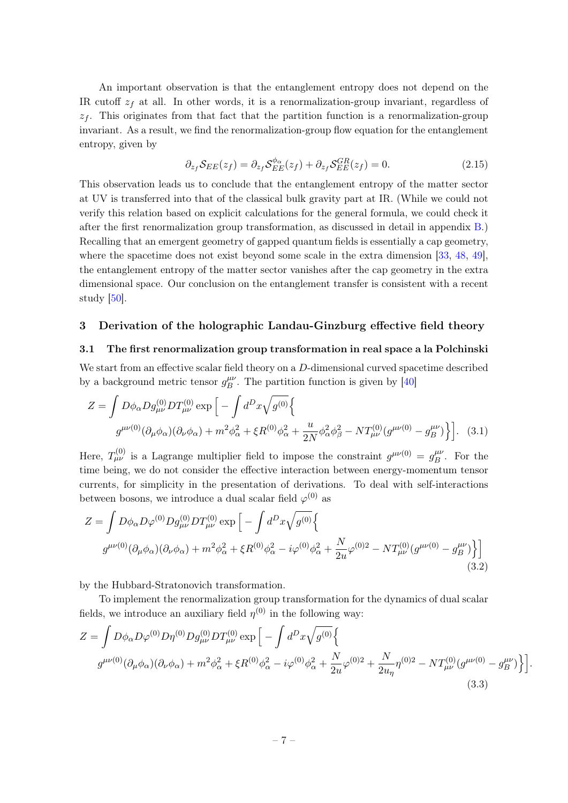An important observation is that the entanglement entropy does not depend on the IR cutoff  $z_f$  at all. In other words, it is a renormalization-group invariant, regardless of  $z<sub>f</sub>$ . This originates from that fact that the partition function is a renormalization-group invariant. As a result, we find the renormalization-group flow equation for the entanglement entropy, given by

$$
\partial_{z_f} S_{EE}(z_f) = \partial_{z_f} S_{EE}^{\phi_\alpha}(z_f) + \partial_{z_f} S_{EE}^{GR}(z_f) = 0. \tag{2.15}
$$

This observation leads us to conclude that the entanglement entropy of the matter sector at UV is transferred into that of the classical bulk gravity part at IR. (While we could not verify this relation based on explicit calculations for the general formula, we could check it after the first renormalization group transformation, as discussed in detail in appendix [B.](#page-44-0)) Recalling that an emergent geometry of gapped quantum fields is essentially a cap geometry, where the spacetime does not exist beyond some scale in the extra dimension [\[33,](#page-49-2) [48,](#page-50-9) [49\]](#page-50-10), the entanglement entropy of the matter sector vanishes after the cap geometry in the extra dimensional space. Our conclusion on the entanglement transfer is consistent with a recent study [\[50\]](#page-50-11).

#### <span id="page-7-0"></span>3 Derivation of the holographic Landau-Ginzburg effective field theory

#### <span id="page-7-1"></span>3.1 The first renormalization group transformation in real space a la Polchinski

We start from an effective scalar field theory on a D-dimensional curved spacetime described by a background metric tensor  $g_R^{\mu\nu}$  $\frac{\mu\nu}{B}$ . The partition function is given by [\[40\]](#page-50-1)

$$
Z = \int D\phi_{\alpha} D g_{\mu\nu}^{(0)} D T_{\mu\nu}^{(0)} \exp \left[ -\int d^D x \sqrt{g^{(0)}} \right]
$$
  

$$
g^{\mu\nu(0)} (\partial_{\mu} \phi_{\alpha}) (\partial_{\nu} \phi_{\alpha}) + m^2 \phi_{\alpha}^2 + \xi R^{(0)} \phi_{\alpha}^2 + \frac{u}{2N} \phi_{\alpha}^2 \phi_{\beta}^2 - N T_{\mu\nu}^{(0)} (g^{\mu\nu(0)} - g_{B}^{\mu\nu}) \right].
$$
 (3.1)

Here,  $T_{\mu\nu}^{(0)}$  is a Lagrange multiplier field to impose the constraint  $g^{\mu\nu(0)} = g_B^{\mu\nu}$  $B^{\mu\nu}$ . For the time being, we do not consider the effective interaction between energy-momentum tensor currents, for simplicity in the presentation of derivations. To deal with self-interactions between bosons, we introduce a dual scalar field  $\varphi^{(0)}$  as

$$
Z = \int D\phi_{\alpha} D\varphi^{(0)} D g_{\mu\nu}^{(0)} D T_{\mu\nu}^{(0)} \exp \left[ -\int d^D x \sqrt{g^{(0)}} \left\{ \right. g^{\mu\nu(0)} (\partial_{\mu}\phi_{\alpha})(\partial_{\nu}\phi_{\alpha}) + m^2 \phi_{\alpha}^2 + \xi R^{(0)} \phi_{\alpha}^2 - i \varphi^{(0)} \phi_{\alpha}^2 + \frac{N}{2u} \varphi^{(0)2} - N T_{\mu\nu}^{(0)} (g^{\mu\nu(0)} - g_B^{\mu\nu}) \right\} \right]
$$
(3.2)

by the Hubbard-Stratonovich transformation.

To implement the renormalization group transformation for the dynamics of dual scalar fields, we introduce an auxiliary field  $\eta^{(0)}$  in the following way:

$$
Z = \int D\phi_{\alpha} D\varphi^{(0)} D\eta^{(0)} Dg_{\mu\nu}^{(0)} DT_{\mu\nu}^{(0)} \exp \left[ -\int d^D x \sqrt{g^{(0)}} \left\{ g^{\mu\nu(0)} (\partial_{\mu}\phi_{\alpha})(\partial_{\nu}\phi_{\alpha}) + m^2 \phi_{\alpha}^2 + \xi R^{(0)} \phi_{\alpha}^2 - i\varphi^{(0)} \phi_{\alpha}^2 + \frac{N}{2u} \varphi^{(0)2} + \frac{N}{2u_{\eta}} \eta^{(0)2} - NT_{\mu\nu}^{(0)} (g^{\mu\nu(0)} - g_B^{\mu\nu}) \right\} \right].
$$
\n(3.3)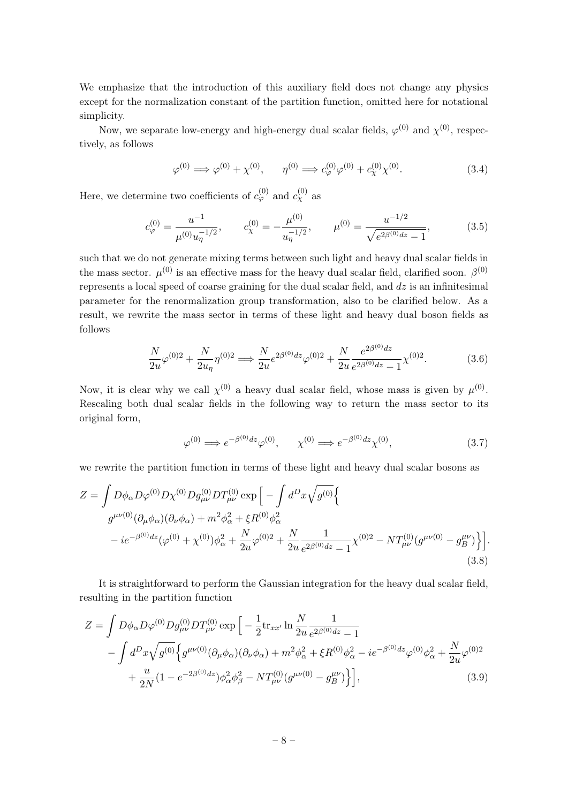We emphasize that the introduction of this auxiliary field does not change any physics except for the normalization constant of the partition function, omitted here for notational simplicity.

Now, we separate low-energy and high-energy dual scalar fields,  $\varphi^{(0)}$  and  $\chi^{(0)}$ , respectively, as follows

$$
\varphi^{(0)} \implies \varphi^{(0)} + \chi^{(0)}, \qquad \eta^{(0)} \implies c_{\varphi}^{(0)} \varphi^{(0)} + c_{\chi}^{(0)} \chi^{(0)}.
$$
\n(3.4)

Here, we determine two coefficients of  $c_{\varphi}^{(0)}$  and  $c_{\chi}^{(0)}$  as

$$
c_{\varphi}^{(0)} = \frac{u^{-1}}{\mu^{(0)} u_{\eta}^{-1/2}}, \qquad c_{\chi}^{(0)} = -\frac{\mu^{(0)}}{u_{\eta}^{-1/2}}, \qquad \mu^{(0)} = \frac{u^{-1/2}}{\sqrt{e^{2\beta^{(0)}dz} - 1}},
$$
(3.5)

such that we do not generate mixing terms between such light and heavy dual scalar fields in the mass sector.  $\mu^{(0)}$  is an effective mass for the heavy dual scalar field, clarified soon.  $\beta^{(0)}$ represents a local speed of coarse graining for the dual scalar field, and  $dz$  is an infinitesimal parameter for the renormalization group transformation, also to be clarified below. As a result, we rewrite the mass sector in terms of these light and heavy dual boson fields as follows

$$
\frac{N}{2u}\varphi^{(0)2} + \frac{N}{2u_{\eta}}\eta^{(0)2} \Longrightarrow \frac{N}{2u}e^{2\beta^{(0)}dz}\varphi^{(0)2} + \frac{N}{2u}\frac{e^{2\beta^{(0)}dz}}{e^{2\beta^{(0)}dz} - 1}\chi^{(0)2}.
$$
 (3.6)

Now, it is clear why we call  $\chi^{(0)}$  a heavy dual scalar field, whose mass is given by  $\mu^{(0)}$ . Rescaling both dual scalar fields in the following way to return the mass sector to its original form,

$$
\varphi^{(0)} \Longrightarrow e^{-\beta^{(0)}dz} \varphi^{(0)}, \qquad \chi^{(0)} \Longrightarrow e^{-\beta^{(0)}dz} \chi^{(0)}, \tag{3.7}
$$

we rewrite the partition function in terms of these light and heavy dual scalar bosons as

$$
Z = \int D\phi_{\alpha}D\varphi^{(0)}D\chi^{(0)}Dg_{\mu\nu}^{(0)}DT_{\mu\nu}^{(0)}\exp\left[-\int d^Dx\sqrt{g^{(0)}}\right]
$$
  
\n
$$
g^{\mu\nu(0)}(\partial_{\mu}\phi_{\alpha})(\partial_{\nu}\phi_{\alpha}) + m^2\phi_{\alpha}^2 + \xi R^{(0)}\phi_{\alpha}^2
$$
  
\n
$$
-ie^{-\beta^{(0)}dz}(\varphi^{(0)} + \chi^{(0)})\phi_{\alpha}^2 + \frac{N}{2u}\varphi^{(0)2} + \frac{N}{2u}\frac{1}{e^{2\beta^{(0)}dz} - 1}\chi^{(0)2} - NT_{\mu\nu}^{(0)}(g^{\mu\nu(0)} - g_B^{\mu\nu})\Big\} \Big].
$$
\n(3.8)

It is straightforward to perform the Gaussian integration for the heavy dual scalar field, resulting in the partition function

$$
Z = \int D\phi_{\alpha} D\varphi^{(0)} D g_{\mu\nu}^{(0)} D T_{\mu\nu}^{(0)} \exp \left[ -\frac{1}{2} \text{tr}_{xx'} \ln \frac{N}{2u} \frac{1}{e^{2\beta^{(0)}dz} - 1} \right. \\ - \int d^D x \sqrt{g^{(0)}} \Big\{ g^{\mu\nu(0)} (\partial_{\mu} \phi_{\alpha}) (\partial_{\nu} \phi_{\alpha}) + m^2 \phi_{\alpha}^2 + \xi R^{(0)} \phi_{\alpha}^2 - ie^{-\beta^{(0)}dz} \varphi^{(0)} \phi_{\alpha}^2 + \frac{N}{2u} \varphi^{(0)2} \right. \\ + \frac{u}{2N} (1 - e^{-2\beta^{(0)}dz}) \phi_{\alpha}^2 \phi_{\beta}^2 - N T_{\mu\nu}^{(0)} \Big(g^{\mu\nu(0)} - g_{B}^{\mu\nu} \Big) \Big\} \Big], \tag{3.9}
$$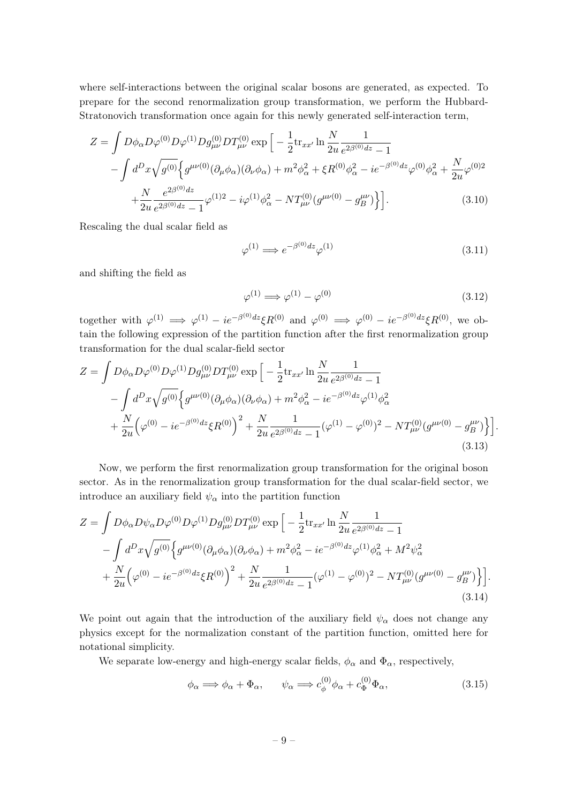where self-interactions between the original scalar bosons are generated, as expected. To prepare for the second renormalization group transformation, we perform the Hubbard-Stratonovich transformation once again for this newly generated self-interaction term,

$$
Z = \int D\phi_{\alpha}D\varphi^{(0)}D\varphi^{(1)}Dg_{\mu\nu}^{(0)}DT_{\mu\nu}^{(0)}\exp\left[-\frac{1}{2}\text{tr}_{xx'}\ln\frac{N}{2u}\frac{1}{e^{2\beta^{(0)}dz}-1}\right.-\int d^{D}x\sqrt{g^{(0)}}\Big\{g^{\mu\nu(0)}(\partial_{\mu}\phi_{\alpha})(\partial_{\nu}\phi_{\alpha}) + m^{2}\phi_{\alpha}^{2} + \xi R^{(0)}\phi_{\alpha}^{2} - ie^{-\beta^{(0)}dz}\varphi^{(0)}\phi_{\alpha}^{2} + \frac{N}{2u}\varphi^{(0)2}\right.+\frac{N}{2u}\frac{e^{2\beta^{(0)}dz}}{e^{2\beta^{(0)}dz}-1}\varphi^{(1)2} - i\varphi^{(1)}\phi_{\alpha}^{2} - NT_{\mu\nu}^{(0)}(g^{\mu\nu(0)} - g_{B}^{\mu\nu})\Big\} \Big].
$$
\n(3.10)

Rescaling the dual scalar field as

$$
\varphi^{(1)} \Longrightarrow e^{-\beta^{(0)}dz} \varphi^{(1)} \tag{3.11}
$$

and shifting the field as

$$
\varphi^{(1)} \Longrightarrow \varphi^{(1)} - \varphi^{(0)} \tag{3.12}
$$

together with  $\varphi^{(1)} \implies \varphi^{(1)} - ie^{-\beta^{(0)}dz}\xi R^{(0)}$  and  $\varphi^{(0)} \implies \varphi^{(0)} - ie^{-\beta^{(0)}dz}\xi R^{(0)}$ , we obtain the following expression of the partition function after the first renormalization group transformation for the dual scalar-field sector

$$
Z = \int D\phi_{\alpha}D\varphi^{(0)}D\varphi^{(1)}Dg_{\mu\nu}^{(0)}DT_{\mu\nu}^{(0)}\exp\left[-\frac{1}{2}\text{tr}_{xx'}\ln\frac{N}{2u}\frac{1}{e^{2\beta^{(0)}dz}-1}\right.-\int d^{D}x\sqrt{g^{(0)}}\Big\{g^{\mu\nu(0)}(\partial_{\mu}\phi_{\alpha})(\partial_{\nu}\phi_{\alpha}) + m^{2}\phi_{\alpha}^{2} - ie^{-\beta^{(0)}dz}\varphi^{(1)}\phi_{\alpha}^{2}\right.+\frac{N}{2u}\Big(\varphi^{(0)} - ie^{-\beta^{(0)}dz}\xi R^{(0)}\Big)^{2} + \frac{N}{2u}\frac{1}{e^{2\beta^{(0)}dz}-1}(\varphi^{(1)} - \varphi^{(0)})^{2} - NT_{\mu\nu}^{(0)}(g^{\mu\nu(0)} - g_{B}^{\mu\nu})\Big\}\Big].
$$
\n(3.13)

Now, we perform the first renormalization group transformation for the original boson sector. As in the renormalization group transformation for the dual scalar-field sector, we introduce an auxiliary field  $\psi_{\alpha}$  into the partition function

$$
Z = \int D\phi_{\alpha}D\psi_{\alpha}D\varphi^{(0)}D\varphi^{(1)}Dg_{\mu\nu}^{(0)}DT_{\mu\nu}^{(0)}\exp\left[-\frac{1}{2}\text{tr}_{xx'}\ln\frac{N}{2u}\frac{1}{e^{2\beta^{(0)}dz}-1}\right.-\int d^{D}x\sqrt{g^{(0)}}\left\{g^{\mu\nu(0)}(\partial_{\mu}\phi_{\alpha})(\partial_{\nu}\phi_{\alpha})+m^{2}\phi_{\alpha}^{2}-ie^{-\beta^{(0)}dz}\varphi^{(1)}\phi_{\alpha}^{2}+M^{2}\psi_{\alpha}^{2}\right.+\frac{N}{2u}\left(\varphi^{(0)}-ie^{-\beta^{(0)}dz}\xi R^{(0)}\right)^{2}+\frac{N}{2u}\frac{1}{e^{2\beta^{(0)}dz}-1}(\varphi^{(1)}-\varphi^{(0)})^{2}-NT_{\mu\nu}^{(0)}(g^{\mu\nu(0)}-g_{B}^{\mu\nu})\right\}].
$$
\n(3.14)

We point out again that the introduction of the auxiliary field  $\psi_{\alpha}$  does not change any physics except for the normalization constant of the partition function, omitted here for notational simplicity.

We separate low-energy and high-energy scalar fields,  $\phi_{\alpha}$  and  $\Phi_{\alpha}$ , respectively,

$$
\phi_{\alpha} \Longrightarrow \phi_{\alpha} + \Phi_{\alpha}, \qquad \psi_{\alpha} \Longrightarrow c_{\phi}^{(0)} \phi_{\alpha} + c_{\Phi}^{(0)} \Phi_{\alpha}, \tag{3.15}
$$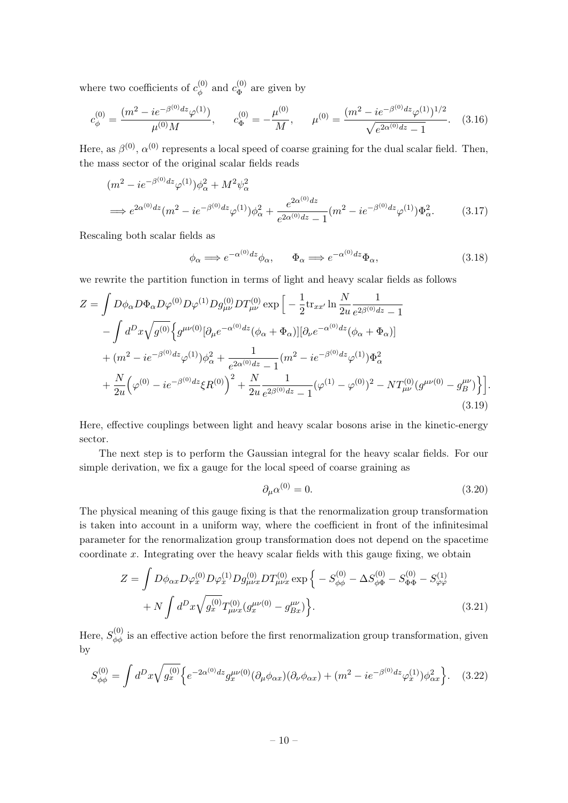where two coefficients of  $c_{\phi}^{(0)}$  $c^{(0)}_{\phi}$  and  $c^{(0)}_{\Phi}$  $\mathcal{L}_{\Phi}^{(0)}$  are given by

$$
c_{\phi}^{(0)} = \frac{(m^2 - ie^{-\beta^{(0)}dz}\varphi^{(1)})}{\mu^{(0)}M}, \qquad c_{\Phi}^{(0)} = -\frac{\mu^{(0)}}{M}, \qquad \mu^{(0)} = \frac{(m^2 - ie^{-\beta^{(0)}dz}\varphi^{(1)})^{1/2}}{\sqrt{e^{2\alpha^{(0)}dz} - 1}}.
$$
 (3.16)

Here, as  $\beta^{(0)}$ ,  $\alpha^{(0)}$  represents a local speed of coarse graining for the dual scalar field. Then, the mass sector of the original scalar fields reads

$$
(m^2 - ie^{-\beta^{(0)}dz}\varphi^{(1)})\phi^2_{\alpha} + M^2\psi^2_{\alpha}
$$
  
\n
$$
\implies e^{2\alpha^{(0)}dz}(m^2 - ie^{-\beta^{(0)}dz}\varphi^{(1)})\phi^2_{\alpha} + \frac{e^{2\alpha^{(0)}dz}}{e^{2\alpha^{(0)}dz} - 1}(m^2 - ie^{-\beta^{(0)}dz}\varphi^{(1)})\Phi^2_{\alpha}.
$$
 (3.17)

Rescaling both scalar fields as

$$
\phi_{\alpha} \Longrightarrow e^{-\alpha^{(0)}dz} \phi_{\alpha}, \qquad \Phi_{\alpha} \Longrightarrow e^{-\alpha^{(0)}dz} \Phi_{\alpha}, \tag{3.18}
$$

we rewrite the partition function in terms of light and heavy scalar fields as follows

$$
Z = \int D\phi_{\alpha} D\Phi_{\alpha} D\varphi^{(0)} D\varphi^{(1)} D g_{\mu\nu}^{(0)} D T_{\mu\nu}^{(0)} \exp \left[ -\frac{1}{2} \text{tr}_{xx'} \ln \frac{N}{2u} \frac{1}{e^{2\beta^{(0)}dz} - 1} \right. \\ \left. - \int d^{D}x \sqrt{g^{(0)}} \Big\{ g^{\mu\nu(0)} [\partial_{\mu} e^{-\alpha^{(0)}dz} (\phi_{\alpha} + \Phi_{\alpha})] [\partial_{\nu} e^{-\alpha^{(0)}dz} (\phi_{\alpha} + \Phi_{\alpha})] \right. \\ \left. + (m^2 - ie^{-\beta^{(0)}dz} \varphi^{(1)}) \phi_{\alpha}^2 + \frac{1}{e^{2\alpha^{(0)}dz} - 1} (m^2 - ie^{-\beta^{(0)}dz} \varphi^{(1)}) \Phi_{\alpha}^2 \right. \\ \left. + \frac{N}{2u} \Big( \varphi^{(0)} - ie^{-\beta^{(0)}dz} \xi R^{(0)} \Big)^2 + \frac{N}{2u} \frac{1}{e^{2\beta^{(0)}dz} - 1} (\varphi^{(1)} - \varphi^{(0)})^2 - N T_{\mu\nu}^{(0)} (g^{\mu\nu(0)} - g_B^{\mu\nu}) \Big\} \Big]. \tag{3.19}
$$

Here, effective couplings between light and heavy scalar bosons arise in the kinetic-energy sector.

The next step is to perform the Gaussian integral for the heavy scalar fields. For our simple derivation, we fix a gauge for the local speed of coarse graining as

$$
\partial_{\mu} \alpha^{(0)} = 0. \tag{3.20}
$$

The physical meaning of this gauge fixing is that the renormalization group transformation is taken into account in a uniform way, where the coefficient in front of the infinitesimal parameter for the renormalization group transformation does not depend on the spacetime coordinate  $x$ . Integrating over the heavy scalar fields with this gauge fixing, we obtain

$$
Z = \int D\phi_{\alpha x} D\varphi_x^{(0)} D\varphi_x^{(1)} D g_{\mu\nu x}^{(0)} D T_{\mu\nu x}^{(0)} \exp\left\{-S_{\phi\phi}^{(0)} - \Delta S_{\phi\Phi}^{(0)} - S_{\phi\phi}^{(0)} - S_{\varphi\varphi}^{(1)}\right.\n\left. + N \int d^D x \sqrt{g_x^{(0)}} T_{\mu\nu x}^{(0)} (g_x^{\mu\nu(0)} - g_{Bx}^{\mu\nu})\right\}.\n\tag{3.21}
$$

Here,  $S_{\phi\phi}^{(0)}$  is an effective action before the first renormalization group transformation, given by

$$
S_{\phi\phi}^{(0)} = \int d^D x \sqrt{g_x^{(0)}} \Big\{ e^{-2\alpha^{(0)}dz} g_x^{\mu\nu(0)} (\partial_\mu \phi_{\alpha x}) (\partial_\nu \phi_{\alpha x}) + (m^2 - i e^{-\beta^{(0)}dz} \varphi_x^{(1)}) \phi_{\alpha x}^2 \Big\}.
$$
 (3.22)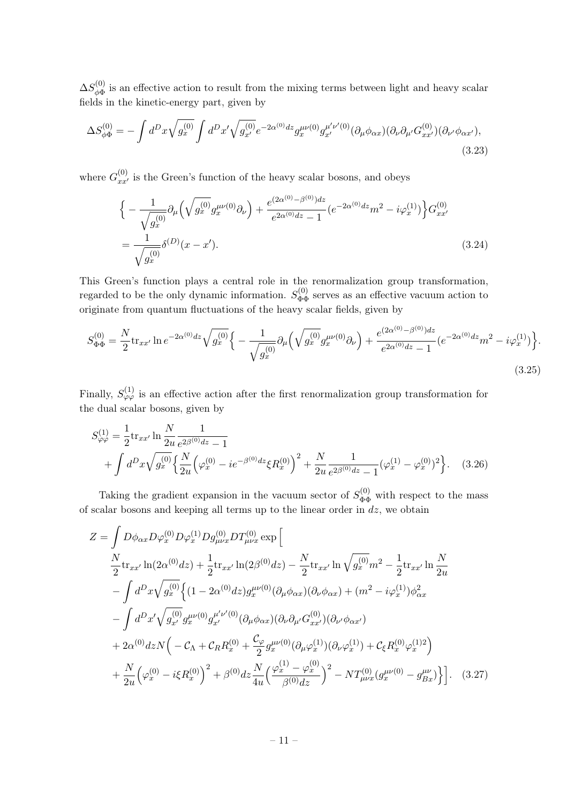$\Delta S^{(0)}_{\phi\Phi}$  $\phi_{\Phi}^{(0)}$  is an effective action to result from the mixing terms between light and heavy scalar fields in the kinetic-energy part, given by

$$
\Delta S_{\phi\Phi}^{(0)} = -\int d^D x \sqrt{g_x^{(0)}} \int d^D x' \sqrt{g_{x'}^{(0)}} e^{-2\alpha^{(0)}dz} g_x^{\mu\nu(0)} g_{x'}^{\mu'\nu'(0)} (\partial_\mu \phi_{\alpha x}) (\partial_\nu \partial_{\mu'} G_{xx'}^{(0)}) (\partial_{\nu'} \phi_{\alpha x'}),
$$
\n(3.23)

where  $G_{xx'}^{(0)}$  is the Green's function of the heavy scalar bosons, and obeys

$$
\begin{split} \Big\{ -\frac{1}{\sqrt{g_x^{(0)}}} \partial_\mu \Big( \sqrt{g_x^{(0)}} g_x^{\mu\nu(0)} \partial_\nu \Big) + \frac{e^{(2\alpha^{(0)} - \beta^{(0)})dz}}{e^{2\alpha^{(0)}dz} - 1} (e^{-2\alpha^{(0)}dz} m^2 - i\varphi_x^{(1)}) \Big\} G_{xx'}^{(0)} \\ &= \frac{1}{\sqrt{g_x^{(0)}}} \delta^{(D)}(x - x'). \end{split} \tag{3.24}
$$

This Green's function plays a central role in the renormalization group transformation, regarded to be the only dynamic information.  $S_{\Phi\Phi}^{(0)}$  serves as an effective vacuum action to originate from quantum fluctuations of the heavy scalar fields, given by

$$
S_{\Phi\Phi}^{(0)} = \frac{N}{2} \text{tr}_{xx'} \ln e^{-2\alpha^{(0)}dz} \sqrt{g_x^{(0)}} \Big\{ -\frac{1}{\sqrt{g_x^{(0)}}} \partial_\mu \left( \sqrt{g_x^{(0)}} g_x^{\mu\nu(0)} \partial_\nu \right) + \frac{e^{(2\alpha^{(0)} - \beta^{(0)})dz}}{e^{2\alpha^{(0)}dz} - 1} (e^{-2\alpha^{(0)}dz} m^2 - i\varphi_x^{(1)}) \Big\}.
$$
\n(3.25)

Finally,  $S_{\varphi\varphi}^{(1)}$  is an effective action after the first renormalization group transformation for the dual scalar bosons, given by

$$
S_{\varphi\varphi}^{(1)} = \frac{1}{2} \text{tr}_{xx'} \ln \frac{N}{2u} \frac{1}{e^{2\beta^{(0)}dz} - 1} + \int d^D x \sqrt{g_x^{(0)}} \left\{ \frac{N}{2u} \left( \varphi_x^{(0)} - ie^{-\beta^{(0)}dz} \xi R_x^{(0)} \right)^2 + \frac{N}{2u} \frac{1}{e^{2\beta^{(0)}dz} - 1} (\varphi_x^{(1)} - \varphi_x^{(0)})^2 \right\}.
$$
 (3.26)

Taking the gradient expansion in the vacuum sector of  $S_{\Phi\Phi}^{(0)}$  with respect to the mass of scalar bosons and keeping all terms up to the linear order in  $dz$ , we obtain

<span id="page-11-0"></span>
$$
Z = \int D\phi_{\alpha x} D\varphi_{x}^{(0)} D\varphi_{x}^{(1)} D g_{\mu\nu x}^{(0)} D T_{\mu\nu x}^{(0)} \exp \left[ \frac{N}{2} \text{tr}_{xx'} \ln(2\alpha^{(0)} dz) + \frac{1}{2} \text{tr}_{xx'} \ln(2\beta^{(0)} dz) - \frac{N}{2} \text{tr}_{xx'} \ln \sqrt{g_x^{(0)}} m^2 - \frac{1}{2} \text{tr}_{xx'} \ln \frac{N}{2u} - \int d^D x \sqrt{g_x^{(0)}} \left\{ (1 - 2\alpha^{(0)} dz) g_x^{\mu\nu(0)} (\partial_\mu \phi_{\alpha x}) (\partial_\nu \phi_{\alpha x}) + (m^2 - i\varphi_x^{(1)}) \phi_{\alpha x}^2 - \int d^D x' \sqrt{g_{x'}^{(0)}} g_x^{\mu\nu(0)} g_{x'}^{\mu'\nu'(0)} (\partial_\mu \phi_{\alpha x}) (\partial_\nu \partial_\mu G_{xx'}^{(0)}) (\partial_{\nu'} \phi_{\alpha x'}) - 2\alpha^{(0)} dz N \left( -C_{\Lambda} + C_R R_x^{(0)} + \frac{C_{\varphi}}{2} g_x^{\mu\nu(0)} (\partial_\mu \varphi_x^{(1)}) (\partial_\nu \varphi_x^{(1)}) + C_{\xi} R_x^{(0)} \varphi_x^{(1)2} \right) + \frac{N}{2u} \left( \varphi_x^{(0)} - i\xi R_x^{(0)} \right)^2 + \beta^{(0)} dz \frac{N}{4u} \left( \frac{\varphi_x^{(1)} - \varphi_x^{(0)}}{\beta^{(0)} dz} \right)^2 - N T_{\mu\nu x}^{(0)} (g_x^{\mu\nu(0)} - g_{Bx}^{\mu\nu}) \Big\} \Big]. \tag{3.27}
$$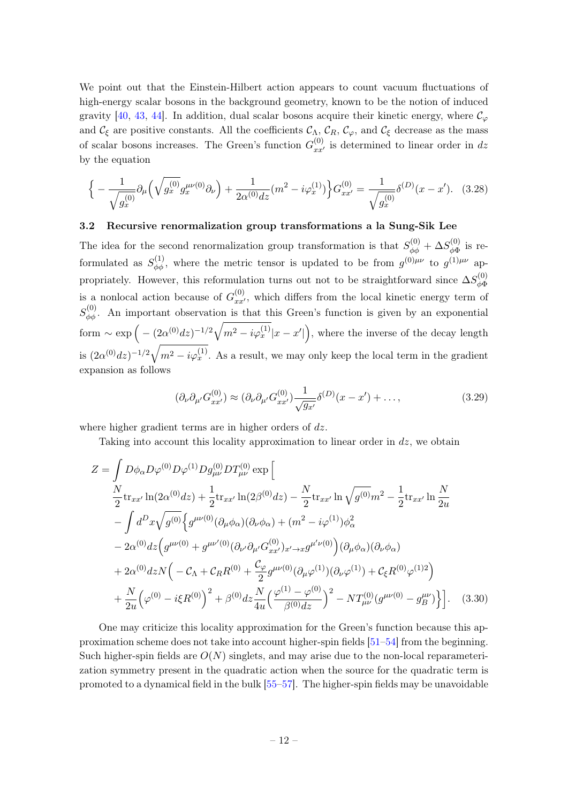We point out that the Einstein-Hilbert action appears to count vacuum fluctuations of high-energy scalar bosons in the background geometry, known to be the notion of induced gravity [\[40,](#page-50-1) [43,](#page-50-4) [44\]](#page-50-5). In addition, dual scalar bosons acquire their kinetic energy, where  $\mathcal{C}_{\varphi}$ and  $\mathcal{C}_{\xi}$  are positive constants. All the coefficients  $\mathcal{C}_{\Lambda}$ ,  $\mathcal{C}_{R}$ ,  $\mathcal{C}_{\varphi}$ , and  $\mathcal{C}_{\xi}$  decrease as the mass of scalar bosons increases. The Green's function  $G_{xx'}^{(0)}$  is determined to linear order in dz by the equation

$$
\Big\{ -\frac{1}{\sqrt{g_x^{(0)}}} \partial_\mu \Big( \sqrt{g_x^{(0)}} g_x^{\mu\nu(0)} \partial_\nu \Big) + \frac{1}{2\alpha^{(0)}dz} (m^2 - i\varphi_x^{(1)}) \Big\} G_{xx'}^{(0)} = \frac{1}{\sqrt{g_x^{(0)}}} \delta^{(D)}(x - x'). \quad (3.28)
$$

#### <span id="page-12-0"></span>3.2 Recursive renormalization group transformations a la Sung-Sik Lee

The idea for the second renormalization group transformation is that  $S_{\phi\phi}^{(0)} + \Delta S_{\phi\Phi}^{(0)}$  $\psi_{\phi\Phi}^{(0)}$  is reformulated as  $S_{\phi\phi}^{(1)}$ , where the metric tensor is updated to be from  $g^{(0)\mu\nu}$  to  $g^{(1)\mu\nu}$  appropriately. However, this reformulation turns out not to be straightforward since  $\Delta S_{\phi\phi}^{(0)}$ φΦ is a nonlocal action because of  $G_{xx'}^{(0)}$ , which differs from the local kinetic energy term of  $S_{\phi\phi}^{(0)}$ . An important observation is that this Green's function is given by an exponential form  $\sim \exp\Big(-\frac{(2\alpha^{(0)}dz)^{-1/2}\sqrt{m^2-i\varphi_x^{(1)}}|x-x'|\Big)}$ , where the inverse of the decay length is  $(2\alpha^{(0)}dz)^{-1/2}\sqrt{m^2-i\varphi_x^{(1)}}$ . As a result, we may only keep the local term in the gradient expansion as follows

<span id="page-12-2"></span><span id="page-12-1"></span>
$$
(\partial_{\nu}\partial_{\mu'}G_{xx'}^{(0)}) \approx (\partial_{\nu}\partial_{\mu'}G_{xx'}^{(0)})\frac{1}{\sqrt{g_{x'}}}\delta^{(D)}(x-x') + ..., \qquad (3.29)
$$

where higher gradient terms are in higher orders of  $dz$ .

Taking into account this locality approximation to linear order in  $dz$ , we obtain

$$
Z = \int D\phi_{\alpha} D\varphi^{(0)} D\varphi^{(1)} D g_{\mu\nu}^{(0)} D T_{\mu\nu}^{(0)} \exp \left[ \frac{N}{2} \text{tr}_{xx'} \ln(2\alpha^{(0)} dz) + \frac{1}{2} \text{tr}_{xx'} \ln(2\beta^{(0)} dz) - \frac{N}{2} \text{tr}_{xx'} \ln \sqrt{g^{(0)}} m^2 - \frac{1}{2} \text{tr}_{xx'} \ln \frac{N}{2u} - \int d^D x \sqrt{g^{(0)}} \Big\{ g^{\mu\nu(0)} (\partial_\mu \phi_\alpha) (\partial_\nu \phi_\alpha) + (m^2 - i\varphi^{(1)}) \phi_\alpha^2 - 2\alpha^{(0)} dz \Big( g^{\mu\nu(0)} + g^{\mu\nu'(0)} (\partial_{\nu'} \partial_{\mu'} G_{xx'}^{(0)})_{x' \to x} g^{\mu'\nu(0)} \Big) (\partial_\mu \phi_\alpha) (\partial_\nu \phi_\alpha) + 2\alpha^{(0)} dz N \Big( -C_{\Lambda} + C_R R^{(0)} + \frac{C_{\varphi}}{2} g^{\mu\nu(0)} (\partial_{\mu} \varphi^{(1)}) (\partial_{\nu} \varphi^{(1)}) + C_{\xi} R^{(0)} \varphi^{(1)2} \Big) + \frac{N}{2u} \Big( \varphi^{(0)} - i\xi R^{(0)} \Big)^2 + \beta^{(0)} dz \frac{N}{4u} \Big( \frac{\varphi^{(1)} - \varphi^{(0)}}{\beta^{(0)} dz} \Big)^2 - N T_{\mu\nu}^{(0)} (g^{\mu\nu(0)} - g_{B}^{\mu\nu}) \Big\} \Big]. \quad (3.30)
$$

One may criticize this locality approximation for the Green's function because this approximation scheme does not take into account higher-spin fields [\[51–](#page-50-12)[54\]](#page-50-13) from the beginning. Such higher-spin fields are  $O(N)$  singlets, and may arise due to the non-local reparameterization symmetry present in the quadratic action when the source for the quadratic term is promoted to a dynamical field in the bulk [\[55–](#page-50-14)[57\]](#page-50-15). The higher-spin fields may be unavoidable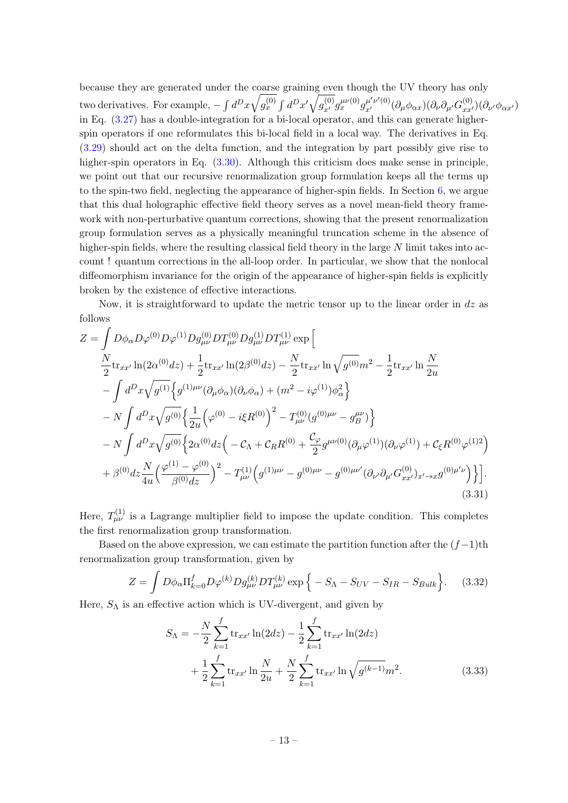because they are generated under the coarse graining even though the UV theory has only two derivatives. For example,  $-\int d^Dx\sqrt{g^{(0)}_x} \int d^Dx'\sqrt{g^{(0)}_{x'}}g_{x'}^{\mu\nu(0)}g_{x'}^{\mu'\nu'(0)}(\partial_{\mu}\phi_{\alpha x})(\partial_{\nu}\partial_{\mu'}G^{(0)}_{xx'})(\partial_{\nu'}\phi_{\alpha x'})$ in Eq. [\(3.27\)](#page-11-0) has a double-integration for a bi-local operator, and this can generate higherspin operators if one reformulates this bi-local field in a local way. The derivatives in Eq. [\(3.29\)](#page-12-1) should act on the delta function, and the integration by part possibly give rise to higher-spin operators in Eq.  $(3.30)$ . Although this criticism does make sense in principle, we point out that our recursive renormalization group formulation keeps all the terms up to the spin-two field, neglecting the appearance of higher-spin fields. In Section [6,](#page-28-1) we argue that this dual holographic effective field theory serves as a novel mean-field theory framework with non-perturbative quantum corrections, showing that the present renormalization group formulation serves as a physically meaningful truncation scheme in the absence of higher-spin fields, where the resulting classical field theory in the large N limit takes into account ! quantum corrections in the all-loop order. In particular, we show that the nonlocal diffeomorphism invariance for the origin of the appearance of higher-spin fields is explicitly broken by the existence of effective interactions.

Now, it is straightforward to update the metric tensor up to the linear order in  $dz$  as follows

$$
Z = \int D\phi_{\alpha}D\varphi^{(0)}D\varphi^{(1)}Dg_{\mu\nu}^{(0)}DT_{\mu\nu}^{(0)}DT_{\mu\nu}^{(1)}\exp\Big[\frac{N}{2}\text{tr}_{xx'}\ln(2\alpha^{(0)}dz) + \frac{1}{2}\text{tr}_{xx'}\ln(2\beta^{(0)}dz) - \frac{N}{2}\text{tr}_{xx'}\ln\sqrt{g^{(0)}}m^2 - \frac{1}{2}\text{tr}_{xx'}\ln\frac{N}{2u} - \int d^Dx\sqrt{g^{(1)}}\Big\{g^{(1)\mu\nu}(\partial_{\mu}\phi_{\alpha})(\partial_{\nu}\phi_{\alpha}) + (m^2 - i\varphi^{(1)})\phi_{\alpha}^2\Big\} - N \int d^Dx\sqrt{g^{(0)}}\Big\{\frac{1}{2u}\Big(\varphi^{(0)} - i\xi R^{(0)}\Big)^2 - T_{\mu\nu}^{(0)}(g^{(0)\mu\nu} - g_{B}^{\mu\nu})\Big\} - N \int d^Dx\sqrt{g^{(0)}}\Big\{2\alpha^{(0)}dz\Big(-C_{\Lambda} + C_{RR}R^{(0)} + \frac{C_{\varphi}}{2}g^{\mu\nu(0)}(\partial_{\mu}\varphi^{(1)})(\partial_{\nu}\varphi^{(1)}) + C_{\xi}R^{(0)}\varphi^{(1)2}\Big) + \beta^{(0)}dz\frac{N}{4u}\Big(\frac{\varphi^{(1)} - \varphi^{(0)}}{\beta^{(0)}dz}\Big)^2 - T_{\mu\nu}^{(1)}\Big(g^{(1)\mu\nu} - g^{(0)\mu\nu} - g^{(0)\mu\nu'}(\partial_{\nu'}\partial_{\mu'}G_{xx'}^{(0)})_{x'\to x}g^{(0)\mu'\nu}\Big)\Big\} \Big].
$$
\n(3.31)

Here,  $T_{\mu\nu}^{(1)}$  is a Lagrange multiplier field to impose the update condition. This completes the first renormalization group transformation.

Based on the above expression, we can estimate the partition function after the  $(f-1)$ th renormalization group transformation, given by

$$
Z = \int D\phi_{\alpha} \Pi_{k=0}^{f} D\varphi^{(k)} D g_{\mu\nu}^{(k)} D T_{\mu\nu}^{(k)} \exp \{-S_{\Lambda} - S_{UV} - S_{IR} - S_{Bulk}\}.
$$
 (3.32)

Here,  $S_{\Lambda}$  is an effective action which is UV-divergent, and given by

$$
S_{\Lambda} = -\frac{N}{2} \sum_{k=1}^{f} \text{tr}_{xx'} \ln(2dz) - \frac{1}{2} \sum_{k=1}^{f} \text{tr}_{xx'} \ln(2dz) + \frac{1}{2} \sum_{k=1}^{f} \text{tr}_{xx'} \ln \frac{N}{2u} + \frac{N}{2} \sum_{k=1}^{f} \text{tr}_{xx'} \ln \sqrt{g^{(k-1)}} m^2.
$$
 (3.33)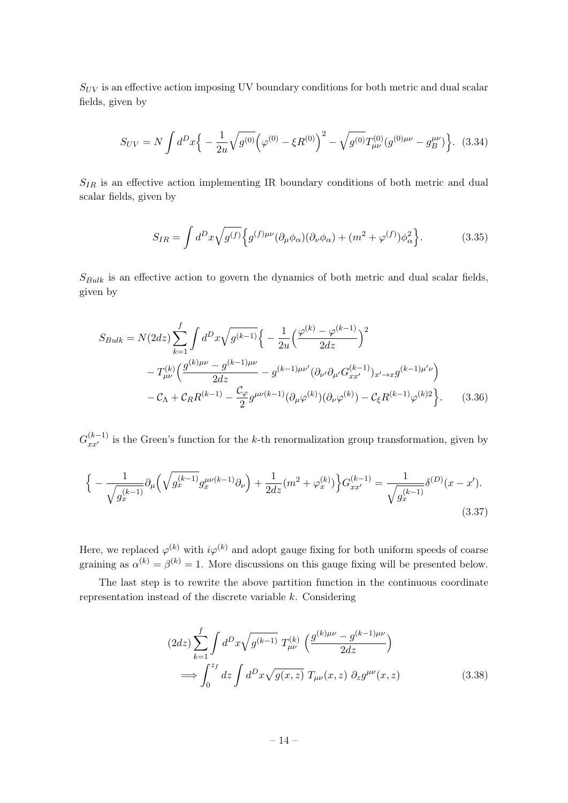$S_{UV}$  is an effective action imposing UV boundary conditions for both metric and dual scalar fields, given by

$$
S_{UV} = N \int d^D x \Big\{ -\frac{1}{2u} \sqrt{g^{(0)}} \Big(\varphi^{(0)} - \xi R^{(0)}\Big)^2 - \sqrt{g^{(0)}} T^{(0)}_{\mu\nu} (g^{(0)\mu\nu} - g^{\mu\nu}_B) \Big\}. \tag{3.34}
$$

 $S_{IR}$  is an effective action implementing IR boundary conditions of both metric and dual scalar fields, given by

$$
S_{IR} = \int d^D x \sqrt{g^{(f)}} \Big\{ g^{(f)\mu\nu} (\partial_\mu \phi_\alpha) (\partial_\nu \phi_\alpha) + (m^2 + \varphi^{(f)}) \phi_\alpha^2 \Big\}.
$$
 (3.35)

 $S_{Bulk}$  is an effective action to govern the dynamics of both metric and dual scalar fields, given by

$$
S_{Bulk} = N(2dz) \sum_{k=1}^{f} \int d^{D}x \sqrt{g^{(k-1)}} \Big\{ -\frac{1}{2u} \Big(\frac{\varphi^{(k)} - \varphi^{(k-1)}}{2dz}\Big)^2 - T_{\mu\nu}^{(k)} \Big(\frac{g^{(k)\mu\nu} - g^{(k-1)\mu\nu}}{2dz} - g^{(k-1)\mu\nu'} (\partial_{\nu'} \partial_{\mu'} G_{xx'}^{(k-1)})_{x' \to x} g^{(k-1)\mu'\nu} \Big) - C_{\Lambda} + C_{RR} (k-1) - \frac{C_{\varphi}}{2} g^{\mu\nu(k-1)} (\partial_{\mu} \varphi^{(k)}) (\partial_{\nu} \varphi^{(k)}) - C_{\xi} R^{(k-1)} \varphi^{(k)2} \Big\}. \tag{3.36}
$$

 $G_{xx'}^{(k-1)}$  is the Green's function for the k-th renormalization group transformation, given by

$$
\Big\{ -\frac{1}{\sqrt{g_x^{(k-1)}}} \partial_\mu \Big( \sqrt{g_x^{(k-1)}} g_x^{\mu\nu(k-1)} \partial_\nu \Big) + \frac{1}{2dz} (m^2 + \varphi_x^{(k)}) \Big\} G_{xx'}^{(k-1)} = \frac{1}{\sqrt{g_x^{(k-1)}}} \delta^{(D)}(x - x').
$$
\n(3.37)

Here, we replaced  $\varphi^{(k)}$  with  $i\varphi^{(k)}$  and adopt gauge fixing for both uniform speeds of coarse graining as  $\alpha^{(k)} = \beta^{(k)} = 1$ . More discussions on this gauge fixing will be presented below.

The last step is to rewrite the above partition function in the continuous coordinate representation instead of the discrete variable k. Considering

$$
(2dz)\sum_{k=1}^{f} \int d^{D}x \sqrt{g^{(k-1)}} T_{\mu\nu}^{(k)} \left( \frac{g^{(k)\mu\nu} - g^{(k-1)\mu\nu}}{2dz} \right)
$$
  

$$
\implies \int_{0}^{z_{f}} dz \int d^{D}x \sqrt{g(x,z)} T_{\mu\nu}(x,z) \partial_{z} g^{\mu\nu}(x,z) \qquad (3.38)
$$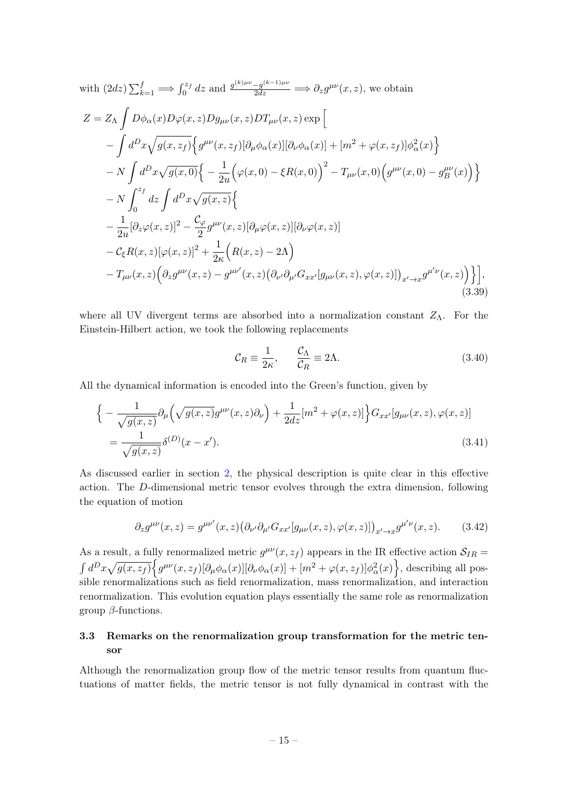with 
$$
(2dz)\sum_{k=1}^{f} \implies \int_{0}^{z_{f}} dz
$$
 and  $\frac{g^{(k)\mu\nu} - g^{(k-1)\mu\nu}}{2dz} \implies \partial_{z}g^{\mu\nu}(x, z)$ , we obtain  
\n
$$
Z = Z_{\Lambda} \int D\phi_{\alpha}(x)D\varphi(x, z)Dg_{\mu\nu}(x, z)DT_{\mu\nu}(x, z) \exp \Big[ -\int d^{D}x \sqrt{g(x, z_{f})} \Big\{ g^{\mu\nu}(x, z_{f}) [\partial_{\mu}\phi_{\alpha}(x)][\partial_{\nu}\phi_{\alpha}(x)] + [m^{2} + \varphi(x, z_{f})] \phi_{\alpha}^{2}(x) \Big\} - N \int d^{D}x \sqrt{g(x, 0)} \Big\{ - \frac{1}{2u} \Big(\varphi(x, 0) - \xi R(x, 0) \Big)^{2} - T_{\mu\nu}(x, 0) \Big(g^{\mu\nu}(x, 0) - g^{\mu\nu}_{B}(x) \Big) \Big\} - N \int_{0}^{z_{f}} dz \int d^{D}x \sqrt{g(x, z)} \Big\{ - \frac{1}{2u} [\partial_{z}\varphi(x, z)]^{2} - \frac{\mathcal{C}_{\varphi}}{2} g^{\mu\nu}(x, z) [\partial_{\mu}\varphi(x, z)][\partial_{\nu}\varphi(x, z)] - \mathcal{C}_{\xi} R(x, z) [\varphi(x, z)]^{2} + \frac{1}{2\kappa} \Big(R(x, z) - 2\Lambda \Big) - T_{\mu\nu}(x, z) \Big(\partial_{z}g^{\mu\nu}(x, z) - g^{\mu\nu'}(x, z) (\partial_{\nu'}\partial_{\mu'}G_{xx'}[g_{\mu\nu}(x, z), \varphi(x, z)])_{x' \to x} g^{\mu'\nu}(x, z) \Big( 3.39)
$$
\n(3.39)

where all UV divergent terms are absorbed into a normalization constant  $Z_{\Lambda}$ . For the Einstein-Hilbert action, we took the following replacements

$$
\mathcal{C}_R \equiv \frac{1}{2\kappa}, \qquad \frac{\mathcal{C}_\Lambda}{\mathcal{C}_R} \equiv 2\Lambda. \tag{3.40}
$$

All the dynamical information is encoded into the Green's function, given by

$$
\begin{aligned}\n\left\{-\frac{1}{\sqrt{g(x,z)}}\partial_{\mu}\left(\sqrt{g(x,z)}g^{\mu\nu}(x,z)\partial_{\nu}\right)+\frac{1}{2dz}[m^{2}+\varphi(x,z)]\right\}G_{xx'}[g_{\mu\nu}(x,z),\varphi(x,z)] \\
&=\frac{1}{\sqrt{g(x,z)}}\delta^{(D)}(x-x').\n\end{aligned} \tag{3.41}
$$

As discussed earlier in section [2,](#page-3-0) the physical description is quite clear in this effective action. The D-dimensional metric tensor evolves through the extra dimension, following the equation of motion

$$
\partial_z g^{\mu\nu}(x,z) = g^{\mu\nu'}(x,z) \big( \partial_{\nu'} \partial_{\mu'} G_{xx'}[g_{\mu\nu}(x,z), \varphi(x,z)] \big)_{x' \to x} g^{\mu'\nu}(x,z). \tag{3.42}
$$

As a result, a fully renormalized metric  $g^{\mu\nu}(x, z_f)$  appears in the IR effective action  $\mathcal{S}_{IR}$  $\int d^D x \sqrt{g(x, z_f)} \Big\{ g^{\mu\nu}(x, z_f)[\partial_\mu \phi_\alpha(x)][\partial_\nu \phi_\alpha(x)] + [m^2 + \varphi(x, z_f)] \phi_\alpha^2(x) \Big\},$  describing all possible renormalizations such as field renormalization, mass renormalization, and interaction renormalization. This evolution equation plays essentially the same role as renormalization group  $\beta$ -functions.

## <span id="page-15-0"></span>3.3 Remarks on the renormalization group transformation for the metric tensor

Although the renormalization group flow of the metric tensor results from quantum fluctuations of matter fields, the metric tensor is not fully dynamical in contrast with the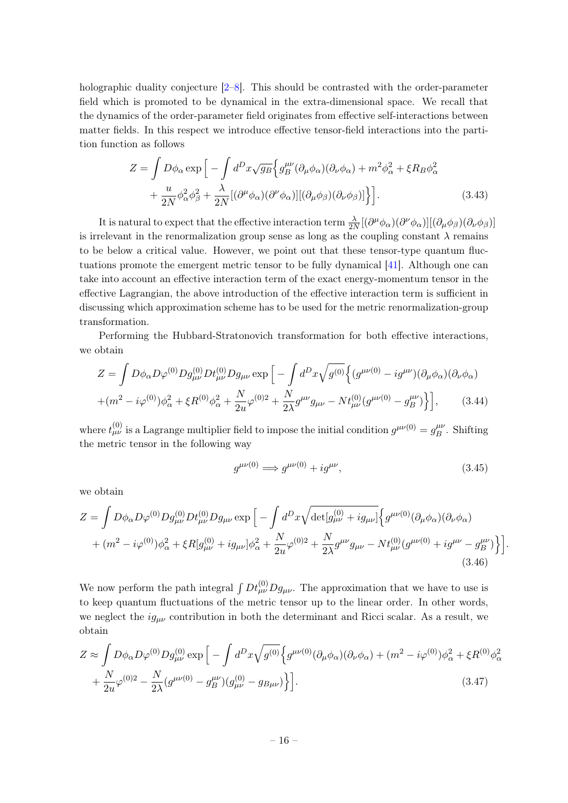holographic duality conjecture  $[2-8]$  $[2-8]$ . This should be contrasted with the order-parameter field which is promoted to be dynamical in the extra-dimensional space. We recall that the dynamics of the order-parameter field originates from effective self-interactions between matter fields. In this respect we introduce effective tensor-field interactions into the partition function as follows

$$
Z = \int D\phi_{\alpha} \exp\left[-\int d^{D}x \sqrt{g_{B}} \Big\{g_{B}^{\mu\nu}(\partial_{\mu}\phi_{\alpha})(\partial_{\nu}\phi_{\alpha}) + m^{2}\phi_{\alpha}^{2} + \xi R_{B}\phi_{\alpha}^{2}\right.+\frac{u}{2N}\phi_{\alpha}^{2}\phi_{\beta}^{2} + \frac{\lambda}{2N}[(\partial^{\mu}\phi_{\alpha})(\partial^{\nu}\phi_{\alpha})][( \partial_{\mu}\phi_{\beta})(\partial_{\nu}\phi_{\beta})]\Big\}.
$$
 (3.43)

It is natural to expect that the effective interaction term  $\frac{\lambda}{2N}[(\partial^{\mu}\phi_{\alpha})(\partial^{\nu}\phi_{\alpha})] [(\partial_{\mu}\phi_{\beta})(\partial_{\nu}\phi_{\beta})]$ is irrelevant in the renormalization group sense as long as the coupling constant  $\lambda$  remains to be below a critical value. However, we point out that these tensor-type quantum fluctuations promote the emergent metric tensor to be fully dynamical [\[41\]](#page-50-2). Although one can take into account an effective interaction term of the exact energy-momentum tensor in the effective Lagrangian, the above introduction of the effective interaction term is sufficient in discussing which approximation scheme has to be used for the metric renormalization-group transformation.

Performing the Hubbard-Stratonovich transformation for both effective interactions, we obtain

$$
Z = \int D\phi_{\alpha} D\varphi^{(0)} D g_{\mu\nu}^{(0)} D t_{\mu\nu}^{(0)} D g_{\mu\nu} \exp \left[ -\int d^D x \sqrt{g^{(0)}} \left\{ (g^{\mu\nu(0)} - i g^{\mu\nu}) (\partial_{\mu} \phi_{\alpha}) (\partial_{\nu} \phi_{\alpha}) \right. \right.+ (m^2 - i \varphi^{(0)}) \phi_{\alpha}^2 + \xi R^{(0)} \phi_{\alpha}^2 + \frac{N}{2u} \varphi^{(0)2} + \frac{N}{2\lambda} g^{\mu\nu} g_{\mu\nu} - N t_{\mu\nu}^{(0)} (g^{\mu\nu(0)} - g_B^{\mu\nu}) \right\}, \tag{3.44}
$$

where  $t_{\mu\nu}^{(0)}$  is a Lagrange multiplier field to impose the initial condition  $g^{\mu\nu(0)} = g_B^{\mu\nu}$  $\int_B^{\mu\nu}$ . Shifting the metric tensor in the following way

$$
g^{\mu\nu(0)} \Longrightarrow g^{\mu\nu(0)} + ig^{\mu\nu}, \tag{3.45}
$$

we obtain

$$
Z = \int D\phi_{\alpha}D\varphi^{(0)}Dg_{\mu\nu}^{(0)}Dt_{\mu\nu}^{(0)}Dg_{\mu\nu} \exp\Big[-\int d^{D}x \sqrt{\det[g_{\mu\nu}^{(0)} + ig_{\mu\nu}]} \Big\{g^{\mu\nu(0)}(\partial_{\mu}\phi_{\alpha})(\partial_{\nu}\phi_{\alpha}) + (m^{2} - i\varphi^{(0)})\phi_{\alpha}^{2} + \xi R[g_{\mu\nu}^{(0)} + ig_{\mu\nu}]\phi_{\alpha}^{2} + \frac{N}{2u}\varphi^{(0)2} + \frac{N}{2\lambda}g^{\mu\nu}g_{\mu\nu} - Nt_{\mu\nu}^{(0)}(g^{\mu\nu(0)} + ig^{\mu\nu} - g_{B}^{\mu\nu})\Big\}\Big].
$$
\n(3.46)

We now perform the path integral  $\int Dt^{(0)}_{\mu\nu} Dg_{\mu\nu}$ . The approximation that we have to use is to keep quantum fluctuations of the metric tensor up to the linear order. In other words, we neglect the  $ig_{\mu\nu}$  contribution in both the determinant and Ricci scalar. As a result, we obtain

$$
Z \approx \int D\phi_{\alpha}D\varphi^{(0)}Dg_{\mu\nu}^{(0)} \exp\left[-\int d^Dx \sqrt{g^{(0)}} \left\{g^{\mu\nu(0)}(\partial_{\mu}\phi_{\alpha})(\partial_{\nu}\phi_{\alpha}) + (m^2 - i\varphi^{(0)})\phi_{\alpha}^2 + \xi R^{(0)}\phi_{\alpha}^2\right.\right.+ \frac{N}{2u}\varphi^{(0)2} - \frac{N}{2\lambda}(g^{\mu\nu(0)} - g_B^{\mu\nu})(g_{\mu\nu}^{(0)} - g_{B\mu\nu})\right\}].
$$
 (3.47)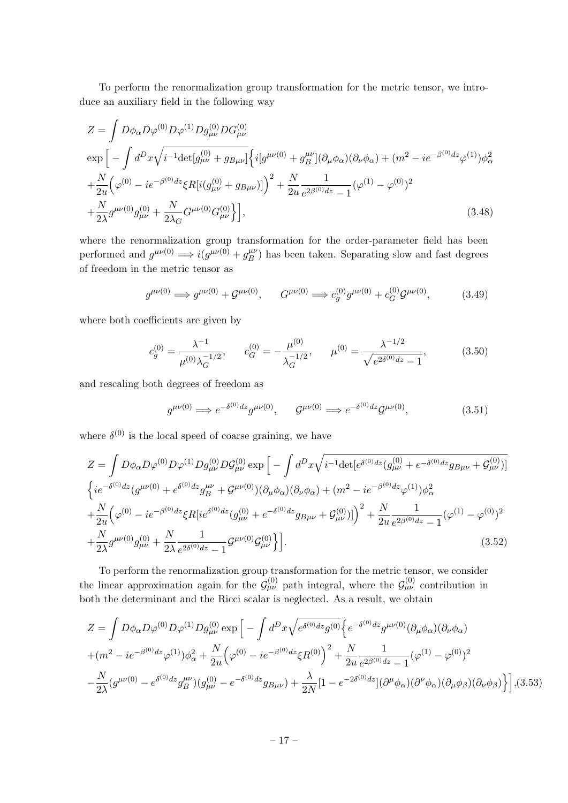To perform the renormalization group transformation for the metric tensor, we introduce an auxiliary field in the following way

$$
Z = \int D\phi_{\alpha} D\varphi^{(0)} D\varphi^{(1)} Dg_{\mu\nu}^{(0)} DG_{\mu\nu}^{(0)}
$$
  
\n
$$
\exp \left[ -\int d^{D}x \sqrt{i^{-1} \det[g_{\mu\nu}^{(0)} + g_{B\mu\nu}]} \left\{ i[g^{\mu\nu(0)} + g_{B}^{\mu\nu}] (\partial_{\mu}\phi_{\alpha})(\partial_{\nu}\phi_{\alpha}) + (m^{2} - ie^{-\beta^{(0)}} dz_{\varphi}(1))\phi_{\alpha}^{2} \right. \\ \left. + \frac{N}{2u} \left( \varphi^{(0)} - ie^{-\beta^{(0)}} dz \xi R[i(g_{\mu\nu}^{(0)} + g_{B\mu\nu})] \right)^{2} + \frac{N}{2u} \frac{1}{e^{2\beta^{(0)}} dz - 1} (\varphi^{(1)} - \varphi^{(0)})^{2} \right. \\ \left. + \frac{N}{2\lambda} g^{\mu\nu(0)} g_{\mu\nu}^{(0)} + \frac{N}{2\lambda_{G}} G^{\mu\nu(0)} G_{\mu\nu}^{(0)} \right], \tag{3.48}
$$

where the renormalization group transformation for the order-parameter field has been performed and  $g^{\mu\nu(0)} \Longrightarrow i(g^{\mu\nu(0)} + g^{\mu\nu}(0))$  $\binom{\mu\nu}{B}$  has been taken. Separating slow and fast degrees of freedom in the metric tensor as

$$
g^{\mu\nu(0)} \Longrightarrow g^{\mu\nu(0)} + \mathcal{G}^{\mu\nu(0)}, \qquad G^{\mu\nu(0)} \Longrightarrow c_g^{(0)} g^{\mu\nu(0)} + c_G^{(0)} \mathcal{G}^{\mu\nu(0)}, \tag{3.49}
$$

where both coefficients are given by

$$
c_g^{(0)} = \frac{\lambda^{-1}}{\mu^{(0)}\lambda_G^{-1/2}}, \qquad c_G^{(0)} = -\frac{\mu^{(0)}}{\lambda_G^{-1/2}}, \qquad \mu^{(0)} = \frac{\lambda^{-1/2}}{\sqrt{e^{2\delta^{(0)}dz} - 1}},
$$
(3.50)

and rescaling both degrees of freedom as

$$
g^{\mu\nu(0)} \Longrightarrow e^{-\delta^{(0)}dz} g^{\mu\nu(0)}, \qquad \mathcal{G}^{\mu\nu(0)} \Longrightarrow e^{-\delta^{(0)}dz} \mathcal{G}^{\mu\nu(0)}, \tag{3.51}
$$

where  $\delta^{(0)}$  is the local speed of coarse graining, we have

$$
Z = \int D\phi_{\alpha}D\varphi^{(0)}D\varphi^{(1)}Dg_{\mu\nu}^{(0)}D\mathcal{G}_{\mu\nu}^{(0)} \exp\left[-\int d^{D}x\sqrt{i^{-1}\text{det}[e^{\delta^{(0)}dz}(g_{\mu\nu}^{(0)} + e^{-\delta^{(0)}dz}g_{B\mu\nu} + \mathcal{G}_{\mu\nu}^{(0)})]\right]
$$
  
\n
$$
\left\{ie^{-\delta^{(0)}dz}(g^{\mu\nu(0)} + e^{\delta^{(0)}dz}g_{B}^{\mu\nu} + \mathcal{G}^{\mu\nu(0)})(\partial_{\mu}\phi_{\alpha})(\partial_{\nu}\phi_{\alpha}) + (m^{2} - ie^{-\beta^{(0)}dz}\varphi^{(1)})\phi_{\alpha}^{2}\right.
$$
  
\n
$$
+\frac{N}{2u}\left(\varphi^{(0)} - ie^{-\beta^{(0)}dz}\xi R[ie^{\delta^{(0)}dz}(g_{\mu\nu}^{(0)} + e^{-\delta^{(0)}dz}g_{B\mu\nu} + \mathcal{G}_{\mu\nu}^{(0)})]\right)^{2} + \frac{N}{2u}\frac{1}{e^{2\beta^{(0)}dz} - 1}(\varphi^{(1)} - \varphi^{(0)})^{2}
$$
  
\n
$$
+\frac{N}{2\lambda}g^{\mu\nu(0)}g_{\mu\nu}^{(0)} + \frac{N}{2\lambda}\frac{1}{e^{2\delta^{(0)}dz} - 1}\mathcal{G}^{\mu\nu(0)}\mathcal{G}_{\mu\nu}^{(0)}\right].
$$
\n(3.52)

To perform the renormalization group transformation for the metric tensor, we consider the linear approximation again for the  $\mathcal{G}^{(0)}_{\mu\nu}$  path integral, where the  $\mathcal{G}^{(0)}_{\mu\nu}$  contribution in both the determinant and the Ricci scalar is neglected. As a result, we obtain

$$
Z = \int D\phi_{\alpha}D\varphi^{(0)}D\varphi^{(1)}Dg_{\mu\nu}^{(0)} \exp\left[-\int d^{D}x \sqrt{e^{\delta^{(0)}dz}g^{(0)}} \left\{e^{-\delta^{(0)}dz}g^{\mu\nu(0)}(\partial_{\mu}\phi_{\alpha})(\partial_{\nu}\phi_{\alpha})\right.\right.\n+(m^2 - ie^{-\beta^{(0)}dz}\varphi^{(1)})\phi_{\alpha}^2 + \frac{N}{2u}\left(\varphi^{(0)} - ie^{-\beta^{(0)}dz}\xi R^{(0)}\right)^2 + \frac{N}{2u}\frac{1}{e^{2\beta^{(0)}dz} - 1}(\varphi^{(1)} - \varphi^{(0)})^2\n-\frac{N}{2\lambda}(g^{\mu\nu(0)} - e^{\delta^{(0)}dz}g_{\mu\nu}^{(\mu)})(g_{\mu\nu}^{(0)} - e^{-\delta^{(0)}dz}g_{B\mu\nu}) + \frac{\lambda}{2N}[1 - e^{-2\delta^{(0)}dz}](\partial^{\mu}\phi_{\alpha})(\partial^{\nu}\phi_{\alpha})(\partial_{\mu}\phi_{\beta})(\partial_{\nu}\phi_{\beta})\bigg\}](3.53)
$$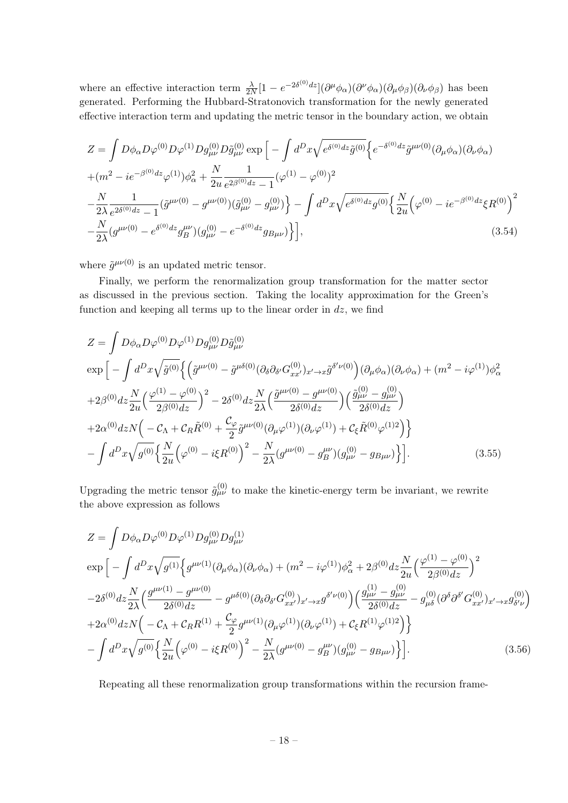where an effective interaction term  $\frac{\lambda}{2N} [1 - e^{-2\delta^{(0)}dz}](\partial^{\mu} \phi_{\alpha})(\partial^{\nu} \phi_{\alpha})(\partial_{\mu} \phi_{\beta})(\partial_{\nu} \phi_{\beta})$  has been generated. Performing the Hubbard-Stratonovich transformation for the newly generated effective interaction term and updating the metric tensor in the boundary action, we obtain

$$
Z = \int D\phi_{\alpha}D\varphi^{(0)}D\varphi^{(1)}Dg_{\mu\nu}^{(0)}D\tilde{g}_{\mu\nu}^{(0)} \exp\left[-\int d^{D}x \sqrt{e^{\delta^{(0)}dz}\tilde{g}^{(0)}} \left\{e^{-\delta^{(0)}dz}\tilde{g}^{\mu\nu(0)}(\partial_{\mu}\phi_{\alpha})(\partial_{\nu}\phi_{\alpha})\right.\right.\n+(m^2 - ie^{-\beta^{(0)}dz}\varphi^{(1)})\phi_{\alpha}^2 + \frac{N}{2u}\frac{1}{e^{2\beta^{(0)}dz} - 1}(\varphi^{(1)} - \varphi^{(0)})^2\n-\frac{N}{2\lambda}\frac{1}{e^{2\delta^{(0)}dz} - 1}(\tilde{g}^{\mu\nu(0)} - g^{\mu\nu(0)})(\tilde{g}^{(0)}_{\mu\nu} - g^{(0)}_{\mu\nu})\right\} - \int d^{D}x\sqrt{e^{\delta^{(0)}dz}g^{(0)}}\left\{\frac{N}{2u}\left(\varphi^{(0)} - ie^{-\beta^{(0)}dz}\xi R^{(0)}\right)^2\n-\frac{N}{2\lambda}(g^{\mu\nu(0)} - e^{\delta^{(0)}dz}g_{\mu\nu}^{\mu\nu})(g^{(0)}_{\mu\nu} - e^{-\delta^{(0)}dz}g_{B\mu\nu})\right\},
$$
\n(3.54)

where  $\tilde{g}^{\mu\nu(0)}$  is an updated metric tensor.

Finally, we perform the renormalization group transformation for the matter sector as discussed in the previous section. Taking the locality approximation for the Green's function and keeping all terms up to the linear order in  $dz$ , we find

$$
Z = \int D\phi_{\alpha}D\varphi^{(0)}D\varphi^{(1)}Dg_{\mu\nu}^{(0)}D\tilde{g}_{\mu\nu}^{(0)}
$$
  
\n
$$
\exp\Big[-\int d^{D}x\sqrt{\tilde{g}^{(0)}}\Big\{\Big(\tilde{g}^{\mu\nu(0)} - \tilde{g}^{\mu\delta(0)}(\partial_{\delta}\partial_{\delta'}G_{xx'}^{(0)})_{x'\to x}\tilde{g}^{\delta'\nu(0)}\Big)(\partial_{\mu}\phi_{\alpha})(\partial_{\nu}\phi_{\alpha}) + (m^{2} - i\varphi^{(1)})\phi_{\alpha}^{2}
$$
  
\n
$$
+2\beta^{(0)}dz\frac{N}{2u}\Big(\frac{\varphi^{(1)} - \varphi^{(0)}}{2\beta^{(0)}dz}\Big)^{2} - 2\delta^{(0)}dz\frac{N}{2\lambda}\Big(\frac{\tilde{g}^{\mu\nu(0)} - g^{\mu\nu(0)}}{2\delta^{(0)}dz}\Big)\Big(\frac{\tilde{g}^{(0)}_{\mu\nu} - g^{(0)}_{\mu\nu}}{2\delta^{(0)}dz}\Big)
$$
  
\n
$$
+2\alpha^{(0)}dzN\Big(-\mathcal{C}_{\Lambda} + \mathcal{C}_{R}\tilde{R}^{(0)} + \frac{\mathcal{C}_{\varphi}}{2}\tilde{g}^{\mu\nu(0)}(\partial_{\mu}\varphi^{(1)})(\partial_{\nu}\varphi^{(1)}) + \mathcal{C}_{\xi}\tilde{R}^{(0)}\varphi^{(1)2}\Big)\Big\}
$$
  
\n
$$
- \int d^{D}x\sqrt{g^{(0)}}\Big\{\frac{N}{2u}\Big(\varphi^{(0)} - i\xi R^{(0)}\Big)^{2} - \frac{N}{2\lambda}(g^{\mu\nu(0)} - g^{\mu\nu}_{B})(g^{(0)}_{\mu\nu} - g_{B\mu\nu})\Big\}\Big].
$$
 (3.55)

Upgrading the metric tensor  $\tilde{g}^{(0)}_{\mu\nu}$  to make the kinetic-energy term be invariant, we rewrite the above expression as follows

$$
Z = \int D\phi_{\alpha}D\varphi^{(0)}D\varphi^{(1)}Dg_{\mu\nu}^{(0)}Dg_{\mu\nu}^{(1)}
$$
  
\n
$$
\exp\Big[-\int d^{D}x\sqrt{g^{(1)}}\Big\{g^{\mu\nu(1)}(\partial_{\mu}\phi_{\alpha})(\partial_{\nu}\phi_{\alpha}) + (m^{2} - i\varphi^{(1)})\phi_{\alpha}^{2} + 2\beta^{(0)}dz\frac{N}{2u}\Big(\frac{\varphi^{(1)} - \varphi^{(0)}}{2\beta^{(0)}dz}\Big)^{2}
$$
  
\n
$$
-2\delta^{(0)}dz\frac{N}{2\lambda}\Big(\frac{g^{\mu\nu(1)} - g^{\mu\nu(0)}}{2\delta^{(0)}dz} - g^{\mu\delta(0)}(\partial_{\delta}\partial_{\delta'}G_{xx'}^{(0)})_{x'\to x}g^{\delta'\nu(0)}\Big)\Big(\frac{g_{\mu\nu}^{(1)} - g_{\mu\nu}^{(0)}}{2\delta^{(0)}dz} - g_{\mu\delta}^{(0)}(\partial^{\delta}\partial^{\delta'}G_{xx'}^{(0)})_{x'\to x}g_{\delta'\nu}^{(0)}\Big)
$$
  
\n
$$
+2\alpha^{(0)}dzN\Big(-C_{\Lambda} + C_{R}R^{(1)} + \frac{C_{\varphi}}{2}g^{\mu\nu(1)}(\partial_{\mu}\varphi^{(1)})(\partial_{\nu}\varphi^{(1)}) + C_{\xi}R^{(1)}\varphi^{(1)2}\Big)\Big\}
$$
  
\n
$$
- \int d^{D}x\sqrt{g^{(0)}}\Big\{\frac{N}{2u}\Big(\varphi^{(0)} - i\xi R^{(0)}\Big)^{2} - \frac{N}{2\lambda}(g^{\mu\nu(0)} - g_{B}^{\mu\nu})(g_{\mu\nu}^{(0)} - g_{B\mu\nu}^{(0)})\Big\} \Big].
$$
 (3.56)

Repeating all these renormalization group transformations within the recursion frame-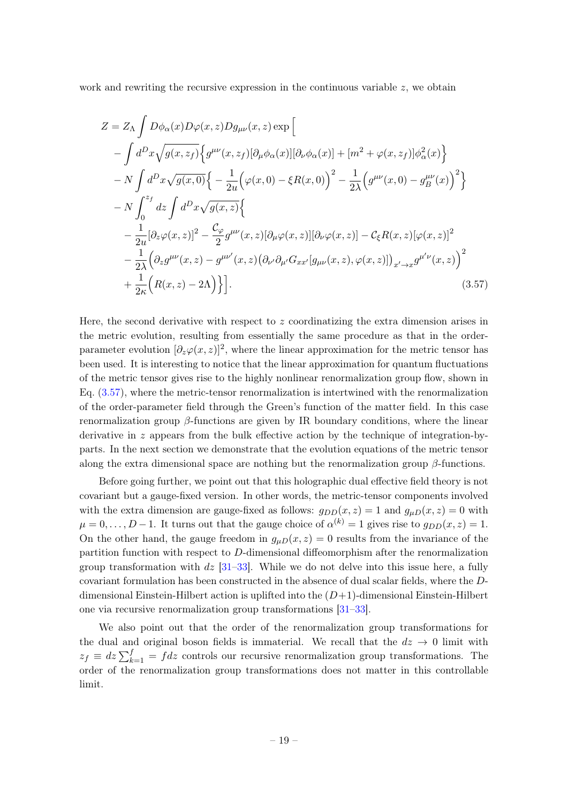work and rewriting the recursive expression in the continuous variable  $z$ , we obtain

$$
Z = Z_{\Lambda} \int D\phi_{\alpha}(x)D\varphi(x,z)Dg_{\mu\nu}(x,z) \exp \Big[
$$
  
\n
$$
- \int d^{D}x \sqrt{g(x,z_{f})} \Big\{ g^{\mu\nu}(x,z_{f}) [\partial_{\mu}\phi_{\alpha}(x)][\partial_{\nu}\phi_{\alpha}(x)] + [m^{2} + \varphi(x,z_{f})] \phi_{\alpha}^{2}(x) \Big\}
$$
  
\n
$$
- N \int d^{D}x \sqrt{g(x,0)} \Big\{ - \frac{1}{2u} (\varphi(x,0) - \xi R(x,0))^{2} - \frac{1}{2\lambda} (\varphi^{\mu\nu}(x,0) - g^{\mu\nu}_{B}(x))^{2} \Big\}
$$
  
\n
$$
- N \int_{0}^{z_{f}} dz \int d^{D}x \sqrt{g(x,z)} \Big\{
$$
  
\n
$$
- \frac{1}{2u} [\partial_{z}\varphi(x,z)]^{2} - \frac{\mathcal{C}_{\varphi}}{2} g^{\mu\nu}(x,z) [\partial_{\mu}\varphi(x,z)][\partial_{\nu}\varphi(x,z)] - \mathcal{C}_{\xi}R(x,z)[\varphi(x,z)]^{2}
$$
  
\n
$$
- \frac{1}{2\lambda} (\partial_{z}g^{\mu\nu}(x,z) - g^{\mu\nu'}(x,z) (\partial_{\nu'}\partial_{\mu'}G_{xx'}[g_{\mu\nu}(x,z),\varphi(x,z)])_{x'\to x} g^{\mu'\nu}(x,z))^{2}
$$
  
\n
$$
+ \frac{1}{2\kappa} (R(x,z) - 2\Lambda) \Big\} \Big].
$$
  
\n(3.57)

<span id="page-19-0"></span>Here, the second derivative with respect to  $z$  coordinatizing the extra dimension arises in the metric evolution, resulting from essentially the same procedure as that in the orderparameter evolution  $[\partial_z\varphi(x,z)]^2$ , where the linear approximation for the metric tensor has been used. It is interesting to notice that the linear approximation for quantum fluctuations of the metric tensor gives rise to the highly nonlinear renormalization group flow, shown in Eq. [\(3.57\)](#page-19-0), where the metric-tensor renormalization is intertwined with the renormalization of the order-parameter field through the Green's function of the matter field. In this case renormalization group  $\beta$ -functions are given by IR boundary conditions, where the linear derivative in z appears from the bulk effective action by the technique of integration-byparts. In the next section we demonstrate that the evolution equations of the metric tensor along the extra dimensional space are nothing but the renormalization group  $\beta$ -functions.

Before going further, we point out that this holographic dual effective field theory is not covariant but a gauge-fixed version. In other words, the metric-tensor components involved with the extra dimension are gauge-fixed as follows:  $q_{DD}(x, z) = 1$  and  $q_{\mu D}(x, z) = 0$  with  $\mu = 0, \ldots, D-1$ . It turns out that the gauge choice of  $\alpha^{(k)} = 1$  gives rise to  $g_{DD}(x, z) = 1$ . On the other hand, the gauge freedom in  $g_{\mu D}(x, z) = 0$  results from the invariance of the partition function with respect to D-dimensional diffeomorphism after the renormalization group transformation with  $dz$  [\[31–](#page-49-1)[33\]](#page-49-2). While we do not delve into this issue here, a fully covariant formulation has been constructed in the absence of dual scalar fields, where the Ddimensional Einstein-Hilbert action is uplifted into the  $(D+1)$ -dimensional Einstein-Hilbert one via recursive renormalization group transformations [\[31–](#page-49-1)[33\]](#page-49-2).

We also point out that the order of the renormalization group transformations for the dual and original boson fields is immaterial. We recall that the  $dz \rightarrow 0$  limit with  $z_f \equiv dz \sum_{k=1}^f = f dz$  controls our recursive renormalization group transformations. The order of the renormalization group transformations does not matter in this controllable limit.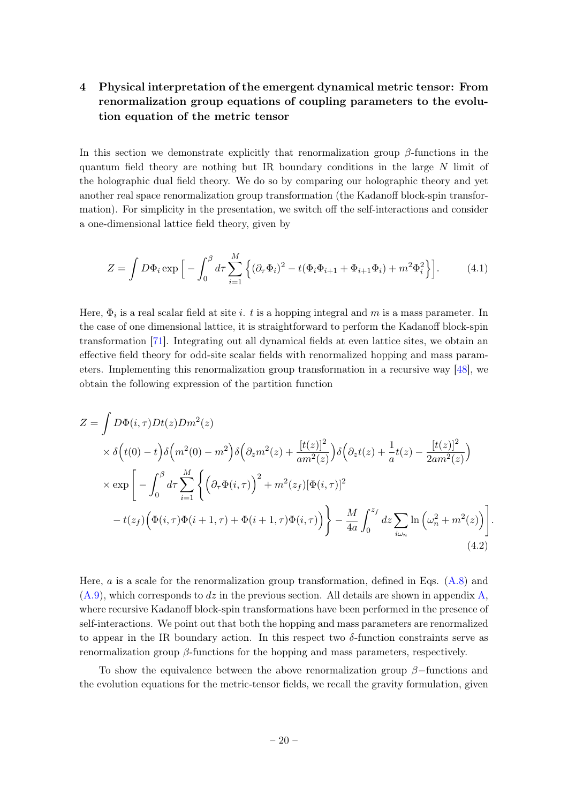# <span id="page-20-0"></span>4 Physical interpretation of the emergent dynamical metric tensor: From renormalization group equations of coupling parameters to the evolution equation of the metric tensor

In this section we demonstrate explicitly that renormalization group  $\beta$ -functions in the quantum field theory are nothing but IR boundary conditions in the large N limit of the holographic dual field theory. We do so by comparing our holographic theory and yet another real space renormalization group transformation (the Kadanoff block-spin transformation). For simplicity in the presentation, we switch off the self-interactions and consider a one-dimensional lattice field theory, given by

$$
Z = \int D\Phi_i \exp\Big[-\int_0^\beta d\tau \sum_{i=1}^M \Big\{ (\partial_\tau \Phi_i)^2 - t(\Phi_i \Phi_{i+1} + \Phi_{i+1} \Phi_i) + m^2 \Phi_i^2 \Big\} \Big].
$$
 (4.1)

Here,  $\Phi_i$  is a real scalar field at site *i*. t is a hopping integral and m is a mass parameter. In the case of one dimensional lattice, it is straightforward to perform the Kadanoff block-spin transformation [\[71\]](#page-51-0). Integrating out all dynamical fields at even lattice sites, we obtain an effective field theory for odd-site scalar fields with renormalized hopping and mass parameters. Implementing this renormalization group transformation in a recursive way [\[48\]](#page-50-9), we obtain the following expression of the partition function

$$
Z = \int D\Phi(i,\tau)Dt(z)Dm^{2}(z)
$$
  
\n
$$
\times \delta(t(0) - t)\delta(m^{2}(0) - m^{2})\delta(\partial_{z}m^{2}(z) + \frac{[t(z)]^{2}}{am^{2}(z)})\delta(\partial_{z}t(z) + \frac{1}{a}t(z) - \frac{[t(z)]^{2}}{2am^{2}(z)})
$$
  
\n
$$
\times \exp\left[-\int_{0}^{\beta}d\tau\sum_{i=1}^{M}\left\{(\partial_{\tau}\Phi(i,\tau))^{2} + m^{2}(z_{f})[\Phi(i,\tau)]^{2}\right\}
$$
  
\n
$$
-t(z_{f})\left(\Phi(i,\tau)\Phi(i+1,\tau) + \Phi(i+1,\tau)\Phi(i,\tau)\right)\right\} - \frac{M}{4a}\int_{0}^{z_{f}}dz\sum_{i\omega_{n}}\ln(\omega_{n}^{2} + m^{2}(z))\left[(4.2)\right]
$$
  
\n(4.2)

<span id="page-20-1"></span>Here,  $a$  is a scale for the renormalization group transformation, defined in Eqs.  $(A.8)$  and  $(A.9)$ , which corresponds to dz in the previous section. All details are shown in appendix [A,](#page-36-0) where recursive Kadanoff block-spin transformations have been performed in the presence of self-interactions. We point out that both the hopping and mass parameters are renormalized to appear in the IR boundary action. In this respect two  $\delta$ -function constraints serve as renormalization group  $\beta$ -functions for the hopping and mass parameters, respectively.

To show the equivalence between the above renormalization group  $\beta$ −functions and the evolution equations for the metric-tensor fields, we recall the gravity formulation, given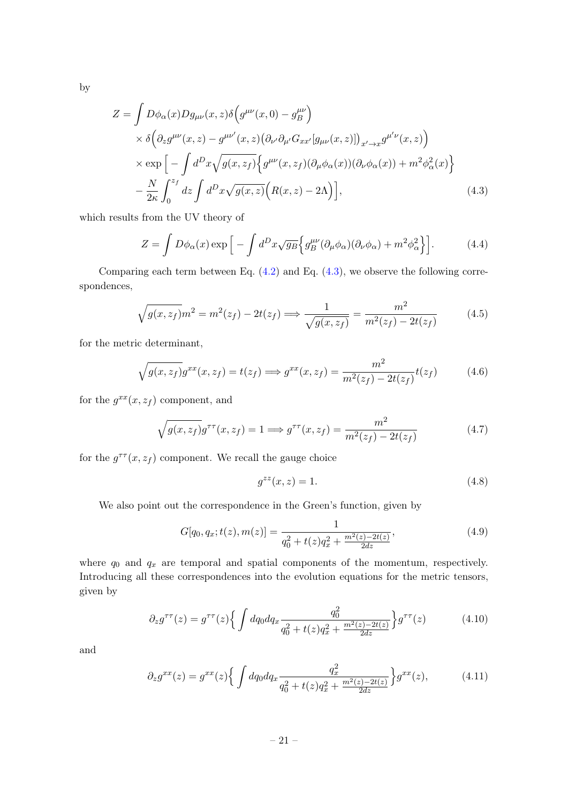by

$$
Z = \int D\phi_{\alpha}(x)Dg_{\mu\nu}(x,z)\delta\left(g^{\mu\nu}(x,0) - g_B^{\mu\nu}\right)
$$
  
 
$$
\times \delta\left(\partial_z g^{\mu\nu}(x,z) - g^{\mu\nu'}(x,z)\left(\partial_{\nu'}\partial_{\mu'}G_{xx'}[g_{\mu\nu}(x,z)]\right)_{x'\to x}g^{\mu'\nu}(x,z)\right)
$$
  
 
$$
\times \exp\left[-\int d^Dx\sqrt{g(x,z_f)}\Big\{g^{\mu\nu}(x,z_f)(\partial_{\mu}\phi_{\alpha}(x))(\partial_{\nu}\phi_{\alpha}(x)) + m^2\phi_{\alpha}^2(x)\Big\}
$$
  
 
$$
-\frac{N}{2\kappa}\int_0^{z_f}dz\int d^Dx\sqrt{g(x,z)}\Big(R(x,z)-2\Lambda\Big)\Big],
$$
 (4.3)

which results from the UV theory of

<span id="page-21-0"></span>
$$
Z = \int D\phi_{\alpha}(x) \exp\left[-\int d^D x \sqrt{g_B} \left\{ g_B^{\mu\nu} (\partial_{\mu}\phi_{\alpha})(\partial_{\nu}\phi_{\alpha}) + m^2 \phi_{\alpha}^2 \right\} \right]. \tag{4.4}
$$

Comparing each term between Eq.  $(4.2)$  and Eq.  $(4.3)$ , we observe the following correspondences,

$$
\sqrt{g(x, z_f)}m^2 = m^2(z_f) - 2t(z_f) \Longrightarrow \frac{1}{\sqrt{g(x, z_f)}} = \frac{m^2}{m^2(z_f) - 2t(z_f)}
$$
(4.5)

for the metric determinant,

$$
\sqrt{g(x, z_f)}g^{xx}(x, z_f) = t(z_f) \Longrightarrow g^{xx}(x, z_f) = \frac{m^2}{m^2(z_f) - 2t(z_f)}t(z_f)
$$
(4.6)

for the  $g^{xx}(x, z_f)$  component, and

$$
\sqrt{g(x, z_f)}g^{\tau\tau}(x, z_f) = 1 \Longrightarrow g^{\tau\tau}(x, z_f) = \frac{m^2}{m^2(z_f) - 2t(z_f)}
$$
(4.7)

for the  $g^{\tau\tau}(x, z_f)$  component. We recall the gauge choice

$$
g^{zz}(x,z) = 1.\tag{4.8}
$$

We also point out the correspondence in the Green's function, given by

$$
G[q_0, q_x; t(z), m(z)] = \frac{1}{q_0^2 + t(z)q_x^2 + \frac{m^2(z) - 2t(z)}{2dz}},
$$
\n(4.9)

where  $q_0$  and  $q_x$  are temporal and spatial components of the momentum, respectively. Introducing all these correspondences into the evolution equations for the metric tensors, given by

$$
\partial_z g^{\tau\tau}(z) = g^{\tau\tau}(z) \left\{ \int dq_0 dq_x \frac{q_0^2}{q_0^2 + t(z)q_x^2 + \frac{m^2(z) - 2t(z)}{2dz}} \right\} g^{\tau\tau}(z) \tag{4.10}
$$

and

$$
\partial_z g^{xx}(z) = g^{xx}(z) \left\{ \int dq_0 dq_x \frac{q_x^2}{q_0^2 + t(z)q_x^2 + \frac{m^2(z) - 2t(z)}{2dz}} \right\} g^{xx}(z),\tag{4.11}
$$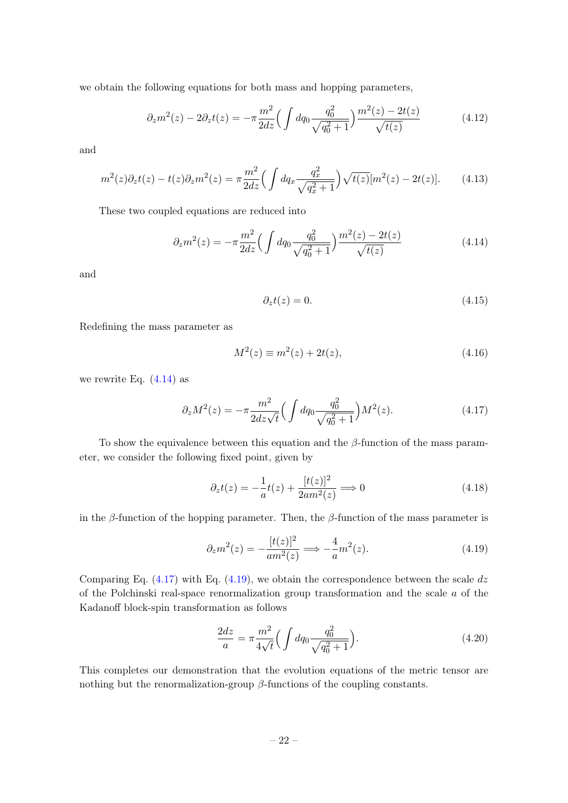we obtain the following equations for both mass and hopping parameters,

$$
\partial_z m^2(z) - 2\partial_z t(z) = -\pi \frac{m^2}{2dz} \Big( \int dq_0 \frac{q_0^2}{\sqrt{q_0^2 + 1}} \Big) \frac{m^2(z) - 2t(z)}{\sqrt{t(z)}}
$$
(4.12)

and

$$
m^{2}(z)\partial_{z}t(z) - t(z)\partial_{z}m^{2}(z) = \pi \frac{m^{2}}{2dz} \Big(\int dq_{x} \frac{q_{x}^{2}}{\sqrt{q_{x}^{2} + 1}}\Big) \sqrt{t(z)} [m^{2}(z) - 2t(z)]. \tag{4.13}
$$

These two coupled equations are reduced into

<span id="page-22-0"></span>
$$
\partial_z m^2(z) = -\pi \frac{m^2}{2dz} \Big( \int dq_0 \frac{q_0^2}{\sqrt{q_0^2 + 1}} \Big) \frac{m^2(z) - 2t(z)}{\sqrt{t(z)}}
$$
(4.14)

and

$$
\partial_z t(z) = 0. \tag{4.15}
$$

Redefining the mass parameter as

$$
M^{2}(z) \equiv m^{2}(z) + 2t(z), \tag{4.16}
$$

we rewrite Eq.  $(4.14)$  as

<span id="page-22-1"></span>
$$
\partial_z M^2(z) = -\pi \frac{m^2}{2dz\sqrt{t}} \Big( \int dq_0 \frac{q_0^2}{\sqrt{q_0^2 + 1}} \Big) M^2(z). \tag{4.17}
$$

To show the equivalence between this equation and the  $\beta$ -function of the mass parameter, we consider the following fixed point, given by

$$
\partial_z t(z) = -\frac{1}{a}t(z) + \frac{[t(z)]^2}{2am^2(z)} \Longrightarrow 0
$$
\n(4.18)

in the β-function of the hopping parameter. Then, the β-function of the mass parameter is

<span id="page-22-2"></span>
$$
\partial_z m^2(z) = -\frac{[t(z)]^2}{am^2(z)} \Longrightarrow -\frac{4}{a}m^2(z). \tag{4.19}
$$

Comparing Eq.  $(4.17)$  with Eq.  $(4.19)$ , we obtain the correspondence between the scale dz of the Polchinski real-space renormalization group transformation and the scale  $\alpha$  of the Kadanoff block-spin transformation as follows

$$
\frac{2dz}{a} = \pi \frac{m^2}{4\sqrt{t}} \Big( \int dq_0 \frac{q_0^2}{\sqrt{q_0^2 + 1}} \Big). \tag{4.20}
$$

This completes our demonstration that the evolution equations of the metric tensor are nothing but the renormalization-group  $\beta$ -functions of the coupling constants.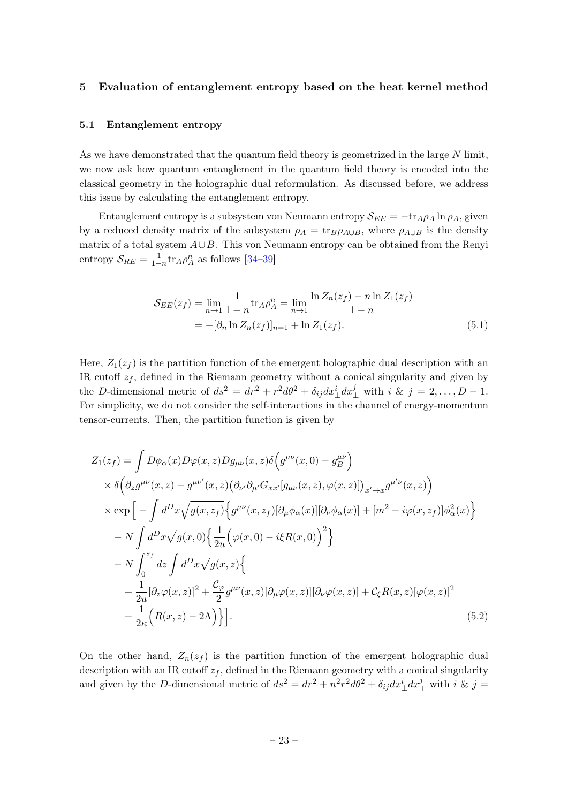#### <span id="page-23-0"></span>5 Evaluation of entanglement entropy based on the heat kernel method

#### <span id="page-23-1"></span>5.1 Entanglement entropy

As we have demonstrated that the quantum field theory is geometrized in the large N limit, we now ask how quantum entanglement in the quantum field theory is encoded into the classical geometry in the holographic dual reformulation. As discussed before, we address this issue by calculating the entanglement entropy.

Entanglement entropy is a subsystem von Neumann entropy  $\mathcal{S}_{EE} = -\text{tr}_{A}\rho_A \ln \rho_A$ , given by a reduced density matrix of the subsystem  $\rho_A = \text{tr}_B \rho_{A\cup B}$ , where  $\rho_{A\cup B}$  is the density matrix of a total system  $A\cup B$ . This von Neumann entropy can be obtained from the Renyi entropy  $S_{RE} = \frac{1}{1-n} \text{tr}_A \rho_A^n$  as follows [\[34](#page-49-3)[–39\]](#page-50-0)

$$
\mathcal{S}_{EE}(z_f) = \lim_{n \to 1} \frac{1}{1 - n} \text{tr}_A \rho_A^n = \lim_{n \to 1} \frac{\ln Z_n(z_f) - n \ln Z_1(z_f)}{1 - n}
$$
  
= -[\partial\_n \ln Z\_n(z\_f)]\_{n=1} + \ln Z\_1(z\_f). (5.1)

Here,  $Z_1(z_f)$  is the partition function of the emergent holographic dual description with an IR cutoff  $z_f$ , defined in the Riemann geometry without a conical singularity and given by the D-dimensional metric of  $ds^2 = dr^2 + r^2 d\theta^2 + \delta_{ij} dx_{\perp}^i dx_{\perp}^j$  with  $i \& j = 2, ..., D - 1$ . For simplicity, we do not consider the self-interactions in the channel of energy-momentum tensor-currents. Then, the partition function is given by

$$
Z_1(z_f) = \int D\phi_{\alpha}(x)D\varphi(x,z)Dg_{\mu\nu}(x,z)\delta\left(g^{\mu\nu}(x,0) - g^{\mu\nu}\right)
$$
  
\n
$$
\times \delta\left(\partial_z g^{\mu\nu}(x,z) - g^{\mu\nu'}(x,z)\left(\partial_{\nu'}\partial_{\mu'}G_{xx'}[g_{\mu\nu}(x,z),\varphi(x,z)]\right)_{x'\to x}g^{\mu'\nu}(x,z)\right)
$$
  
\n
$$
\times \exp\left[-\int d^Dx\sqrt{g(x,z_f)}\left\{g^{\mu\nu}(x,z_f)[\partial_{\mu}\phi_{\alpha}(x)][\partial_{\nu}\phi_{\alpha}(x)] + [m^2 - i\varphi(x,z_f)]\phi_{\alpha}^2(x)\right\}\right]
$$
  
\n
$$
-N\int d^Dx\sqrt{g(x,0)}\left\{\frac{1}{2u}\left(\varphi(x,0) - i\xi R(x,0)\right)^2\right\}
$$
  
\n
$$
-N\int_0^{z_f} dz \int d^Dx\sqrt{g(x,z)}\left\{\n+ \frac{1}{2u}[\partial_z\varphi(x,z)]^2 + \frac{\mathcal{C}_\varphi}{2}g^{\mu\nu}(x,z)[\partial_\mu\varphi(x,z)][\partial_\nu\varphi(x,z)] + \mathcal{C}_\xi R(x,z)[\varphi(x,z)]^2
$$
  
\n
$$
+ \frac{1}{2\kappa}\left(R(x,z) - 2\Lambda\right)\right\}].
$$
 (5.2)

On the other hand,  $Z_n(z_f)$  is the partition function of the emergent holographic dual description with an IR cutoff  $z_f$ , defined in the Riemann geometry with a conical singularity and given by the D-dimensional metric of  $ds^2 = dr^2 + n^2r^2d\theta^2 + \delta_{ij}dx^i_{\perp}dx^j_{\perp}$  with  $i \& j =$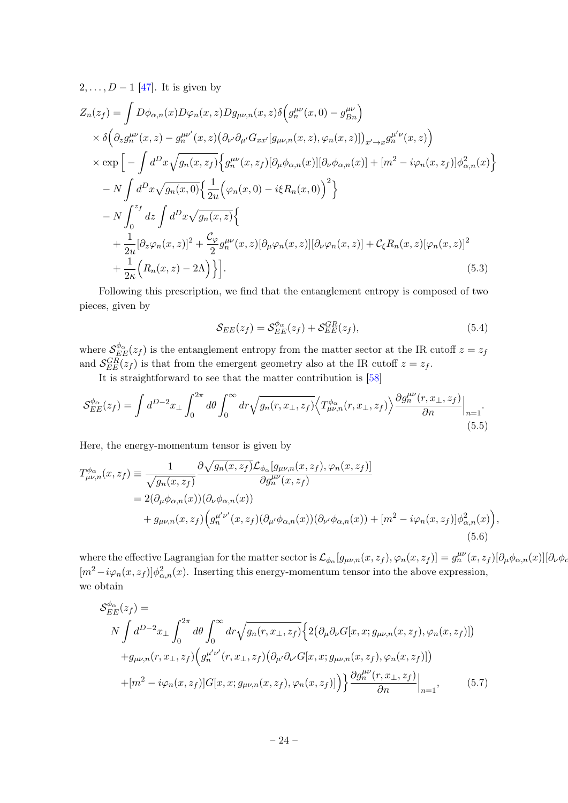$2, \ldots, D-1$  [\[47\]](#page-50-8). It is given by

$$
Z_n(z_f) = \int D\phi_{\alpha,n}(x)D\varphi_n(x,z)Dg_{\mu\nu,n}(x,z)\delta\left(g_n^{\mu\nu}(x,0) - g_{Bn}^{\mu\nu}\right)
$$
  
\n
$$
\times \delta\left(\partial_z g_n^{\mu\nu}(x,z) - g_n^{\mu\nu'}(x,z)\left(\partial_{\nu'}\partial_{\mu'}G_{xx'}[g_{\mu\nu,n}(x,z),\varphi_n(x,z)]\right)_{x'\to x}g_n^{\mu'\nu}(x,z)\right)
$$
  
\n
$$
\times \exp\left[-\int d^Dx\sqrt{g_n(x,z_f)}\left\{g_n^{\mu\nu}(x,z_f)[\partial_\mu\phi_{\alpha,n}(x)][\partial_\nu\phi_{\alpha,n}(x)] + [m^2 - i\varphi_n(x,z_f)]\phi_{\alpha,n}^2(x)\right\}
$$
  
\n
$$
-N\int d^Dx\sqrt{g_n(x,0)}\left\{\frac{1}{2u}\left(\varphi_n(x,0) - i\xi R_n(x,0)\right)^2\right\}
$$
  
\n
$$
-N\int_0^{z_f} dz \int d^Dx\sqrt{g_n(x,z)}\left\{\n+ \frac{1}{2u}[\partial_z\varphi_n(x,z)]^2 + \frac{\mathcal{C}_\varphi}{2}g_n^{\mu\nu}(x,z)[\partial_\mu\varphi_n(x,z)][\partial_\nu\varphi_n(x,z)] + \mathcal{C}_\xi R_n(x,z)[\varphi_n(x,z)]^2
$$
  
\n
$$
+ \frac{1}{2\kappa}\left(R_n(x,z) - 2\Lambda\right)\right\}.
$$
\n(5.3)

Following this prescription, we find that the entanglement entropy is composed of two pieces, given by

<span id="page-24-1"></span><span id="page-24-0"></span>
$$
\mathcal{S}_{EE}(z_f) = \mathcal{S}_{EE}^{\phi_{\alpha}}(z_f) + \mathcal{S}_{EE}^{GR}(z_f),\tag{5.4}
$$

where  $\mathcal{S}_{EE}^{\phi_{\alpha}}(z_f)$  is the entanglement entropy from the matter sector at the IR cutoff  $z = z_f$ and  $S_{EE}^{GR}(z_f)$  is that from the emergent geometry also at the IR cutoff  $z = z_f$ .

It is straightforward to see that the matter contribution is [\[58\]](#page-51-1)

$$
\mathcal{S}_{EE}^{\phi_{\alpha}}(z_f) = \int d^{D-2}x_{\perp} \int_0^{2\pi} d\theta \int_0^{\infty} dr \sqrt{g_n(r, x_{\perp}, z_f)} \langle T_{\mu\nu,n}^{\phi_{\alpha}}(r, x_{\perp}, z_f) \rangle \frac{\partial g_n^{\mu\nu}(r, x_{\perp}, z_f)}{\partial n} \Big|_{n=1}.
$$
\n(5.5)

Here, the energy-momentum tensor is given by

$$
T^{\phi_{\alpha}}_{\mu\nu,n}(x,z_f) \equiv \frac{1}{\sqrt{g_n(x,z_f)}} \frac{\partial \sqrt{g_n(x,z_f)} \mathcal{L}_{\phi_{\alpha}}[g_{\mu\nu,n}(x,z_f), \varphi_n(x,z_f)]}{\partial g_n^{\mu\nu}(x,z_f)} = 2(\partial_{\mu}\phi_{\alpha,n}(x))(\partial_{\nu}\phi_{\alpha,n}(x)) + g_{\mu\nu,n}(x,z_f) \Big(g_n^{\mu'\nu'}(x,z_f)(\partial_{\mu'}\phi_{\alpha,n}(x))(\partial_{\nu'}\phi_{\alpha,n}(x)) + [m^2 - i\varphi_n(x,z_f)]\phi_{\alpha,n}^2(x)\Big),
$$
(5.6)

where the effective Lagrangian for the matter sector is  $\mathcal{L}_{\phi_{\alpha}}[g_{\mu\nu,n}(x,z_f),\varphi_n(x,z_f)]=g_n^{\mu\nu}(x,z_f)[\partial_{\mu}\phi_{\alpha,n}(x)][\partial_{\nu}\phi_{\alpha,n}(x)]$  $[m^2 - i\varphi_n(x, z_f)]\phi_{\alpha,n}^2(x)$ . Inserting this energy-momentum tensor into the above expression, we obtain

$$
S_{EE}^{\phi_{\alpha}}(z_{f}) = N \int d^{D-2}x_{\perp} \int_{0}^{2\pi} d\theta \int_{0}^{\infty} dr \sqrt{g_{n}(r, x_{\perp}, z_{f})} \Big\{ 2(\partial_{\mu}\partial_{\nu}G[x, x; g_{\mu\nu,n}(x, z_{f}), \varphi_{n}(x, z_{f})])
$$
  
+  $g_{\mu\nu,n}(r, x_{\perp}, z_{f}) \Big(g_{n}^{\mu'\nu'}(r, x_{\perp}, z_{f})(\partial_{\mu'}\partial_{\nu'}G[x, x; g_{\mu\nu,n}(x, z_{f}), \varphi_{n}(x, z_{f})])$   
+  $[m^{2} - i\varphi_{n}(x, z_{f})]G[x, x; g_{\mu\nu,n}(x, z_{f}), \varphi_{n}(x, z_{f})] \Big\} \frac{\partial g_{n}^{\mu\nu}(r, x_{\perp}, z_{f})}{\partial n}\Big|_{n=1},$  (5.7)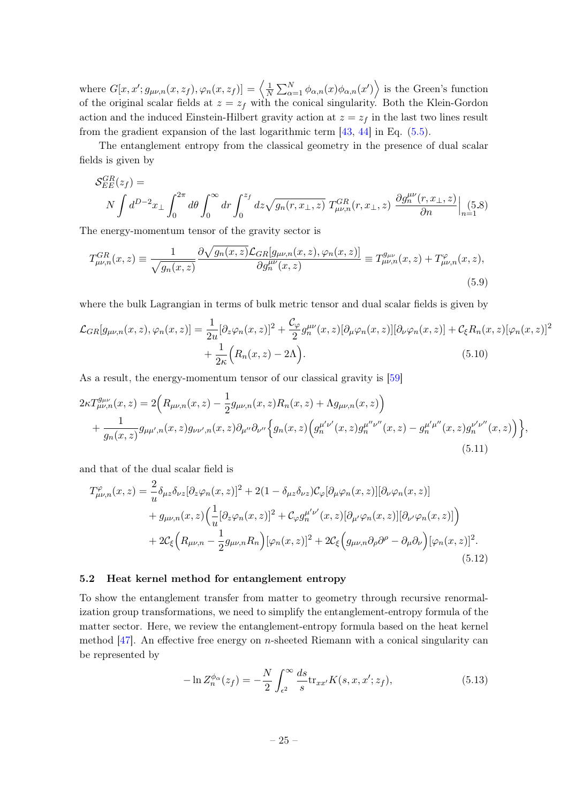where  $G[x, x'; g_{\mu\nu,n}(x, z_f), \varphi_n(x, z_f)] = \left\langle \frac{1}{N} \right\rangle$  $\frac{1}{N} \sum_{\alpha=1}^{N} \phi_{\alpha,n}(x) \phi_{\alpha,n}(x')\Big\rangle$  is the Green's function of the original scalar fields at  $z = z_f$  with the conical singularity. Both the Klein-Gordon action and the induced Einstein-Hilbert gravity action at  $z = z_f$  in the last two lines result from the gradient expansion of the last logarithmic term  $[43, 44]$  $[43, 44]$  $[43, 44]$  in Eq.  $(5.5)$ .

The entanglement entropy from the classical geometry in the presence of dual scalar fields is given by

$$
S_{EE}^{GR}(z_f) =
$$
  

$$
N \int d^{D-2}x_{\perp} \int_0^{2\pi} d\theta \int_0^{\infty} dr \int_0^{z_f} dz \sqrt{g_n(r, x_{\perp}, z)} T_{\mu\nu, n}^{GR}(r, x_{\perp}, z) \frac{\partial g_n^{\mu\nu}(r, x_{\perp}, z)}{\partial n} \Big|_{n=1} (5.8)
$$

The energy-momentum tensor of the gravity sector is

$$
T_{\mu\nu,n}^{GR}(x,z) \equiv \frac{1}{\sqrt{g_n(x,z)}} \frac{\partial \sqrt{g_n(x,z)} \mathcal{L}_{GR}[g_{\mu\nu,n}(x,z), \varphi_n(x,z)]}{\partial g_n^{\mu\nu}(x,z)} \equiv T_{\mu\nu,n}^{g_{\mu\nu}}(x,z) + T_{\mu\nu,n}^{\varphi}(x,z), \tag{5.9}
$$

where the bulk Lagrangian in terms of bulk metric tensor and dual scalar fields is given by

$$
\mathcal{L}_{GR}[g_{\mu\nu,n}(x,z),\varphi_n(x,z)] = \frac{1}{2u} [\partial_z \varphi_n(x,z)]^2 + \frac{\mathcal{C}_{\varphi}}{2} g_n^{\mu\nu}(x,z) [\partial_\mu \varphi_n(x,z)] [\partial_\nu \varphi_n(x,z)] + \mathcal{C}_{\xi} R_n(x,z) [\varphi_n(x,z)]^2
$$

$$
+ \frac{1}{2\kappa} \Big( R_n(x,z) - 2\Lambda \Big). \tag{5.10}
$$

As a result, the energy-momentum tensor of our classical gravity is [\[59\]](#page-51-2)

$$
2\kappa T_{\mu\nu,n}^{g_{\mu\nu}}(x,z) = 2\Big(R_{\mu\nu,n}(x,z) - \frac{1}{2}g_{\mu\nu,n}(x,z)R_n(x,z) + \Lambda g_{\mu\nu,n}(x,z)\Big) + \frac{1}{g_n(x,z)}g_{\mu\mu',n}(x,z)g_{\nu\nu',n}(x,z)\partial_{\mu''}\partial_{\nu''}\Big\{g_n(x,z)\Big(g_n^{\mu'\nu'}(x,z)g_n^{\mu''\nu''}(x,z) - g_n^{\mu'\mu''}(x,z)g_n^{\nu'\nu''}(x,z)\Big)\Big\},
$$
\n(5.11)

and that of the dual scalar field is

$$
T^{\varphi}_{\mu\nu,n}(x,z) = \frac{2}{u} \delta_{\mu z} \delta_{\nu z} [\partial_z \varphi_n(x,z)]^2 + 2(1 - \delta_{\mu z} \delta_{\nu z}) \mathcal{C}_{\varphi} [\partial_{\mu} \varphi_n(x,z)] [\partial_{\nu} \varphi_n(x,z)] + g_{\mu\nu,n}(x,z) \Big( \frac{1}{u} [\partial_z \varphi_n(x,z)]^2 + \mathcal{C}_{\varphi} g_n^{\mu'\nu'}(x,z) [\partial_{\mu'} \varphi_n(x,z)] [\partial_{\nu'} \varphi_n(x,z)] \Big) + 2\mathcal{C}_{\xi} \Big( R_{\mu\nu,n} - \frac{1}{2} g_{\mu\nu,n} R_n \Big) [\varphi_n(x,z)]^2 + 2\mathcal{C}_{\xi} \Big( g_{\mu\nu,n} \partial_{\rho} \partial^{\rho} - \partial_{\mu} \partial_{\nu} \Big) [\varphi_n(x,z)]^2.
$$
(5.12)

#### <span id="page-25-0"></span>5.2 Heat kernel method for entanglement entropy

To show the entanglement transfer from matter to geometry through recursive renormalization group transformations, we need to simplify the entanglement-entropy formula of the matter sector. Here, we review the entanglement-entropy formula based on the heat kernel method  $[47]$ . An effective free energy on *n*-sheeted Riemann with a conical singularity can be represented by

$$
-\ln Z_n^{\phi_\alpha}(z_f) = -\frac{N}{2} \int_{\epsilon^2}^{\infty} \frac{ds}{s} \text{tr}_{xx'} K(s, x, x'; z_f), \tag{5.13}
$$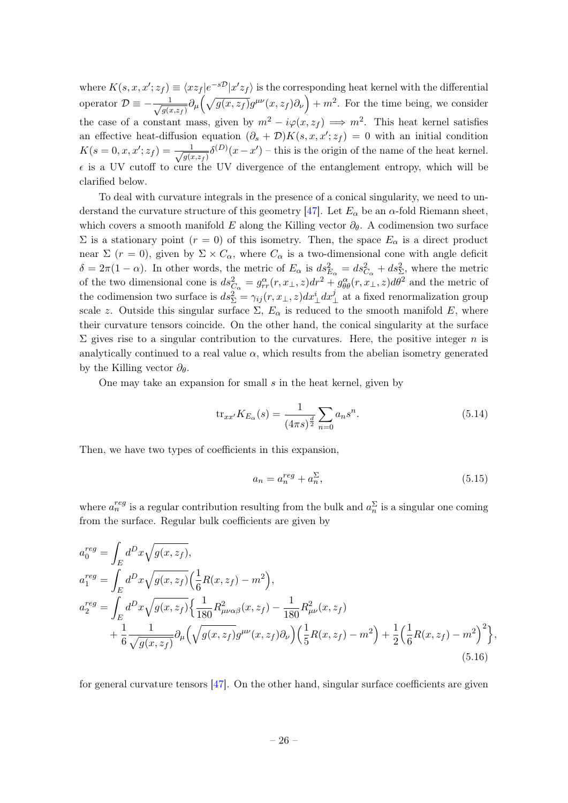where  $K(s, x, x'; z_f) \equiv \langle x z_f | e^{-s\mathcal{D}} | x' z_f \rangle$  is the corresponding heat kernel with the differential operator  $\mathcal{D} \equiv -\frac{1}{\sqrt{2}}$  $\frac{1}{g(x,z_f)}\partial_\mu\left(\sqrt{g(x,z_f)}g^{\mu\nu}(x,z_f)\partial_\nu\right)+m^2$ . For the time being, we consider the case of a constant mass, given by  $m^2 - i\varphi(x, z_f) \implies m^2$ . This heat kernel satisfies an effective heat-diffusion equation  $(\partial_s + \mathcal{D})K(s, x, x'; z_f) = 0$  with an initial condition  $K(s=0,x,x';z_f) = -\frac{1}{\sqrt{s(s)}}$  $\frac{1}{g(x,z_f)}\delta^{(D)}(x-x')$  – this is the origin of the name of the heat kernel.  $\epsilon$  is a UV cutoff to cure the UV divergence of the entanglement entropy, which will be clarified below.

To deal with curvature integrals in the presence of a conical singularity, we need to un-derstand the curvature structure of this geometry [\[47\]](#page-50-8). Let  $E_{\alpha}$  be an  $\alpha$ -fold Riemann sheet, which covers a smooth manifold E along the Killing vector  $\partial_{\theta}$ . A codimension two surface Σ is a stationary point ( $r = 0$ ) of this isometry. Then, the space  $E_α$  is a direct product near  $\Sigma$  (r = 0), given by  $\Sigma \times C_{\alpha}$ , where  $C_{\alpha}$  is a two-dimensional cone with angle deficit  $\delta = 2\pi(1-\alpha)$ . In other words, the metric of  $E_{\alpha}$  is  $ds_{E_{\alpha}}^2 = ds_{C_{\alpha}}^2 + ds_{\Sigma}^2$ , where the metric of the two dimensional cone is  $ds_{C_{\alpha}}^2 = g_{rr}^{\alpha}(r, x_\perp, z)dr^2 + g_{\theta\theta}^{\alpha}(r, x_\perp, z)d\theta^2$  and the metric of the codimension two surface is  $ds_{\Sigma}^2 = \gamma_{ij}(r, x_{\perp}, z) dx_{\perp}^i dx_{\perp}^j$  at a fixed renormalization group scale z. Outside this singular surface  $\Sigma$ ,  $E_{\alpha}$  is reduced to the smooth manifold E, where their curvature tensors coincide. On the other hand, the conical singularity at the surface  $\Sigma$  gives rise to a singular contribution to the curvatures. Here, the positive integer *n* is analytically continued to a real value  $\alpha$ , which results from the abelian isometry generated by the Killing vector  $\partial_{\theta}$ .

One may take an expansion for small  $s$  in the heat kernel, given by

<span id="page-26-0"></span>
$$
\text{tr}_{xx'} K_{E_\alpha}(s) = \frac{1}{(4\pi s)^{\frac{d}{2}}} \sum_{n=0} a_n s^n.
$$
\n(5.14)

Then, we have two types of coefficients in this expansion,

$$
a_n = a_n^{reg} + a_n^{\Sigma},\tag{5.15}
$$

where  $a_n^{reg}$  is a regular contribution resulting from the bulk and  $a_n^{\Sigma}$  is a singular one coming from the surface. Regular bulk coefficients are given by

$$
a_0^{reg} = \int_E d^D x \sqrt{g(x, z_f)},
$$
  
\n
$$
a_1^{reg} = \int_E d^D x \sqrt{g(x, z_f)} \left(\frac{1}{6} R(x, z_f) - m^2\right),
$$
  
\n
$$
a_2^{reg} = \int_E d^D x \sqrt{g(x, z_f)} \left\{\frac{1}{180} R_{\mu\nu\alpha\beta}^2(x, z_f) - \frac{1}{180} R_{\mu\nu}^2(x, z_f) - \frac{1}{180} R_{\mu\nu}^2(x, z_f) - \frac{1}{180} R_{\mu\nu}^2(x, z_f) - \frac{1}{180} R_{\mu\nu}^2(x, z_f) - \frac{1}{180} R_{\mu\nu}^2(x, z_f) - \frac{1}{180} R_{\mu\nu}^2(x, z_f) - \frac{1}{180} R_{\mu\nu}^2(x, z_f) - \frac{1}{180} R_{\mu\nu}^2(x, z_f) - \frac{1}{180} R_{\mu\nu}^2(x, z_f) - \frac{1}{180} R_{\mu\nu}^2(x, z_f) - \frac{1}{180} R_{\mu\nu}^2(x, z_f) - \frac{1}{180} R_{\mu\nu}^2(x, z_f) - \frac{1}{180} R_{\mu\nu}^2(x, z_f) - \frac{1}{180} R_{\mu\nu}^2(x, z_f) - \frac{1}{180} R_{\mu\nu}^2(x, z_f) - \frac{1}{180} R_{\mu\nu}^2(x, z_f) - \frac{1}{180} R_{\mu\nu}^2(x, z_f) - \frac{1}{180} R_{\mu\nu}^2(x, z_f) - \frac{1}{180} R_{\mu\nu}^2(x, z_f) - \frac{1}{180} R_{\mu\nu}^2(x, z_f) - \frac{1}{180} R_{\mu\nu}^2(x, z_f) - \frac{1}{180} R_{\mu\nu}^2(x, z_f) - \frac{1}{180} R_{\mu\nu}^2(x, z_f) - \frac{1}{180} R_{\mu\nu}^2(x, z_f) - \frac{1}{180} R_{\mu\nu}^2(x, z_f) - \frac{1}{180} R_{\mu
$$

for general curvature tensors [\[47\]](#page-50-8). On the other hand, singular surface coefficients are given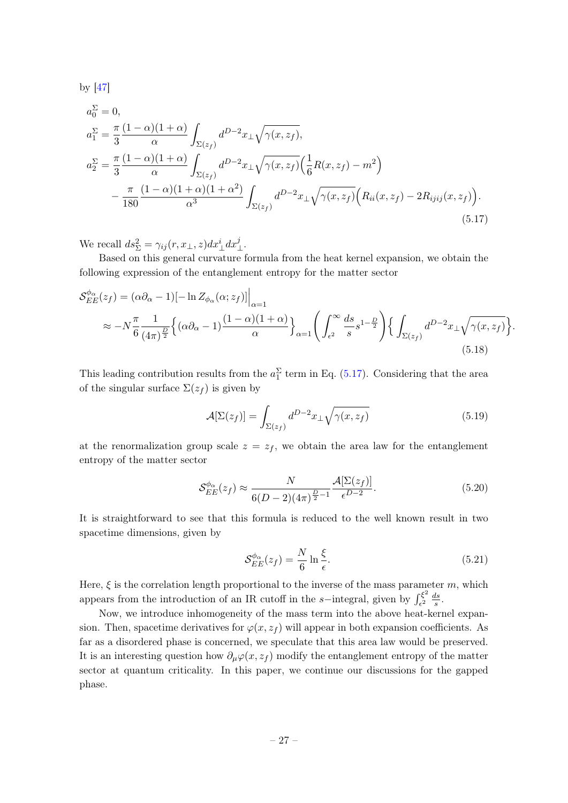by [\[47\]](#page-50-8)

$$
a_0^{\Sigma} = 0,
$$
  
\n
$$
a_1^{\Sigma} = \frac{\pi}{3} \frac{(1 - \alpha)(1 + \alpha)}{\alpha} \int_{\Sigma(z_f)} d^{D-2}x \pm \sqrt{\gamma(x, z_f)},
$$
  
\n
$$
a_2^{\Sigma} = \frac{\pi}{3} \frac{(1 - \alpha)(1 + \alpha)}{\alpha} \int_{\Sigma(z_f)} d^{D-2}x \pm \sqrt{\gamma(x, z_f)} \left(\frac{1}{6}R(x, z_f) - m^2\right)
$$
  
\n
$$
- \frac{\pi}{180} \frac{(1 - \alpha)(1 + \alpha)(1 + \alpha^2)}{\alpha^3} \int_{\Sigma(z_f)} d^{D-2}x \pm \sqrt{\gamma(x, z_f)} \left(R_{ii}(x, z_f) - 2R_{ijij}(x, z_f)\right).
$$
  
\n(5.17)

We recall  $ds_{\Sigma}^2 = \gamma_{ij}(r, x_{\perp}, z) dx_{\perp}^i dx_{\perp}^j$ .

Based on this general curvature formula from the heat kernel expansion, we obtain the following expression of the entanglement entropy for the matter sector

$$
\mathcal{S}_{EE}^{\phi_{\alpha}}(z_{f}) = (\alpha \partial_{\alpha} - 1)[- \ln Z_{\phi_{\alpha}}(\alpha; z_{f})] \Big|_{\alpha=1}
$$
  

$$
\approx -N \frac{\pi}{6} \frac{1}{(4\pi)^{\frac{D}{2}}} \Big\{ (\alpha \partial_{\alpha} - 1) \frac{(1 - \alpha)(1 + \alpha)}{\alpha} \Big\}_{\alpha=1} \Bigg( \int_{\epsilon^{2}}^{\infty} \frac{ds}{s} s^{1 - \frac{D}{2}} \Bigg) \Big\{ \int_{\Sigma(z_{f})} d^{D-2} x_{\perp} \sqrt{\gamma(x, z_{f})} \Big\}.
$$
  
(5.18)

This leading contribution results from the  $a_1^{\Sigma}$  term in Eq. [\(5.17\)](#page-27-0). Considering that the area of the singular surface  $\Sigma(z_f)$  is given by

<span id="page-27-0"></span>
$$
\mathcal{A}[\Sigma(z_f)] = \int_{\Sigma(z_f)} d^{D-2}x_\perp \sqrt{\gamma(x, z_f)}
$$
(5.19)

at the renormalization group scale  $z = z_f$ , we obtain the area law for the entanglement entropy of the matter sector

$$
\mathcal{S}_{EE}^{\phi_{\alpha}}(z_f) \approx \frac{N}{6(D-2)(4\pi)^{\frac{D}{2}-1}} \frac{\mathcal{A}[\Sigma(z_f)]}{\epsilon^{D-2}}.
$$
\n(5.20)

It is straightforward to see that this formula is reduced to the well known result in two spacetime dimensions, given by

<span id="page-27-1"></span>
$$
\mathcal{S}_{EE}^{\phi_{\alpha}}(z_f) = \frac{N}{6} \ln \frac{\xi}{\epsilon}.\tag{5.21}
$$

Here,  $\xi$  is the correlation length proportional to the inverse of the mass parameter m, which appears from the introduction of an IR cutoff in the s−integral, given by  $\int_{\epsilon^2}^{\xi^2}$  $\frac{\partial \xi^2}{\partial \epsilon^2} \frac{ds}{s}$  $\frac{ds}{s}$ .

Now, we introduce inhomogeneity of the mass term into the above heat-kernel expansion. Then, spacetime derivatives for  $\varphi(x, z_f)$  will appear in both expansion coefficients. As far as a disordered phase is concerned, we speculate that this area law would be preserved. It is an interesting question how  $\partial_{\mu}\varphi(x, z_f)$  modify the entanglement entropy of the matter sector at quantum criticality. In this paper, we continue our discussions for the gapped phase.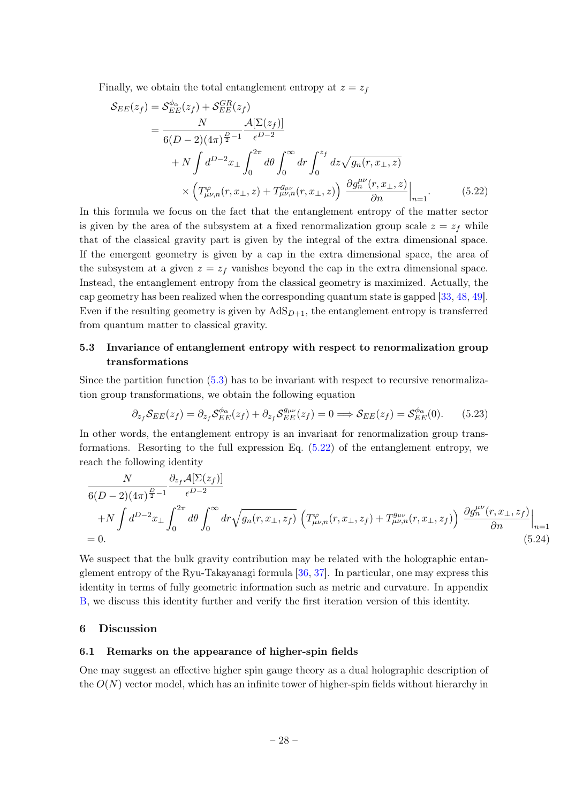Finally, we obtain the total entanglement entropy at  $z = z_f$ 

<span id="page-28-3"></span>
$$
\mathcal{S}_{EE}(z_f) = \mathcal{S}_{EE}^{\phi_{\alpha}}(z_f) + \mathcal{S}_{EE}^{GR}(z_f)
$$
  
= 
$$
\frac{N}{6(D-2)(4\pi)^{\frac{D}{2}-1}} \frac{\mathcal{A}[\Sigma(z_f)]}{\epsilon^{D-2}}
$$
  
+ 
$$
N \int d^{D-2}x_{\perp} \int_0^{2\pi} d\theta \int_0^{\infty} dr \int_0^{z_f} dz \sqrt{g_n(r, x_{\perp}, z)}
$$
  

$$
\times \left( T_{\mu\nu,n}^{\varphi}(r, x_{\perp}, z) + T_{\mu\nu,n}^{g_{\mu\nu}}(r, x_{\perp}, z) \right) \frac{\partial g_n^{\mu\nu}(r, x_{\perp}, z)}{\partial n} \Big|_{n=1}.
$$
 (5.22)

In this formula we focus on the fact that the entanglement entropy of the matter sector is given by the area of the subsystem at a fixed renormalization group scale  $z = z_f$  while that of the classical gravity part is given by the integral of the extra dimensional space. If the emergent geometry is given by a cap in the extra dimensional space, the area of the subsystem at a given  $z = z_f$  vanishes beyond the cap in the extra dimensional space. Instead, the entanglement entropy from the classical geometry is maximized. Actually, the cap geometry has been realized when the corresponding quantum state is gapped [\[33,](#page-49-2) [48,](#page-50-9) [49\]](#page-50-10). Even if the resulting geometry is given by  $AdS_{D+1}$ , the entanglement entropy is transferred from quantum matter to classical gravity.

## <span id="page-28-0"></span>5.3 Invariance of entanglement entropy with respect to renormalization group transformations

Since the partition function [\(5.3\)](#page-24-1) has to be invariant with respect to recursive renormalization group transformations, we obtain the following equation

$$
\partial_{z_f} S_{EE}(z_f) = \partial_{z_f} S_{EE}^{\phi_\alpha}(z_f) + \partial_{z_f} S_{EE}^{g_{\mu\nu}}(z_f) = 0 \Longrightarrow S_{EE}(z_f) = S_{EE}^{\phi_\alpha}(0). \tag{5.23}
$$

In other words, the entanglement entropy is an invariant for renormalization group transformations. Resorting to the full expression Eq.  $(5.22)$  of the entanglement entropy, we reach the following identity

$$
\frac{N}{6(D-2)(4\pi)^{\frac{D}{2}-1}} \frac{\partial_{z_f} \mathcal{A}[\Sigma(z_f)]}{\epsilon^{D-2}} \n+ N \int d^{D-2}x_\perp \int_0^{2\pi} d\theta \int_0^\infty dr \sqrt{g_n(r, x_\perp, z_f)} \left( T^\varphi_{\mu\nu,n}(r, x_\perp, z_f) + T^{\bar{g}_{\mu\nu}}_{\mu\nu,n}(r, x_\perp, z_f) \right) \frac{\partial g_n^{\mu\nu}(r, x_\perp, z_f)}{\partial n} \Big|_{n=1} \n= 0.
$$
\n(5.24)

We suspect that the bulk gravity contribution may be related with the holographic entanglement entropy of the Ryu-Takayanagi formula [\[36,](#page-49-5) [37\]](#page-49-6). In particular, one may express this identity in terms of fully geometric information such as metric and curvature. In appendix [B,](#page-44-0) we discuss this identity further and verify the first iteration version of this identity.

#### <span id="page-28-1"></span>6 Discussion

#### <span id="page-28-2"></span>6.1 Remarks on the appearance of higher-spin fields

One may suggest an effective higher spin gauge theory as a dual holographic description of the  $O(N)$  vector model, which has an infinite tower of higher-spin fields without hierarchy in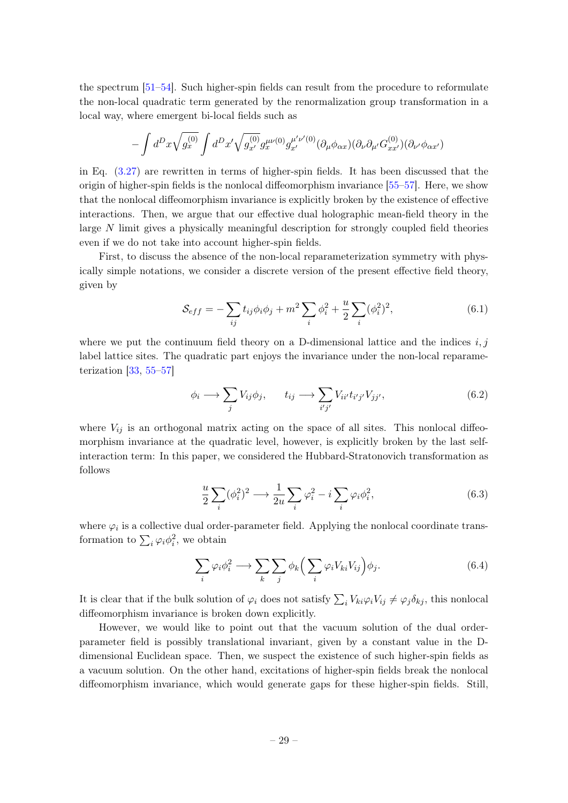the spectrum [\[51–](#page-50-12)[54\]](#page-50-13). Such higher-spin fields can result from the procedure to reformulate the non-local quadratic term generated by the renormalization group transformation in a local way, where emergent bi-local fields such as

$$
-\int d^Dx \sqrt{g^{(0)}_x} \int d^Dx' \sqrt{g^{(0)}_{x'}} g^{\mu\nu(0)}_x g^{\mu'\nu'(0)}_{x'} (\partial_{\mu}\phi_{\alpha x})(\partial_{\nu}\partial_{\mu'}G^{(0)}_{xx'})(\partial_{\nu'}\phi_{\alpha x'})
$$

in Eq. [\(3.27\)](#page-11-0) are rewritten in terms of higher-spin fields. It has been discussed that the origin of higher-spin fields is the nonlocal diffeomorphism invariance [\[55–](#page-50-14)[57\]](#page-50-15). Here, we show that the nonlocal diffeomorphism invariance is explicitly broken by the existence of effective interactions. Then, we argue that our effective dual holographic mean-field theory in the large N limit gives a physically meaningful description for strongly coupled field theories even if we do not take into account higher-spin fields.

First, to discuss the absence of the non-local reparameterization symmetry with physically simple notations, we consider a discrete version of the present effective field theory, given by

$$
S_{eff} = -\sum_{ij} t_{ij} \phi_i \phi_j + m^2 \sum_i \phi_i^2 + \frac{u}{2} \sum_i (\phi_i^2)^2,
$$
 (6.1)

where we put the continuum field theory on a D-dimensional lattice and the indices  $i, j$ label lattice sites. The quadratic part enjoys the invariance under the non-local reparameterization  $[33, 55-57]$  $[33, 55-57]$  $[33, 55-57]$  $[33, 55-57]$ 

$$
\phi_i \longrightarrow \sum_j V_{ij} \phi_j, \qquad t_{ij} \longrightarrow \sum_{i'j'} V_{ii'} t_{i'j'} V_{jj'}, \tag{6.2}
$$

where  $V_{ij}$  is an orthogonal matrix acting on the space of all sites. This nonlocal diffeomorphism invariance at the quadratic level, however, is explicitly broken by the last selfinteraction term: In this paper, we considered the Hubbard-Stratonovich transformation as follows

$$
\frac{u}{2} \sum_{i} (\phi_i^2)^2 \longrightarrow \frac{1}{2u} \sum_{i} \varphi_i^2 - i \sum_{i} \varphi_i \phi_i^2, \tag{6.3}
$$

where  $\varphi_i$  is a collective dual order-parameter field. Applying the nonlocal coordinate transformation to  $\sum_i \varphi_i \phi_i^2$ , we obtain

$$
\sum_{i} \varphi_{i} \phi_{i}^{2} \longrightarrow \sum_{k} \sum_{j} \phi_{k} \Big( \sum_{i} \varphi_{i} V_{ki} V_{ij} \Big) \phi_{j}.
$$
 (6.4)

It is clear that if the bulk solution of  $\varphi_i$  does not satisfy  $\sum_i V_{ki}\varphi_i V_{ij} \neq \varphi_j \delta_{kj}$ , this nonlocal diffeomorphism invariance is broken down explicitly.

However, we would like to point out that the vacuum solution of the dual orderparameter field is possibly translational invariant, given by a constant value in the Ddimensional Euclidean space. Then, we suspect the existence of such higher-spin fields as a vacuum solution. On the other hand, excitations of higher-spin fields break the nonlocal diffeomorphism invariance, which would generate gaps for these higher-spin fields. Still,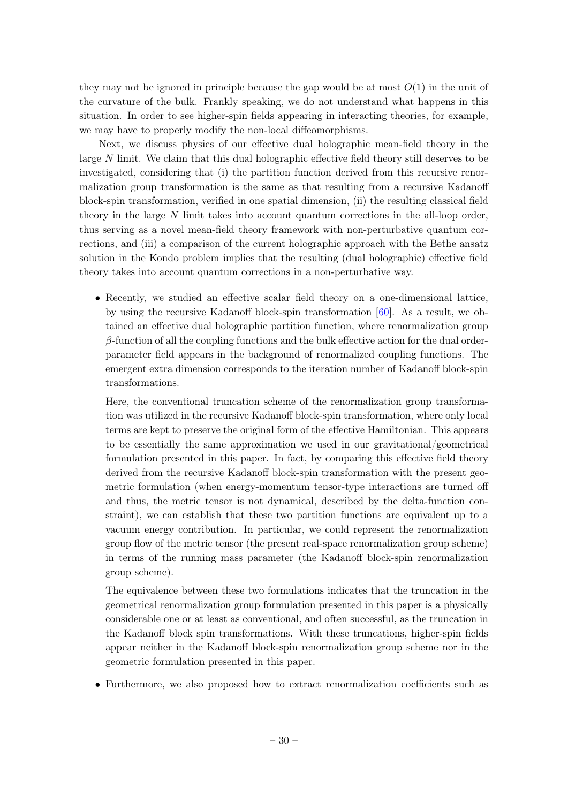they may not be ignored in principle because the gap would be at most  $O(1)$  in the unit of the curvature of the bulk. Frankly speaking, we do not understand what happens in this situation. In order to see higher-spin fields appearing in interacting theories, for example, we may have to properly modify the non-local diffeomorphisms.

Next, we discuss physics of our effective dual holographic mean-field theory in the large N limit. We claim that this dual holographic effective field theory still deserves to be investigated, considering that (i) the partition function derived from this recursive renormalization group transformation is the same as that resulting from a recursive Kadanoff block-spin transformation, verified in one spatial dimension, (ii) the resulting classical field theory in the large  $N$  limit takes into account quantum corrections in the all-loop order, thus serving as a novel mean-field theory framework with non-perturbative quantum corrections, and (iii) a comparison of the current holographic approach with the Bethe ansatz solution in the Kondo problem implies that the resulting (dual holographic) effective field theory takes into account quantum corrections in a non-perturbative way.

• Recently, we studied an effective scalar field theory on a one-dimensional lattice, by using the recursive Kadanoff block-spin transformation [\[60\]](#page-51-3). As a result, we obtained an effective dual holographic partition function, where renormalization group  $\beta$ -function of all the coupling functions and the bulk effective action for the dual orderparameter field appears in the background of renormalized coupling functions. The emergent extra dimension corresponds to the iteration number of Kadanoff block-spin transformations.

Here, the conventional truncation scheme of the renormalization group transformation was utilized in the recursive Kadanoff block-spin transformation, where only local terms are kept to preserve the original form of the effective Hamiltonian. This appears to be essentially the same approximation we used in our gravitational/geometrical formulation presented in this paper. In fact, by comparing this effective field theory derived from the recursive Kadanoff block-spin transformation with the present geometric formulation (when energy-momentum tensor-type interactions are turned off and thus, the metric tensor is not dynamical, described by the delta-function constraint), we can establish that these two partition functions are equivalent up to a vacuum energy contribution. In particular, we could represent the renormalization group flow of the metric tensor (the present real-space renormalization group scheme) in terms of the running mass parameter (the Kadanoff block-spin renormalization group scheme).

The equivalence between these two formulations indicates that the truncation in the geometrical renormalization group formulation presented in this paper is a physically considerable one or at least as conventional, and often successful, as the truncation in the Kadanoff block spin transformations. With these truncations, higher-spin fields appear neither in the Kadanoff block-spin renormalization group scheme nor in the geometric formulation presented in this paper.

• Furthermore, we also proposed how to extract renormalization coefficients such as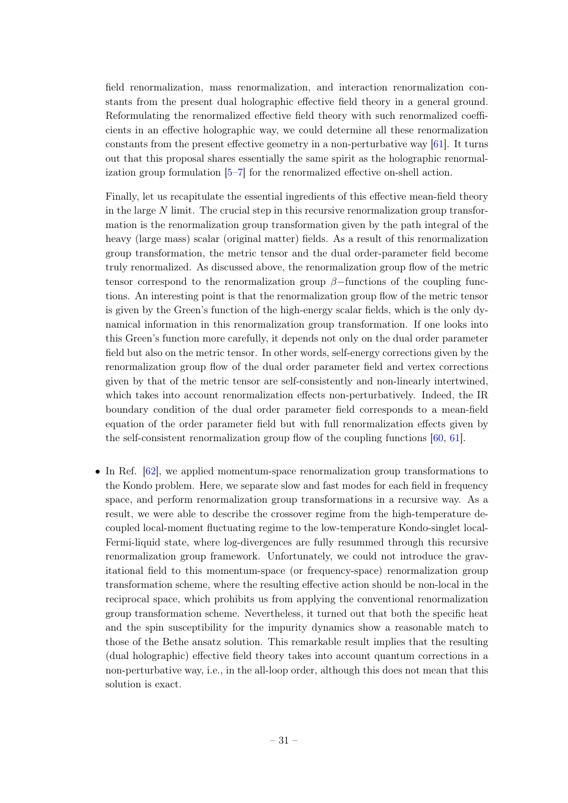field renormalization, mass renormalization, and interaction renormalization constants from the present dual holographic effective field theory in a general ground. Reformulating the renormalized effective field theory with such renormalized coefficients in an effective holographic way, we could determine all these renormalization constants from the present effective geometry in a non-perturbative way [\[61\]](#page-51-4). It turns out that this proposal shares essentially the same spirit as the holographic renormalization group formulation [\[5–](#page-48-4)[7\]](#page-48-5) for the renormalized effective on-shell action.

Finally, let us recapitulate the essential ingredients of this effective mean-field theory in the large  $N$  limit. The crucial step in this recursive renormalization group transformation is the renormalization group transformation given by the path integral of the heavy (large mass) scalar (original matter) fields. As a result of this renormalization group transformation, the metric tensor and the dual order-parameter field become truly renormalized. As discussed above, the renormalization group flow of the metric tensor correspond to the renormalization group  $\beta$ -functions of the coupling functions. An interesting point is that the renormalization group flow of the metric tensor is given by the Green's function of the high-energy scalar fields, which is the only dynamical information in this renormalization group transformation. If one looks into this Green's function more carefully, it depends not only on the dual order parameter field but also on the metric tensor. In other words, self-energy corrections given by the renormalization group flow of the dual order parameter field and vertex corrections given by that of the metric tensor are self-consistently and non-linearly intertwined, which takes into account renormalization effects non-perturbatively. Indeed, the IR boundary condition of the dual order parameter field corresponds to a mean-field equation of the order parameter field but with full renormalization effects given by the self-consistent renormalization group flow of the coupling functions [\[60,](#page-51-3) [61\]](#page-51-4).

• In Ref. [\[62\]](#page-51-5), we applied momentum-space renormalization group transformations to the Kondo problem. Here, we separate slow and fast modes for each field in frequency space, and perform renormalization group transformations in a recursive way. As a result, we were able to describe the crossover regime from the high-temperature decoupled local-moment fluctuating regime to the low-temperature Kondo-singlet local-Fermi-liquid state, where log-divergences are fully resummed through this recursive renormalization group framework. Unfortunately, we could not introduce the gravitational field to this momentum-space (or frequency-space) renormalization group transformation scheme, where the resulting effective action should be non-local in the reciprocal space, which prohibits us from applying the conventional renormalization group transformation scheme. Nevertheless, it turned out that both the specific heat and the spin susceptibility for the impurity dynamics show a reasonable match to those of the Bethe ansatz solution. This remarkable result implies that the resulting (dual holographic) effective field theory takes into account quantum corrections in a non-perturbative way, i.e., in the all-loop order, although this does not mean that this solution is exact.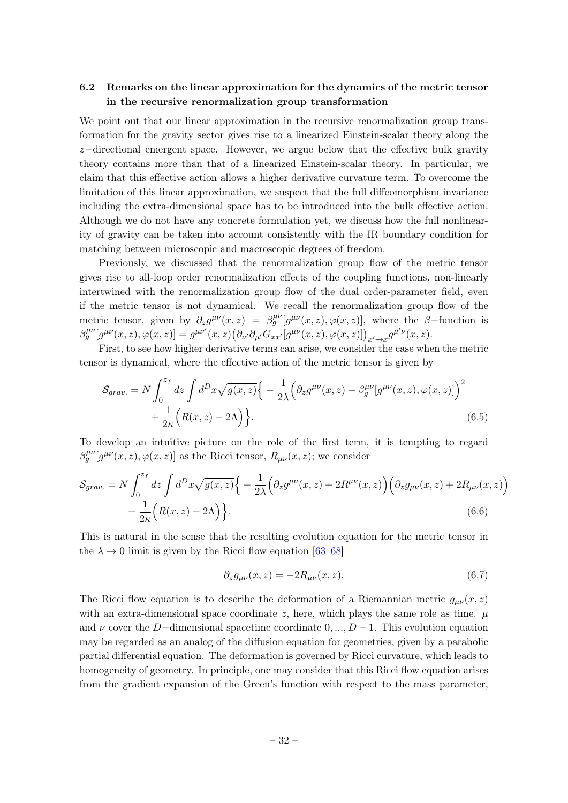## <span id="page-32-0"></span>6.2 Remarks on the linear approximation for the dynamics of the metric tensor in the recursive renormalization group transformation

We point out that our linear approximation in the recursive renormalization group transformation for the gravity sector gives rise to a linearized Einstein-scalar theory along the  $z$ −directional emergent space. However, we argue below that the effective bulk gravity theory contains more than that of a linearized Einstein-scalar theory. In particular, we claim that this effective action allows a higher derivative curvature term. To overcome the limitation of this linear approximation, we suspect that the full diffeomorphism invariance including the extra-dimensional space has to be introduced into the bulk effective action. Although we do not have any concrete formulation yet, we discuss how the full nonlinearity of gravity can be taken into account consistently with the IR boundary condition for matching between microscopic and macroscopic degrees of freedom.

Previously, we discussed that the renormalization group flow of the metric tensor gives rise to all-loop order renormalization effects of the coupling functions, non-linearly intertwined with the renormalization group flow of the dual order-parameter field, even if the metric tensor is not dynamical. We recall the renormalization group flow of the metric tensor, given by  $\partial_z g^{\mu\nu}(x,z) = \beta_g^{\mu\nu}[g^{\mu\nu}(x,z), \varphi(x,z)]$ , where the  $\beta$ -function is  $\beta_g^{\mu\nu}[g^{\mu\nu}(x,z),\varphi(x,z)] = g^{\mu\nu'}(x,z)\big(\partial_{\nu'}\partial_{\mu'}G_{xx'}[g^{\mu\nu}(x,z),\varphi(x,z)]\big)_{x'\to x}g^{\mu'\nu}(x,z).$ 

First, to see how higher derivative terms can arise, we consider the case when the metric tensor is dynamical, where the effective action of the metric tensor is given by

$$
S_{grav.} = N \int_0^{z_f} dz \int d^D x \sqrt{g(x, z)} \left\{ -\frac{1}{2\lambda} \left( \partial_z g^{\mu\nu}(x, z) - \beta_g^{\mu\nu} [g^{\mu\nu}(x, z), \varphi(x, z)] \right)^2 + \frac{1}{2\kappa} \left( R(x, z) - 2\Lambda \right) \right\}.
$$
 (6.5)

To develop an intuitive picture on the role of the first term, it is tempting to regard  $\beta_g^{\mu\nu}[g^{\mu\nu}(x,z),\varphi(x,z)]$  as the Ricci tensor,  $R_{\mu\nu}(x,z)$ ; we consider

$$
S_{grav.} = N \int_0^{z_f} dz \int d^D x \sqrt{g(x, z)} \Big\{ -\frac{1}{2\lambda} \Big( \partial_z g^{\mu\nu}(x, z) + 2R^{\mu\nu}(x, z) \Big) \Big( \partial_z g_{\mu\nu}(x, z) + 2R_{\mu\nu}(x, z) \Big) + \frac{1}{2\kappa} \Big( R(x, z) - 2\Lambda \Big) \Big\}.
$$
\n
$$
(6.6)
$$

This is natural in the sense that the resulting evolution equation for the metric tensor in the  $\lambda \rightarrow 0$  limit is given by the Ricci flow equation [\[63–](#page-51-6)[68\]](#page-51-7)

$$
\partial_z g_{\mu\nu}(x,z) = -2R_{\mu\nu}(x,z). \tag{6.7}
$$

The Ricci flow equation is to describe the deformation of a Riemannian metric  $g_{\mu\nu}(x, z)$ with an extra-dimensional space coordinate z, here, which plays the same role as time.  $\mu$ and  $\nu$  cover the D–dimensional spacetime coordinate 0, ..., D – 1. This evolution equation may be regarded as an analog of the diffusion equation for geometries, given by a parabolic partial differential equation. The deformation is governed by Ricci curvature, which leads to homogeneity of geometry. In principle, one may consider that this Ricci flow equation arises from the gradient expansion of the Green's function with respect to the mass parameter,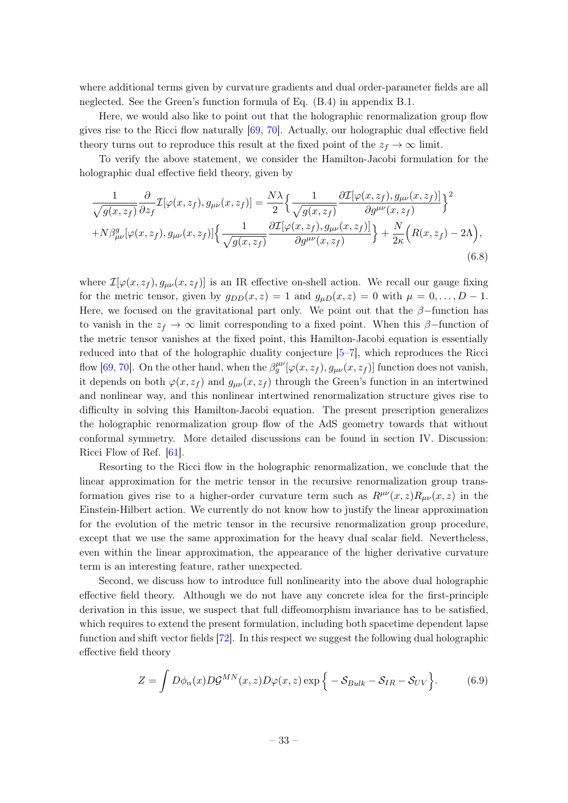where additional terms given by curvature gradients and dual order-parameter fields are all neglected. See the Green's function formula of Eq. (B.4) in appendix B.1.

Here, we would also like to point out that the holographic renormalization group flow gives rise to the Ricci flow naturally [\[69,](#page-51-8) [70\]](#page-51-9). Actually, our holographic dual effective field theory turns out to reproduce this result at the fixed point of the  $z_f \to \infty$  limit.

To verify the above statement, we consider the Hamilton-Jacobi formulation for the holographic dual effective field theory, given by

$$
\frac{1}{\sqrt{g(x,z_f)}} \frac{\partial}{\partial z_f} \mathcal{I}[\varphi(x,z_f), g_{\mu\nu}(x,z_f)] = \frac{N\lambda}{2} \Big\{ \frac{1}{\sqrt{g(x,z_f)}} \frac{\partial \mathcal{I}[\varphi(x,z_f), g_{\mu\nu}(x,z_f)]}{\partial g^{\mu\nu}(x,z_f)} \Big\}^2 + N\beta_{\mu\nu}^g[\varphi(x,z_f), g_{\mu\nu}(x,z_f)] \Big\{ \frac{1}{\sqrt{g(x,z_f)}} \frac{\partial \mathcal{I}[\varphi(x,z_f), g_{\mu\nu}(x,z_f)]}{\partial g^{\mu\nu}(x,z_f)} \Big\} + \frac{N}{2\kappa} \Big( R(x,z_f) - 2\Lambda \Big),\tag{6.8}
$$

where  $\mathcal{I}[\varphi(x, z_f), g_{\mu\nu}(x, z_f)]$  is an IR effective on-shell action. We recall our gauge fixing for the metric tensor, given by  $g_{DD}(x, z) = 1$  and  $g_{\mu D}(x, z) = 0$  with  $\mu = 0, \ldots, D - 1$ . Here, we focused on the gravitational part only. We point out that the  $\beta$ -function has to vanish in the  $z_f \to \infty$  limit corresponding to a fixed point. When this  $\beta$ -function of the metric tensor vanishes at the fixed point, this Hamilton-Jacobi equation is essentially reduced into that of the holographic duality conjecture [\[5–](#page-48-4)[7\]](#page-48-5), which reproduces the Ricci flow [\[69,](#page-51-8) [70\]](#page-51-9). On the other hand, when the  $\beta_g^{\mu\nu}[\varphi(x, z_f), g_{\mu\nu}(x, z_f)]$  function does not vanish, it depends on both  $\varphi(x, z_f)$  and  $g_{\mu\nu}(x, z_f)$  through the Green's function in an intertwined and nonlinear way, and this nonlinear intertwined renormalization structure gives rise to difficulty in solving this Hamilton-Jacobi equation. The present prescription generalizes the holographic renormalization group flow of the AdS geometry towards that without conformal symmetry. More detailed discussions can be found in section IV. Discussion: Ricci Flow of Ref. [\[61\]](#page-51-4).

Resorting to the Ricci flow in the holographic renormalization, we conclude that the linear approximation for the metric tensor in the recursive renormalization group transformation gives rise to a higher-order curvature term such as  $R^{\mu\nu}(x, z)R_{\mu\nu}(x, z)$  in the Einstein-Hilbert action. We currently do not know how to justify the linear approximation for the evolution of the metric tensor in the recursive renormalization group procedure, except that we use the same approximation for the heavy dual scalar field. Nevertheless, even within the linear approximation, the appearance of the higher derivative curvature term is an interesting feature, rather unexpected.

Second, we discuss how to introduce full nonlinearity into the above dual holographic effective field theory. Although we do not have any concrete idea for the first-principle derivation in this issue, we suspect that full diffeomorphism invariance has to be satisfied, which requires to extend the present formulation, including both spacetime dependent lapse function and shift vector fields [\[72\]](#page-51-10). In this respect we suggest the following dual holographic effective field theory

$$
Z = \int D\phi_{\alpha}(x) D\mathcal{G}^{MN}(x, z) D\varphi(x, z) \exp\{-\mathcal{S}_{Bulk} - \mathcal{S}_{IR} - \mathcal{S}_{UV}\}.
$$
 (6.9)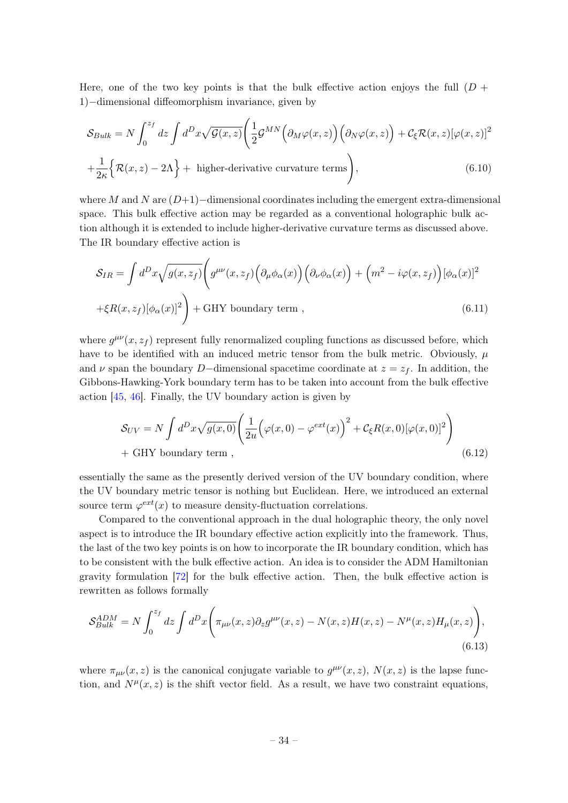Here, one of the two key points is that the bulk effective action enjoys the full  $(D +$ 1)−dimensional diffeomorphism invariance, given by

$$
S_{Bulk} = N \int_0^{z_f} dz \int d^D x \sqrt{\mathcal{G}(x, z)} \left( \frac{1}{2} \mathcal{G}^{MN} \left( \partial_M \varphi(x, z) \right) \left( \partial_N \varphi(x, z) \right) + \mathcal{C}_{\xi} \mathcal{R}(x, z) [\varphi(x, z)]^2 \right) + \frac{1}{2\kappa} \left\{ \mathcal{R}(x, z) - 2\Lambda \right\} + \text{higher-derivative curvature terms} \right), \tag{6.10}
$$

where M and N are  $(D+1)$ −dimensional coordinates including the emergent extra-dimensional space. This bulk effective action may be regarded as a conventional holographic bulk action although it is extended to include higher-derivative curvature terms as discussed above. The IR boundary effective action is

$$
S_{IR} = \int d^D x \sqrt{g(x, z_f)} \left( g^{\mu\nu}(x, z_f) \left( \partial_\mu \phi_\alpha(x) \right) \left( \partial_\nu \phi_\alpha(x) \right) + \left( m^2 - i \varphi(x, z_f) \right) [\phi_\alpha(x)]^2 \right)
$$

$$
+ \xi R(x, z_f) [\phi_\alpha(x)]^2 \right) + \text{GHY boundary term}, \qquad (6.11)
$$

where  $g^{\mu\nu}(x, z_f)$  represent fully renormalized coupling functions as discussed before, which have to be identified with an induced metric tensor from the bulk metric. Obviously,  $\mu$ and  $\nu$  span the boundary D-dimensional spacetime coordinate at  $z = z_f$ . In addition, the Gibbons-Hawking-York boundary term has to be taken into account from the bulk effective action [\[45,](#page-50-6) [46\]](#page-50-7). Finally, the UV boundary action is given by

$$
S_{UV} = N \int d^D x \sqrt{g(x,0)} \left( \frac{1}{2u} \Big( \varphi(x,0) - \varphi^{ext}(x) \Big)^2 + C_{\xi} R(x,0) [\varphi(x,0)]^2 \right) + \text{GHY boundary term}, \qquad (6.12)
$$

essentially the same as the presently derived version of the UV boundary condition, where the UV boundary metric tensor is nothing but Euclidean. Here, we introduced an external source term  $\varphi^{ext}(x)$  to measure density-fluctuation correlations.

Compared to the conventional approach in the dual holographic theory, the only novel aspect is to introduce the IR boundary effective action explicitly into the framework. Thus, the last of the two key points is on how to incorporate the IR boundary condition, which has to be consistent with the bulk effective action. An idea is to consider the ADM Hamiltonian gravity formulation [\[72\]](#page-51-10) for the bulk effective action. Then, the bulk effective action is rewritten as follows formally

$$
\mathcal{S}_{Bulk}^{ADM} = N \int_0^{z_f} dz \int d^D x \bigg( \pi_{\mu\nu}(x, z) \partial_z g^{\mu\nu}(x, z) - N(x, z) H(x, z) - N^{\mu}(x, z) H_{\mu}(x, z) \bigg), \tag{6.13}
$$

where  $\pi_{\mu\nu}(x, z)$  is the canonical conjugate variable to  $g^{\mu\nu}(x, z)$ ,  $N(x, z)$  is the lapse function, and  $N^{\mu}(x, z)$  is the shift vector field. As a result, we have two constraint equations,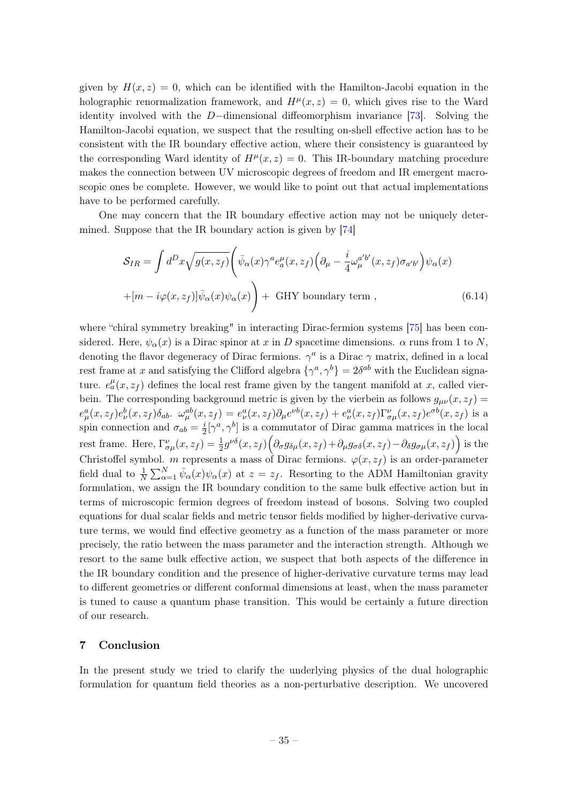given by  $H(x, z) = 0$ , which can be identified with the Hamilton-Jacobi equation in the holographic renormalization framework, and  $H^{\mu}(x, z) = 0$ , which gives rise to the Ward identity involved with the D−dimensional diffeomorphism invariance [\[73\]](#page-51-11). Solving the Hamilton-Jacobi equation, we suspect that the resulting on-shell effective action has to be consistent with the IR boundary effective action, where their consistency is guaranteed by the corresponding Ward identity of  $H^{\mu}(x, z) = 0$ . This IR-boundary matching procedure makes the connection between UV microscopic degrees of freedom and IR emergent macroscopic ones be complete. However, we would like to point out that actual implementations have to be performed carefully.

One may concern that the IR boundary effective action may not be uniquely determined. Suppose that the IR boundary action is given by [\[74\]](#page-51-12)

$$
S_{IR} = \int d^D x \sqrt{g(x, z_f)} \left( \bar{\psi}_{\alpha}(x) \gamma^a e_a^{\mu}(x, z_f) \left( \partial_{\mu} - \frac{i}{4} \omega_{\mu}^{a'b'}(x, z_f) \sigma_{a'b'} \right) \psi_{\alpha}(x) \right.
$$
  
 
$$
+ [m - i\varphi(x, z_f)] \bar{\psi}_{\alpha}(x) \psi_{\alpha}(x) + \text{GHY boundary term }, \qquad (6.14)
$$

where "chiral symmetry breaking" in interacting Dirac-fermion systems [\[75\]](#page-51-13) has been considered. Here,  $\psi_{\alpha}(x)$  is a Dirac spinor at x in D spacetime dimensions.  $\alpha$  runs from 1 to N, denoting the flavor degeneracy of Dirac fermions.  $\gamma^a$  is a Dirac  $\gamma$  matrix, defined in a local rest frame at x and satisfying the Clifford algebra  $\{\gamma^a, \gamma^b\} = 2\delta^{ab}$  with the Euclidean signature.  $e_a^{\mu}(x, z_f)$  defines the local rest frame given by the tangent manifold at x, called vierbein. The corresponding background metric is given by the vierbein as follows  $g_{\mu\nu}(x, z_f) =$  $e^a_\mu(x,z_f)e^b_\nu(x,z_f)\delta_{ab}$ .  $\omega^{ab}_\mu(x,z_f) = e^a_\nu(x,z_f)\partial_\mu e^{\nu b}(x,z_f) + e^a_\nu(x,z_f)\Gamma^\nu_{\sigma\mu}(x,z_f)e^{\sigma b}(x,z_f)$  is a spin connection and  $\sigma_{ab} = \frac{i}{2}$  $\frac{i}{2}[\gamma^a, \gamma^b]$  is a commutator of Dirac gamma matrices in the local rest frame. Here,  $\Gamma^{\nu}_{\sigma\mu}(x,z_f) = \frac{1}{2}g^{\nu\delta}(x,z_f)\Big(\partial_{\sigma}g_{\delta\mu}(x,z_f) + \partial_{\mu}g_{\sigma\delta}(x,z_f) - \partial_{\delta}g_{\sigma\mu}(x,z_f)\Big)$  is the Christoffel symbol. m represents a mass of Dirac fermions.  $\varphi(x, z_f)$  is an order-parameter field dual to  $\frac{1}{N}\sum_{\alpha=1}^{N}\bar{\psi}_{\alpha}(x)\psi_{\alpha}(x)$  at  $z=z_f$ . Resorting to the ADM Hamiltonian gravity formulation, we assign the IR boundary condition to the same bulk effective action but in terms of microscopic fermion degrees of freedom instead of bosons. Solving two coupled equations for dual scalar fields and metric tensor fields modified by higher-derivative curvature terms, we would find effective geometry as a function of the mass parameter or more precisely, the ratio between the mass parameter and the interaction strength. Although we resort to the same bulk effective action, we suspect that both aspects of the difference in the IR boundary condition and the presence of higher-derivative curvature terms may lead to different geometries or different conformal dimensions at least, when the mass parameter is tuned to cause a quantum phase transition. This would be certainly a future direction of our research.

#### <span id="page-35-0"></span>7 Conclusion

In the present study we tried to clarify the underlying physics of the dual holographic formulation for quantum field theories as a non-perturbative description. We uncovered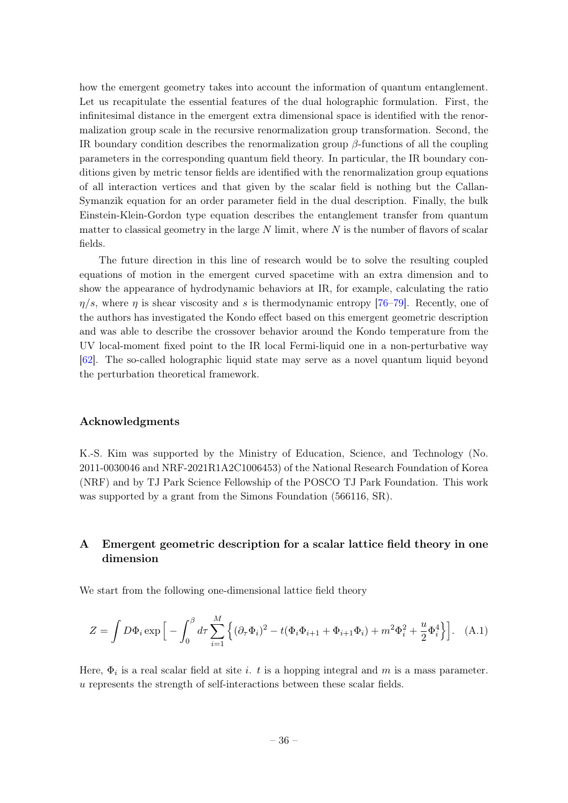how the emergent geometry takes into account the information of quantum entanglement. Let us recapitulate the essential features of the dual holographic formulation. First, the infinitesimal distance in the emergent extra dimensional space is identified with the renormalization group scale in the recursive renormalization group transformation. Second, the IR boundary condition describes the renormalization group  $\beta$ -functions of all the coupling parameters in the corresponding quantum field theory. In particular, the IR boundary conditions given by metric tensor fields are identified with the renormalization group equations of all interaction vertices and that given by the scalar field is nothing but the Callan-Symanzik equation for an order parameter field in the dual description. Finally, the bulk Einstein-Klein-Gordon type equation describes the entanglement transfer from quantum matter to classical geometry in the large  $N$  limit, where  $N$  is the number of flavors of scalar fields.

The future direction in this line of research would be to solve the resulting coupled equations of motion in the emergent curved spacetime with an extra dimension and to show the appearance of hydrodynamic behaviors at IR, for example, calculating the ratio  $\eta/s$ , where  $\eta$  is shear viscosity and s is thermodynamic entropy [\[76](#page-51-14)[–79\]](#page-52-0). Recently, one of the authors has investigated the Kondo effect based on this emergent geometric description and was able to describe the crossover behavior around the Kondo temperature from the UV local-moment fixed point to the IR local Fermi-liquid one in a non-perturbative way [\[62\]](#page-51-5). The so-called holographic liquid state may serve as a novel quantum liquid beyond the perturbation theoretical framework.

#### Acknowledgments

K.-S. Kim was supported by the Ministry of Education, Science, and Technology (No. 2011-0030046 and NRF-2021R1A2C1006453) of the National Research Foundation of Korea (NRF) and by TJ Park Science Fellowship of the POSCO TJ Park Foundation. This work was supported by a grant from the Simons Foundation (566116, SR).

## <span id="page-36-0"></span>A Emergent geometric description for a scalar lattice field theory in one dimension

We start from the following one-dimensional lattice field theory

$$
Z = \int D\Phi_i \exp\Big[-\int_0^\beta d\tau \sum_{i=1}^M \Big\{ (\partial_\tau \Phi_i)^2 - t(\Phi_i \Phi_{i+1} + \Phi_{i+1} \Phi_i) + m^2 \Phi_i^2 + \frac{u}{2} \Phi_i^4 \Big\} \Big]. \tag{A.1}
$$

Here,  $\Phi_i$  is a real scalar field at site *i*. t is a hopping integral and m is a mass parameter. u represents the strength of self-interactions between these scalar fields.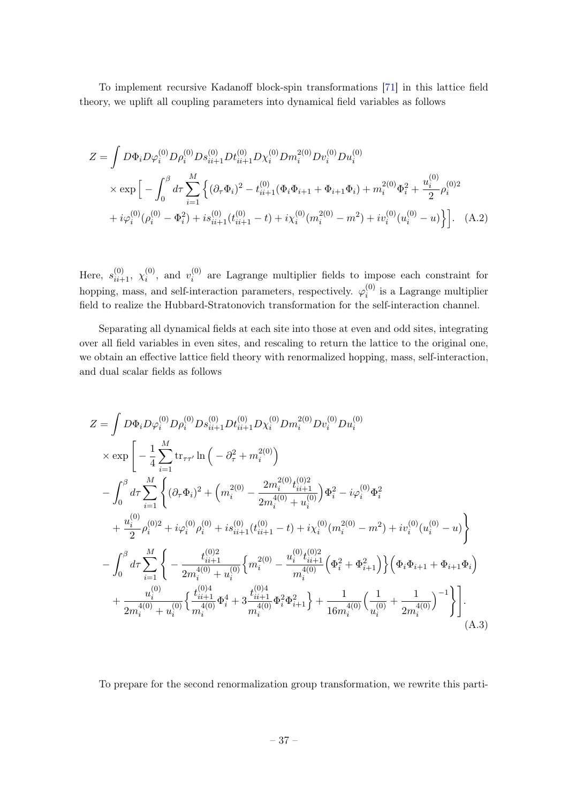To implement recursive Kadanoff block-spin transformations [\[71\]](#page-51-0) in this lattice field theory, we uplift all coupling parameters into dynamical field variables as follows

$$
Z = \int D\Phi_i D\varphi_i^{(0)} D\rho_i^{(0)} D s_{ii+1}^{(0)} D t_{ii+1}^{(0)} D\varphi_i^{(0)} D m_i^{2(0)} D u_i^{(0)}
$$
  
 
$$
\times \exp \Big[ -\int_0^\beta d\tau \sum_{i=1}^M \Big\{ (\partial_\tau \Phi_i)^2 - t_{ii+1}^{(0)} (\Phi_i \Phi_{i+1} + \Phi_{i+1} \Phi_i) + m_i^{2(0)} \Phi_i^2 + \frac{u_i^{(0)}}{2} \rho_i^{(0)2} + i \varphi_i^{(0)} (\rho_i^{(0)} - \Phi_i^2) + i s_{ii+1}^{(0)} (t_{ii+1}^{(0)} - t) + i \chi_i^{(0)} (m_i^{2(0)} - m^2) + i v_i^{(0)} (u_i^{(0)} - u) \Big\} \Big].
$$
 (A.2)

Here,  $s_{ii+1}^{(0)}$ ,  $\chi_i^{(0)}$  $\binom{0}{i}$ , and  $v_i^{(0)}$  $i^{(0)}$  are Lagrange multiplier fields to impose each constraint for hopping, mass, and self-interaction parameters, respectively.  $\varphi_i^{(0)}$  $i_i^{(0)}$  is a Lagrange multiplier field to realize the Hubbard-Stratonovich transformation for the self-interaction channel.

Separating all dynamical fields at each site into those at even and odd sites, integrating over all field variables in even sites, and rescaling to return the lattice to the original one, we obtain an effective lattice field theory with renormalized hopping, mass, self-interaction, and dual scalar fields as follows

$$
Z = \int D\Phi_i D\varphi_i^{(0)} D\rho_i^{(0)} D s_{ii+1}^{(0)} D t_{ii+1}^{(0)} D u_i^{(0)} D u_i^{(0)} D u_i^{(0)}
$$
  
\n
$$
\times \exp \left[ -\frac{1}{4} \sum_{i=1}^M \text{tr}_{\tau\tau'} \ln \left( -\partial_\tau^2 + m_i^{2(0)} \right) - \int_0^\beta d\tau \sum_{i=1}^M \left\{ (\partial_\tau \Phi_i)^2 + \left( m_i^{2(0)} - \frac{2m_i^{2(0)} t_{ii+1}^{(0)}}{2m_i^{4(0)} + u_i^{(0)}} \right) \Phi_i^2 - i\varphi_i^{(0)} \Phi_i^2 \right. \\ \left. + \frac{u_i^{(0)}}{2} \rho_i^{(0)2} + i\varphi_i^{(0)} \rho_i^{(0)} + i s_{ii+1}^{(0)} (t_{ii+1}^{(0)} - t) + i\chi_i^{(0)} (m_i^{2(0)} - m^2) + i v_i^{(0)} (u_i^{(0)} - u) \right\} - \int_0^\beta d\tau \sum_{i=1}^M \left\{ -\frac{t_{ii+1}^{(0)2}}{2m_i^{4(0)} + u_i^{(0)}} \left\{ m_i^{2(0)} - \frac{u_i^{(0)} t_{ii+1}^{(0)2}}{m_i^{4(0)}} \left( \Phi_i^2 + \Phi_{i+1}^2 \right) \right\} \left( \Phi_i \Phi_{i+1} + \Phi_{i+1} \Phi_i \right) \right. \\ \left. + \frac{u_i^{(0)}}{2m_i^{4(0)} + u_i^{(0)}} \left\{ \frac{t_{ii+1}^{(0)4}}{m_i^{4(0)}} \Phi_i^4 + 3 \frac{t_{ii+1}^{(0)4}}{m_i^{4(0)}} \Phi_i^2 \Phi_{i+1}^2 \right\} + \frac{1}{16m_i^{4(0)}} \left( \frac{1}{u_i^{(0)}} + \frac{1}{2m_i^{4(0)}} \right)^{-1} \right\} \right]. \tag{A.3}
$$

To prepare for the second renormalization group transformation, we rewrite this parti-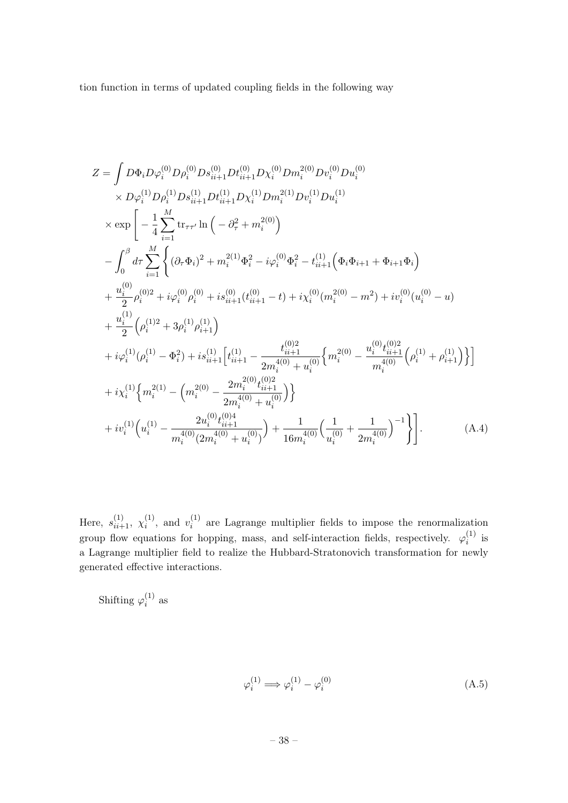tion function in terms of updated coupling fields in the following way

$$
Z = \int D\Phi_{i}D\varphi_{i}^{(0)}D\rho_{i}^{(0)}Ds_{ii+1}^{(0)}Dt_{ii+1}^{(0)}Dv_{i}^{(0)}Dv_{i}^{(0)}Du_{i}^{(0)}
$$
  
\n
$$
\times D\varphi_{i}^{(1)}D\rho_{i}^{(1)}Ds_{ii+1}^{(1)}Dt_{ii+1}^{(1)}D\chi_{i}^{(1)}Dm_{i}^{2(1)}Dv_{i}^{(1)}Du_{i}^{(1)}
$$
  
\n
$$
\times \exp\left[-\frac{1}{4}\sum_{i=1}^{M} \text{tr}_{\tau\tau'}\ln\left(-\partial_{\tau}^{2}+m_{i}^{2(0)}\right)\right]
$$
  
\n
$$
-\int_{0}^{\beta}d\tau \sum_{i=1}^{M}\left\{(\partial_{\tau}\Phi_{i})^{2}+m_{i}^{2(1)}\Phi_{i}^{2}-i\varphi_{i}^{(0)}\Phi_{i}^{2}-t_{ii+1}^{(1)}\left(\Phi_{i}\Phi_{i+1}+\Phi_{i+1}\Phi_{i}\right)\right.\right.
$$
  
\n
$$
+\frac{u_{i}^{(0)}}{2}\rho_{i}^{(0)2}+i\varphi_{i}^{(0)}\rho_{i}^{(0)}+is_{ii+1}^{(0)}(t_{ii+1}^{(0)}-t)+i\chi_{i}^{(0)}(m_{i}^{2(0)}-m^{2})+iv_{i}^{(0)}(u_{i}^{(0)}-u)
$$
  
\n
$$
+\frac{u_{i}^{(1)}}{2}\left(\rho_{i}^{(1)2}+3\rho_{i}^{(1)}\rho_{i+1}^{(1)}\right)
$$
  
\n
$$
+i\varphi_{i}^{(1)}(\rho_{i}^{(1)}-\Phi_{i}^{2})+is_{ii+1}^{(1)}\left[t_{ii+1}^{(1)}-\frac{t_{ii+1}^{(0)2}}{2m_{i}^{4(0)}+u_{i}^{(0)}}\left\{m_{i}^{2(0)}-\frac{u_{i}^{(0)}t_{ii+1}^{(0)2}}{m_{i}^{4(0)}}\left(\rho_{i}^{(1)}+\rho_{i+1}^{(1)}\right)\right\}\right]
$$
  
\n
$$
+i\chi_{i}^{(1)}\left\{m_{i}^{
$$

Here,  $s_{ii+1}^{(1)}$ ,  $\chi_i^{(1)}$  $\binom{1}{i}$ , and  $v_i^{(1)}$  $i_i^{(1)}$  are Lagrange multiplier fields to impose the renormalization group flow equations for hopping, mass, and self-interaction fields, respectively.  $\varphi_i^{(1)}$  $i^{(1)}$  is a Lagrange multiplier field to realize the Hubbard-Stratonovich transformation for newly generated effective interactions.

Shifting  $\varphi_i^{(1)}$  $i^{(1)}$  as

$$
\varphi_i^{(1)} \Longrightarrow \varphi_i^{(1)} - \varphi_i^{(0)} \tag{A.5}
$$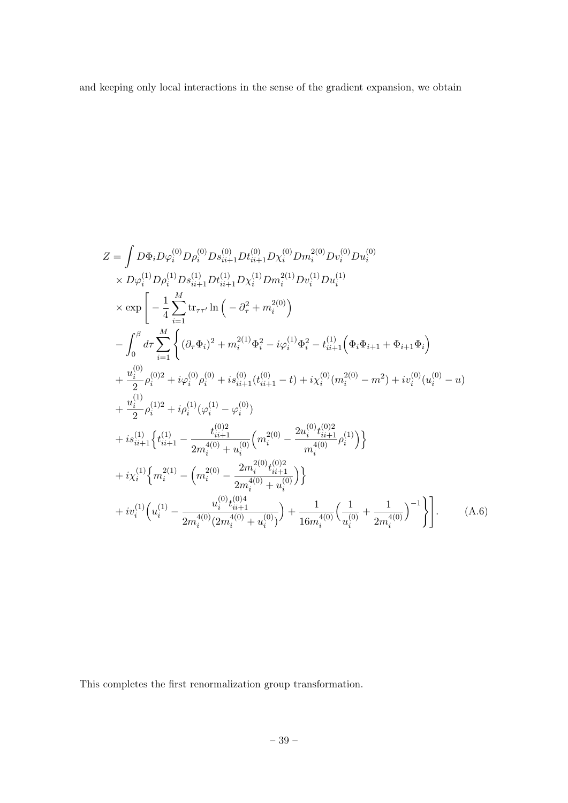and keeping only local interactions in the sense of the gradient expansion, we obtain

$$
Z = \int D\Phi_{i}D\varphi_{i}^{(0)}D\rho_{i}^{(0)}Ds_{ii+1}^{(0)}Dt_{ii+1}^{(0)}Dx_{i}^{(0)}Dw_{i}^{(0)}Du_{i}^{(0)}
$$
  
\n
$$
\times D\varphi_{i}^{(1)}D\rho_{i}^{(1)}Ds_{ii+1}^{(1)}Dt_{ii+1}^{(1)}Dx_{i}^{(1)}Dw_{i}^{(1)}Du_{i}^{(1)}
$$
  
\n
$$
\times \exp\left[-\frac{1}{4}\sum_{i=1}^{M} \text{tr}_{\tau\tau'}\ln\left(-\partial_{\tau}^{2}+m_{i}^{2(0)}\right)\right]
$$
  
\n
$$
-\int_{0}^{\beta} d\tau \sum_{i=1}^{M} \left\{(\partial_{\tau}\Phi_{i})^{2}+m_{i}^{2(1)}\Phi_{i}^{2}-i\varphi_{i}^{(1)}\Phi_{i}^{2}-t_{ii+1}^{(1)}\left(\Phi_{i}\Phi_{i+1}+\Phi_{i+1}\Phi_{i}\right)\right\}
$$
  
\n
$$
+\frac{u_{i}^{(0)}}{2}\rho_{i}^{(0)2}+i\varphi_{i}^{(0)}\rho_{i}^{(0)}+is_{ii+1}^{(0)}(t_{ii+1}^{(0)}-t)+i\chi_{i}^{(0)}(m_{i}^{2(0)}-m^{2})+iv_{i}^{(0)}(u_{i}^{(0)}-u)
$$
  
\n
$$
+\frac{u_{i}^{(1)}}{2}\rho_{i}^{(1)2}+i\rho_{i}^{(1)}(\varphi_{i}^{(1)}-\varphi_{i}^{(0)})
$$
  
\n
$$
+is_{ii+1}^{(1)}\left\{t_{ii+1}^{(1)}-\frac{t_{ii+1}^{(0)2}}{2m_{i}^{4(0)}+u_{i}^{(0)}}\left(m_{i}^{2(0)}-\frac{2u_{i}^{(0)}t_{i+1}^{(0)2}}{m_{i}^{4(0)}}\rho_{i}^{(1)}\right)\right\}
$$
  
\n
$$
+i\chi_{i}^{(1)}\left\{m_{i}^{2(1)}-\left(m_{i}^{2(0)}-\frac{2m_{i}^{2}(0)t_{i+1}^{(0)2}}{2m_{
$$

This completes the first renormalization group transformation.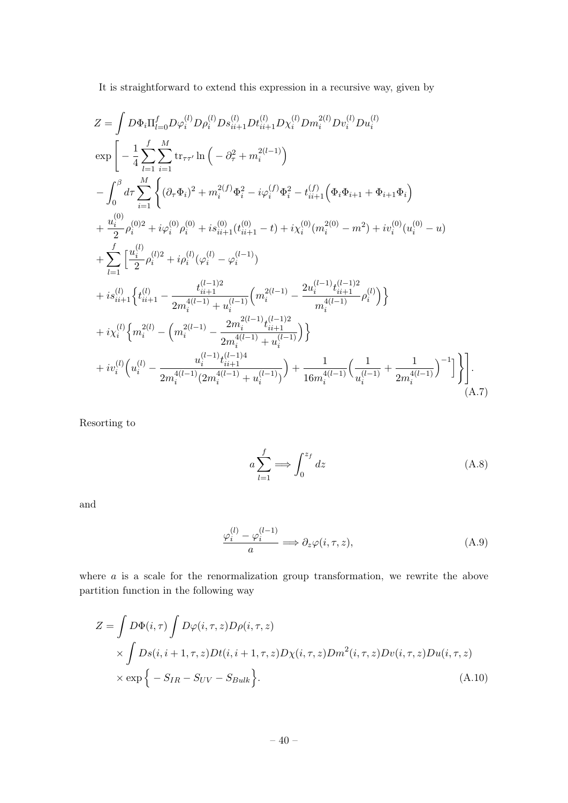It is straightforward to extend this expression in a recursive way, given by

$$
Z = \int D\Phi_i \Pi_{l=0}^f D\varphi_i^{(l)} D\rho_i^{(l)} D s_{ii+1}^{(l)} D t_{ii+1}^{(l)} D x_i^{(l)} D m_i^{2(l)} D v_i^{(l)} D u_i^{(l)}
$$
  
\n
$$
\exp \left[ -\frac{1}{4} \sum_{l=1}^f \sum_{i=1}^M \text{tr}_{\tau \tau'} \ln \left( -\partial_\tau^2 + m_i^{2(l-1)} \right) - \int_0^\beta d\tau \sum_{i=1}^M \left\{ (\partial_\tau \Phi_i)^2 + m_i^{2(f)} \Phi_i^2 - i \varphi_i^{(f)} \Phi_i^2 - t_{ii+1}^{(f)} \left( \Phi_i \Phi_{i+1} + \Phi_{i+1} \Phi_i \right) \right. \\ \left. + \frac{u_i^{(0)}}{2} \rho_i^{(0)2} + i \varphi_i^{(0)} \rho_i^{(0)} + i s_{ii+1}^{(0)} (t_{ii+1}^{(0)} - t) + i \chi_i^{(0)} (m_i^{2(0)} - m^2) + i v_i^{(0)} (u_i^{(0)} - u) \right. \\ \left. + \sum_{l=1}^f \left[ \frac{u_i^{(l)}}{2} \rho_i^{(l)2} + i \rho_i^{(l)} (\varphi_i^{(l)} - \varphi_i^{(l-1)}) \right. \\ \left. + i s_{ii+1}^{(l)} \left\{ t_{ii+1}^{(l)} - \frac{t_{ii+1}^{(l-1)2}}{2m_i^{4(l-1)} + u_i^{(l-1)}} \left( m_i^{2(l-1)} - \frac{2u_i^{(l-1)} t_{ii+1}^{(l-1)2}}{m_i^{4(l-1)}} \rho_i^{(l)} \right) \right\} \right. \\ \left. + i \chi_i^{(l)} \left\{ m_i^{2(l)} - \left( m_i^{2(l-1)} - \frac{2m_i^{2(l-1)} t_{ii+1}^{(l-1)2}}{2m_i^{4(l-1)} + u_i^{(l-1)}} \right) \right\} + i v_i^{(l)} \left( u_i^{(l)} - \frac{u_i^{(l-1)} t_{ii+1}^{(l-1)4}}{2m_i^{4(l-1)} (2m_i^{4(l-1)} + u_i^{(l-1)})} \right) + \frac{1}{16m_i^{4(l-1)}} \left( \frac{1}{
$$

Resorting to

<span id="page-40-0"></span>
$$
a \sum_{l=1}^{f} \Longrightarrow \int_{0}^{z_f} dz
$$
 (A.8)

and

<span id="page-40-1"></span>
$$
\frac{\varphi_i^{(l)} - \varphi_i^{(l-1)}}{a} \Longrightarrow \partial_z \varphi(i, \tau, z), \tag{A.9}
$$

where *a* is a scale for the renormalization group transformation, we rewrite the above partition function in the following way

$$
Z = \int D\Phi(i,\tau) \int D\varphi(i,\tau,z) D\rho(i,\tau,z)
$$
  
 
$$
\times \int Ds(i,i+1,\tau,z) Dt(i,i+1,\tau,z) D\chi(i,\tau,z) Dm^{2}(i,\tau,z) Dv(i,\tau,z) Du(i,\tau,z)
$$
  
 
$$
\times \exp\{-S_{IR} - S_{UV} - S_{Bulk}\}.
$$
 (A.10)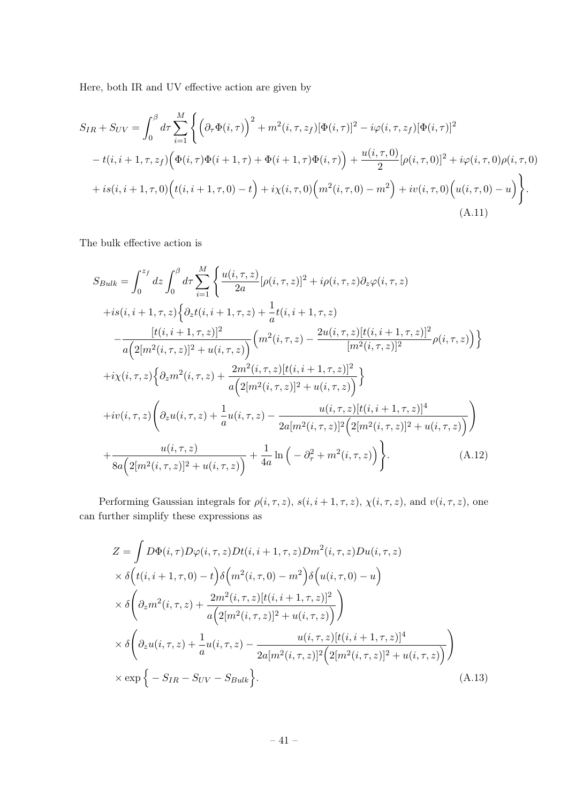Here, both IR and UV effective action are given by

$$
S_{IR} + S_{UV} = \int_0^{\beta} d\tau \sum_{i=1}^M \left\{ \left( \partial_\tau \Phi(i,\tau) \right)^2 + m^2(i,\tau,z_f) [\Phi(i,\tau)]^2 - i \varphi(i,\tau,z_f) [\Phi(i,\tau)]^2 \right.- t(i,i+1,\tau,z_f) \left( \Phi(i,\tau) \Phi(i+1,\tau) + \Phi(i+1,\tau) \Phi(i,\tau) \right) + \frac{u(i,\tau,0)}{2} [\rho(i,\tau,0)]^2 + i \varphi(i,\tau,0) \rho(i,\tau,0) + i s(i,i+1,\tau,0) \left( t(i,i+1,\tau,0) - t \right) + i \chi(i,\tau,0) \left( m^2(i,\tau,0) - m^2 \right) + i v(i,\tau,0) \left( u(i,\tau,0) - u \right) \right\}.
$$
\n(A.11)

The bulk effective action is

$$
S_{Bulk} = \int_{0}^{z_f} dz \int_{0}^{\beta} d\tau \sum_{i=1}^{M} \left\{ \frac{u(i,\tau,z)}{2a} [\rho(i,\tau,z)]^2 + i\rho(i,\tau,z) \partial_z \varphi(i,\tau,z) \right. \\ \left. + is(i,i+1,\tau,z) \left\{ \partial_z t(i,i+1,\tau,z) + \frac{1}{a} t(i,i+1,\tau,z) \right. \\ \left. - \frac{[t(i,i+1,\tau,z)]^2}{a \left( 2[m^2(i,\tau,z)]^2 + u(i,\tau,z) \right)} \left( m^2(i,\tau,z) - \frac{2u(i,\tau,z)[t(i,i+1,\tau,z)]^2}{[m^2(i,\tau,z)]^2} \rho(i,\tau,z) \right) \right\} \\ \left. + i\chi(i,\tau,z) \left\{ \partial_z m^2(i,\tau,z) + \frac{2m^2(i,\tau,z)[t(i,i+1,\tau,z)]^2}{a \left( 2[m^2(i,\tau,z)]^2 + u(i,\tau,z) \right)} \right\} \\ + iv(i,\tau,z) \left( \partial_z u(i,\tau,z) + \frac{1}{a} u(i,\tau,z) - \frac{u(i,\tau,z)[t(i,i+1,\tau,z)]^4}{2a[m^2(i,\tau,z)]^2 \left( 2[m^2(i,\tau,z)]^2 + u(i,\tau,z) \right)} \right) \\ + \frac{u(i,\tau,z)}{8a \left( 2[m^2(i,\tau,z)]^2 + u(i,\tau,z) \right)} + \frac{1}{4a} \ln \left( -\partial_\tau^2 + m^2(i,\tau,z) \right) \right\}.
$$
 (A.12)

Performing Gaussian integrals for  $\rho(i, \tau, z)$ ,  $s(i, i + 1, \tau, z)$ ,  $\chi(i, \tau, z)$ , and  $v(i, \tau, z)$ , one can further simplify these expressions as

$$
Z = \int D\Phi(i,\tau)D\varphi(i,\tau,z)Dt(i,i+1,\tau,z)Dm^{2}(i,\tau,z)Du(i,\tau,z)
$$
  
\n
$$
\times \delta(t(i,i+1,\tau,0) - t)\delta\left(m^{2}(i,\tau,0) - m^{2}\right)\delta\left(u(i,\tau,0) - u\right)
$$
  
\n
$$
\times \delta\left(\partial_{z}m^{2}(i,\tau,z) + \frac{2m^{2}(i,\tau,z)[t(i,i+1,\tau,z)]^{2}}{a\left(2[m^{2}(i,\tau,z)]^{2} + u(i,\tau,z)\right)}\right)
$$
  
\n
$$
\times \delta\left(\partial_{z}u(i,\tau,z) + \frac{1}{a}u(i,\tau,z) - \frac{u(i,\tau,z)[t(i,i+1,\tau,z)]^{4}}{2a[m^{2}(i,\tau,z)]^{2}\left(2[m^{2}(i,\tau,z)]^{2} + u(i,\tau,z)\right)}\right)
$$
  
\n
$$
\times \exp\left\{-S_{IR} - S_{UV} - S_{Bulk}\right\}.
$$
\n(A.13)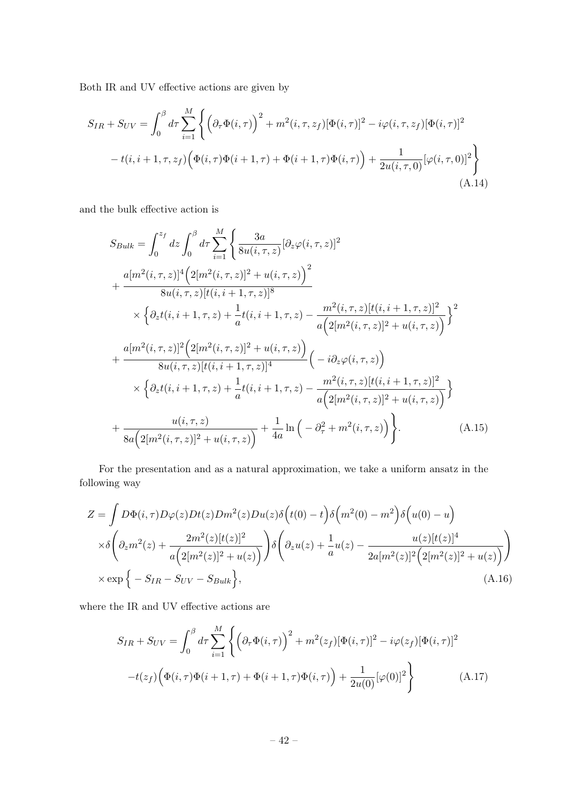Both IR and UV effective actions are given by

$$
S_{IR} + S_{UV} = \int_0^\beta d\tau \sum_{i=1}^M \left\{ \left( \partial_\tau \Phi(i, \tau) \right)^2 + m^2(i, \tau, z_f) [\Phi(i, \tau)]^2 - i \varphi(i, \tau, z_f) [\Phi(i, \tau)]^2 \right.- t(i, i + 1, \tau, z_f) \left( \Phi(i, \tau) \Phi(i + 1, \tau) + \Phi(i + 1, \tau) \Phi(i, \tau) \right) + \frac{1}{2u(i, \tau, 0)} [\varphi(i, \tau, 0)]^2 \right\}
$$
(A.14)

and the bulk effective action is

$$
S_{Bulk} = \int_{0}^{z_f} dz \int_{0}^{\beta} d\tau \sum_{i=1}^{M} \left\{ \frac{3a}{8u(i,\tau,z)} [\partial_z \varphi(i,\tau,z)]^2 + \frac{a[m^2(i,\tau,z)]^4 (2[m^2(i,\tau,z)]^2 + u(i,\tau,z)]^2}{8u(i,\tau,z)[t(i,i+1,\tau,z)]^8} + \frac{a[m^2(i,\tau,z)]t(i,i+1,\tau,z)]^3}{8u(i,\tau,z)[t(i,i+1,\tau,z)]^2} \right\}^2
$$
  
\n
$$
\times \left\{ \partial_z t(i,i+1,\tau,z) + \frac{1}{a} t(i,i+1,\tau,z) - \frac{m^2(i,\tau,z)[t(i,i+1,\tau,z)]^2}{a(2[m^2(i,\tau,z)]^2 + u(i,\tau,z))} \right\}^2
$$
  
\n
$$
+ \frac{a[m^2(i,\tau,z)]^2 (2[m^2(i,\tau,z)]^2 + u(i,\tau,z))}{8u(i,\tau,z)[t(i,i+1,\tau,z)]^4} \left( -i \partial_z \varphi(i,\tau,z) \right)
$$
  
\n
$$
\times \left\{ \partial_z t(i,i+1,\tau,z) + \frac{1}{a} t(i,i+1,\tau,z) - \frac{m^2(i,\tau,z)[t(i,i+1,\tau,z)]^2}{a(2[m^2(i,\tau,z)]^2 + u(i,\tau,z))} \right\}
$$
  
\n+ 
$$
\frac{u(i,\tau,z)}{8a(2[m^2(i,\tau,z)]^2 + u(i,\tau,z))} + \frac{1}{4a} \ln \left( -\partial_\tau^2 + m^2(i,\tau,z) \right) \right\}.
$$
 (A.15)

For the presentation and as a natural approximation, we take a uniform ansatz in the following way

$$
Z = \int D\Phi(i,\tau)D\varphi(z)Dt(z)Dm^{2}(z)Du(z)\delta(t(0) - t)\delta(m^{2}(0) - m^{2})\delta(u(0) - u)
$$
  
\n
$$
\times \delta\left(\partial_{z}m^{2}(z) + \frac{2m^{2}(z)[t(z)]^{2}}{a(2[m^{2}(z)]^{2} + u(z)}\right)\delta\left(\partial_{z}u(z) + \frac{1}{a}u(z) - \frac{u(z)[t(z)]^{4}}{2a[m^{2}(z)]^{2}(2[m^{2}(z)]^{2} + u(z)}\right)
$$
  
\n
$$
\times \exp\left\{-S_{IR} - S_{UV} - S_{Bulk}\right\},
$$
\n(A.16)

where the IR and UV effective actions are

$$
S_{IR} + S_{UV} = \int_0^\beta d\tau \sum_{i=1}^M \left\{ \left( \partial_\tau \Phi(i, \tau) \right)^2 + m^2(z_f) [\Phi(i, \tau)]^2 - i \varphi(z_f) [\Phi(i, \tau)]^2 \right.-t(z_f) \left( \Phi(i, \tau) \Phi(i+1, \tau) + \Phi(i+1, \tau) \Phi(i, \tau) \right) + \frac{1}{2u(0)} [\varphi(0)]^2 \right\}
$$
(A.17)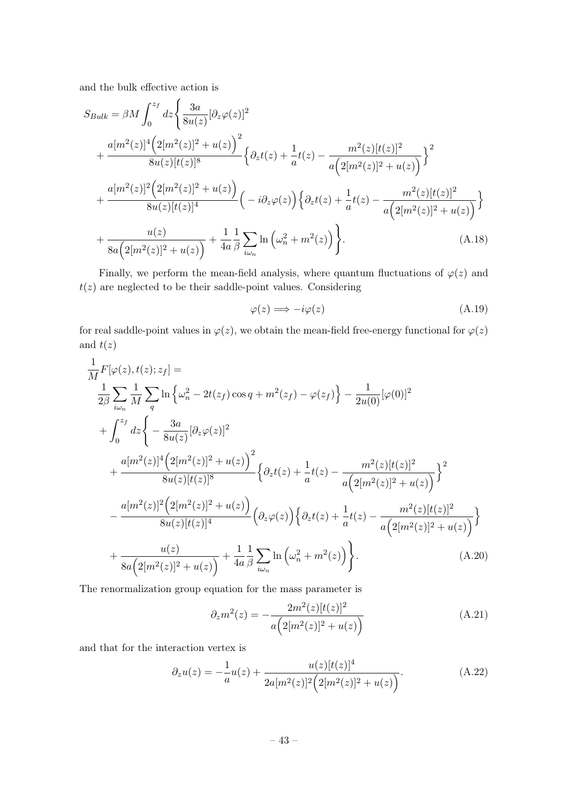and the bulk effective action is

$$
S_{Bulk} = \beta M \int_0^{z_f} dz \Biggl\{ \frac{3a}{8u(z)} [\partial_z \varphi(z)]^2 + \frac{a[m^2(z)]^4 (2[m^2(z)]^2 + u(z))^2}{8u(z)[t(z)]^8} \Biggl\{ \partial_z t(z) + \frac{1}{a} t(z) - \frac{m^2(z)[t(z)]^2}{a(2[m^2(z)]^2 + u(z))} \Biggr\}^2 + \frac{a[m^2(z)]^2 (2[m^2(z)]^2 + u(z))}{8u(z)[t(z)]^4} \Biggl( -i \partial_z \varphi(z) \Biggr) \Biggl\{ \partial_z t(z) + \frac{1}{a} t(z) - \frac{m^2(z)[t(z)]^2}{a(2[m^2(z)]^2 + u(z))} \Biggr\} + \frac{u(z)}{8a(2[m^2(z)]^2 + u(z))} + \frac{1}{4a} \frac{1}{\beta} \sum_{i\omega_n} \ln \left( \omega_n^2 + m^2(z) \right) \Biggr\}.
$$
\n(A.18)

Finally, we perform the mean-field analysis, where quantum fluctuations of  $\varphi(z)$  and  $t(z)$  are neglected to be their saddle-point values. Considering

$$
\varphi(z) \Longrightarrow -i\varphi(z) \tag{A.19}
$$

for real saddle-point values in  $\varphi(z)$ , we obtain the mean-field free-energy functional for  $\varphi(z)$ and  $t(z)$ 

$$
\frac{1}{M}F[\varphi(z), t(z); z_f] =
$$
\n
$$
\frac{1}{2\beta} \sum_{i\omega_n} \frac{1}{M} \sum_{q} \ln \left\{ \omega_n^2 - 2t(z_f) \cos q + m^2(z_f) - \varphi(z_f) \right\} - \frac{1}{2u(0)} [\varphi(0)]^2
$$
\n
$$
+ \int_0^{z_f} dz \left\{ - \frac{3a}{8u(z)} [\partial_z \varphi(z)]^2 + u(z) \right\}^2
$$
\n
$$
+ \frac{a[m^2(z)]^4 (2[m^2(z)]^2 + u(z))^2}{8u(z)[t(z)]^8} \left\{ \partial_z t(z) + \frac{1}{a} t(z) - \frac{m^2(z)[t(z)]^2}{a(2[m^2(z)]^2 + u(z))} \right\}^2
$$
\n
$$
- \frac{a[m^2(z)]^2 (2[m^2(z)]^2 + u(z))}{8u(z)[t(z)]^4} \left( \partial_z \varphi(z) \right) \left\{ \partial_z t(z) + \frac{1}{a} t(z) - \frac{m^2(z)[t(z)]^2}{a(2[m^2(z)]^2 + u(z))} \right\}
$$
\n
$$
+ \frac{u(z)}{8a(2[m^2(z)]^2 + u(z))} + \frac{1}{4a} \frac{1}{\beta} \sum_{i\omega_n} \ln \left( \omega_n^2 + m^2(z) \right) \right\}.
$$
\n(A.20)

The renormalization group equation for the mass parameter is

$$
\partial_z m^2(z) = -\frac{2m^2(z)[t(z)]^2}{a\left(2[m^2(z)]^2 + u(z)\right)}
$$
(A.21)

and that for the interaction vertex is

$$
\partial_z u(z) = -\frac{1}{a}u(z) + \frac{u(z)[t(z)]^4}{2a[m^2(z)]^2\left(2[m^2(z)]^2 + u(z)\right)}.
$$
\n(A.22)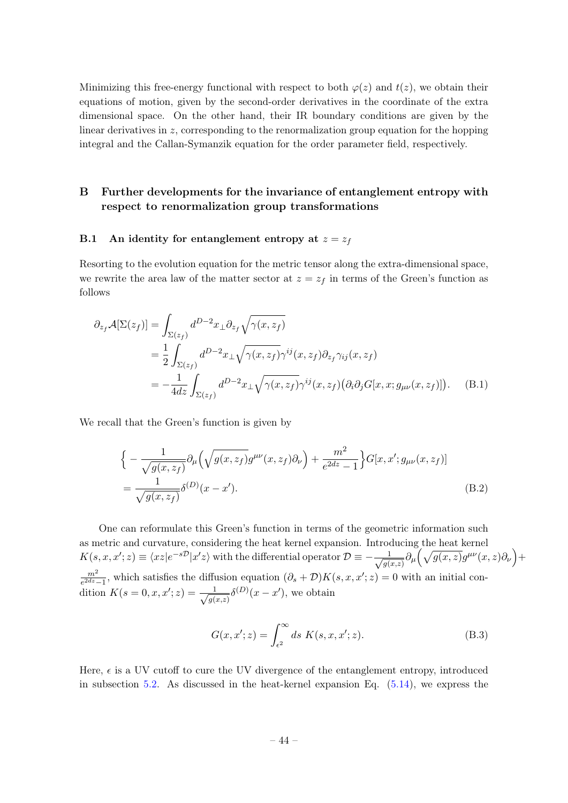Minimizing this free-energy functional with respect to both  $\varphi(z)$  and  $t(z)$ , we obtain their equations of motion, given by the second-order derivatives in the coordinate of the extra dimensional space. On the other hand, their IR boundary conditions are given by the linear derivatives in  $z$ , corresponding to the renormalization group equation for the hopping integral and the Callan-Symanzik equation for the order parameter field, respectively.

## <span id="page-44-0"></span>B Further developments for the invariance of entanglement entropy with respect to renormalization group transformations

#### <span id="page-44-1"></span>B.1 An identity for entanglement entropy at  $z = z_f$

Resorting to the evolution equation for the metric tensor along the extra-dimensional space, we rewrite the area law of the matter sector at  $z = z_f$  in terms of the Green's function as follows

$$
\partial_{z_f} \mathcal{A}[\Sigma(z_f)] = \int_{\Sigma(z_f)} d^{D-2}x_{\perp} \partial_{z_f} \sqrt{\gamma(x, z_f)}
$$
  
\n
$$
= \frac{1}{2} \int_{\Sigma(z_f)} d^{D-2}x_{\perp} \sqrt{\gamma(x, z_f)} \gamma^{ij}(x, z_f) \partial_{z_f} \gamma_{ij}(x, z_f)
$$
  
\n
$$
= -\frac{1}{4dz} \int_{\Sigma(z_f)} d^{D-2}x_{\perp} \sqrt{\gamma(x, z_f)} \gamma^{ij}(x, z_f) (\partial_i \partial_j G[x, x; g_{\mu\nu}(x, z_f)] ). \quad (B.1)
$$

We recall that the Green's function is given by

<span id="page-44-2"></span>
$$
\begin{split} & \Big\{ -\frac{1}{\sqrt{g(x,z_f)}} \partial_\mu \Big( \sqrt{g(x,z_f)} g^{\mu\nu}(x,z_f) \partial_\nu \Big) + \frac{m^2}{e^{2dz} - 1} \Big\} G[x, x'; g_{\mu\nu}(x,z_f)] \\ &= \frac{1}{\sqrt{g(x,z_f)}} \delta^{(D)}(x - x'). \end{split} \tag{B.2}
$$

One can reformulate this Green's function in terms of the geometric information such as metric and curvature, considering the heat kernel expansion. Introducing the heat kernel  $K(s, x, x'; z) \equiv \langle xz|e^{-s\mathcal{D}}|x'z\rangle$  with the differential operator  $\mathcal{D} \equiv -\frac{1}{\sqrt{2}}$  $\frac{1}{g(x,z)} \partial_\mu \bigg( \sqrt{g(x,z)} g^{\mu\nu}(x,z) \partial_\nu \bigg) +$  $m<sup>2</sup>$  $\frac{m^2}{e^{2dz}-1}$ , which satisfies the diffusion equation  $(\partial_s + \mathcal{D})K(s, x, x'; z) = 0$  with an initial condition  $K(s = 0, x, x'; z) = \frac{1}{\sqrt{2}}$  $\frac{1}{g(x,z)}\delta^{(D)}(x-x')$ , we obtain

$$
G(x, x'; z) = \int_{\epsilon^2}^{\infty} ds K(s, x, x'; z).
$$
 (B.3)

Here,  $\epsilon$  is a UV cutoff to cure the UV divergence of the entanglement entropy, introduced in subsection [5.2.](#page-25-0) As discussed in the heat-kernel expansion Eq.  $(5.14)$ , we express the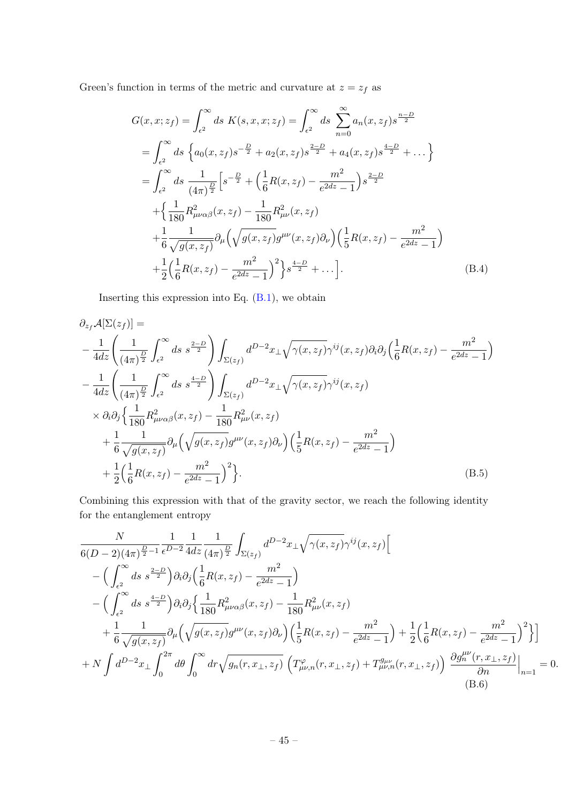Green's function in terms of the metric and curvature at  $z = z_f$  as

$$
G(x, x; z_f) = \int_{\epsilon^2}^{\infty} ds \ K(s, x, x; z_f) = \int_{\epsilon^2}^{\infty} ds \ \sum_{n=0}^{\infty} a_n(x, z_f) s^{\frac{n-D}{2}}
$$
  
\n
$$
= \int_{\epsilon^2}^{\infty} ds \ \left\{ a_0(x, z_f) s^{-\frac{D}{2}} + a_2(x, z_f) s^{\frac{2-D}{2}} + a_4(x, z_f) s^{\frac{4-D}{2}} + \dots \right\}
$$
  
\n
$$
= \int_{\epsilon^2}^{\infty} ds \ \frac{1}{(4\pi)^{\frac{D}{2}}} \left[ s^{-\frac{D}{2}} + \left( \frac{1}{6} R(x, z_f) - \frac{m^2}{e^{2dz} - 1} \right) s^{\frac{2-D}{2}} + \left\{ \frac{1}{180} R_{\mu\nu\alpha\beta}^2(x, z_f) - \frac{1}{180} R_{\mu\nu}^2(x, z_f) \right\}
$$
  
\n
$$
+ \frac{1}{6} \frac{1}{\sqrt{g(x, z_f)}} \partial_{\mu} \left( \sqrt{g(x, z_f)} g^{\mu\nu}(x, z_f) \partial_{\nu} \right) \left( \frac{1}{5} R(x, z_f) - \frac{m^2}{e^{2dz} - 1} \right)
$$
  
\n
$$
+ \frac{1}{2} \left( \frac{1}{6} R(x, z_f) - \frac{m^2}{e^{2dz} - 1} \right)^2 \right\} s^{\frac{4-D}{2}} + \dots \Big]. \tag{B.4}
$$

Inserting this expression into Eq. [\(B.1\)](#page-44-2), we obtain

$$
\partial_{z_f} \mathcal{A}[\Sigma(z_f)] =
$$
\n
$$
-\frac{1}{4dz} \left( \frac{1}{(4\pi)^{\frac{D}{2}}} \int_{\epsilon^2}^{\infty} ds \ s^{\frac{2-D}{2}} \right) \int_{\Sigma(z_f)} d^{D-2}x \pm \sqrt{\gamma(x, z_f)} \gamma^{ij}(x, z_f) \partial_i \partial_j \left( \frac{1}{6} R(x, z_f) - \frac{m^2}{e^{2dz} - 1} \right)
$$
\n
$$
-\frac{1}{4dz} \left( \frac{1}{(4\pi)^{\frac{D}{2}}} \int_{\epsilon^2}^{\infty} ds \ s^{\frac{4-D}{2}} \right) \int_{\Sigma(z_f)} d^{D-2}x \pm \sqrt{\gamma(x, z_f)} \gamma^{ij}(x, z_f)
$$
\n
$$
\times \partial_i \partial_j \left\{ \frac{1}{180} R_{\mu\nu\alpha\beta}^2(x, z_f) - \frac{1}{180} R_{\mu\nu}^2(x, z_f) \right\}
$$
\n
$$
+\frac{1}{6} \frac{1}{\sqrt{g(x, z_f)}} \partial_\mu \left( \sqrt{g(x, z_f)} g^{\mu\nu}(x, z_f) \partial_\nu \right) \left( \frac{1}{5} R(x, z_f) - \frac{m^2}{e^{2dz} - 1} \right)
$$
\n
$$
+\frac{1}{2} \left( \frac{1}{6} R(x, z_f) - \frac{m^2}{e^{2dz} - 1} \right)^2 \right\}.
$$
\n(B.5)

Combining this expression with that of the gravity sector, we reach the following identity for the entanglement entropy

$$
\frac{N}{6(D-2)(4\pi)^{\frac{D}{2}-1}} \frac{1}{e^{D-2}} \frac{1}{4dz} \frac{1}{(4\pi)^{\frac{D}{2}}} \int_{\Sigma(z_f)} d^{D-2}x_{\perp} \sqrt{\gamma(x,z_f)} \gamma^{ij}(x,z_f) \Big[ \n- \Big( \int_{\epsilon^2}^{\infty} ds \frac{z^{-D}}{s^{\frac{2-D}{2}}} \Big) \partial_i \partial_j \Big( \frac{1}{6} R(x,z_f) - \frac{m^2}{e^{2dz} - 1} \Big) \n- \Big( \int_{\epsilon^2}^{\infty} ds \frac{z^{-D}}{s^{\frac{2-D}{2}}} \Big) \partial_i \partial_j \Big\{ \frac{1}{180} R_{\mu\nu\alpha\beta}^2(x,z_f) - \frac{1}{180} R_{\mu\nu}^2(x,z_f) \n+ \frac{1}{6} \frac{1}{\sqrt{g(x,z_f)}} \partial_\mu \Big( \sqrt{g(x,z_f)} g^{\mu\nu}(x,z_f) \partial_\nu \Big) \Big( \frac{1}{5} R(x,z_f) - \frac{m^2}{e^{2dz} - 1} \Big) + \frac{1}{2} \Big( \frac{1}{6} R(x,z_f) - \frac{m^2}{e^{2dz} - 1} \Big)^2 \Big\} \Big] \n+ N \int d^{D-2}x_{\perp} \int_0^{2\pi} d\theta \int_0^{\infty} dr \sqrt{g_n(r,x_{\perp},z_f)} \Big( T_{\mu\nu,n}^{\varphi}(r,x_{\perp},z_f) + T_{\mu\nu,n}^{g_{\mu\nu}}(r,x_{\perp},z_f) \Big) \frac{\partial g_n^{\mu\nu}(r,x_{\perp},z_f)}{\partial n} \Big|_{n=1} = 0.
$$
\n(B.6)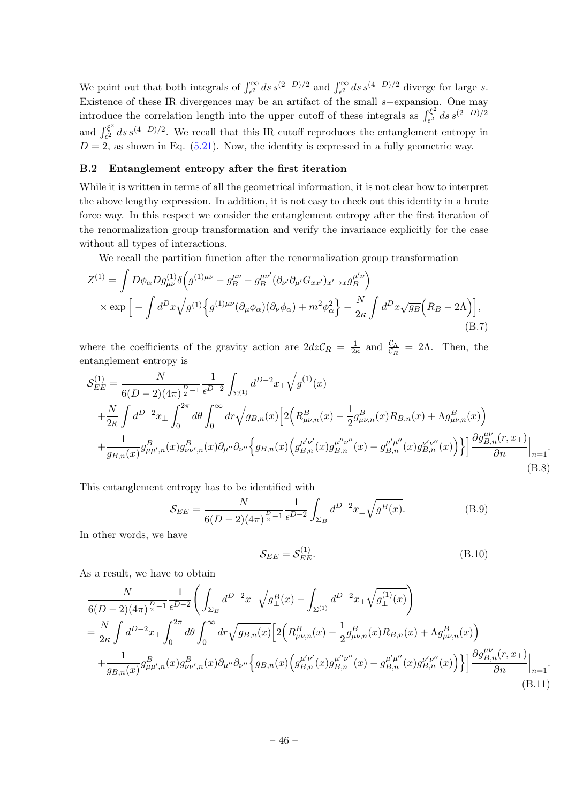We point out that both integrals of  $\int_{\epsilon^2}^{\infty} ds \, s^{(2-D)/2}$  and  $\int_{\epsilon^2}^{\infty} ds \, s^{(4-D)/2}$  diverge for large s. Existence of these IR divergences may be an artifact of the small s−expansion. One may introduce the correlation length into the upper cutoff of these integrals as  $\int_{\epsilon^2}^{\xi^2}$  $\int_{\epsilon^2}^{\xi^2} ds \, s^{(2-D)/2}$ and  $\int_{\epsilon^2}^{\xi^2}$  $\epsilon_1^{\xi^2}$  ds s<sup>(4-D)/2</sup>. We recall that this IR cutoff reproduces the entanglement entropy in  $D = 2$ , as shown in Eq. [\(5.21\)](#page-27-1). Now, the identity is expressed in a fully geometric way.

#### <span id="page-46-0"></span>B.2 Entanglement entropy after the first iteration

While it is written in terms of all the geometrical information, it is not clear how to interpret the above lengthy expression. In addition, it is not easy to check out this identity in a brute force way. In this respect we consider the entanglement entropy after the first iteration of the renormalization group transformation and verify the invariance explicitly for the case without all types of interactions.

We recall the partition function after the renormalization group transformation

$$
Z^{(1)} = \int D\phi_{\alpha} D g_{\mu\nu}^{(1)} \delta \left( g^{(1)\mu\nu} - g_B^{\mu\nu} - g_B^{\mu\nu'} (\partial_{\nu'} \partial_{\mu'} G_{xx'})_{x' \to x} g_B^{\mu'\nu} \right) \times \exp \left[ - \int d^D x \sqrt{g^{(1)}} \left\{ g^{(1)\mu\nu} (\partial_\mu \phi_\alpha) (\partial_\nu \phi_\alpha) + m^2 \phi_\alpha^2 \right\} - \frac{N}{2\kappa} \int d^D x \sqrt{g_B} \left( R_B - 2\Lambda \right) \right],
$$
\n(B.7)

where the coefficients of the gravity action are  $2dz\mathcal{C}_R = \frac{1}{2d}$  $\frac{1}{2\kappa}$  and  $\frac{\mathcal{C}_{\Lambda}}{\mathcal{C}_{R}} = 2\Lambda$ . Then, the entanglement entropy is

$$
S_{EE}^{(1)} = \frac{N}{6(D-2)(4\pi)^{\frac{D}{2}-1}} \frac{1}{\epsilon^{D-2}} \int_{\Sigma^{(1)}} d^{D-2}x_{\perp} \sqrt{g_{\perp}^{(1)}(x)} + \frac{N}{2\kappa} \int d^{D-2}x_{\perp} \int_{0}^{2\pi} d\theta \int_{0}^{\infty} dr \sqrt{g_{B,n}(x)} \Big[ 2\Big(R_{\mu\nu,n}^{B}(x) - \frac{1}{2}g_{\mu\nu,n}^{B}(x)R_{B,n}(x) + \Lambda g_{\mu\nu,n}^{B}(x)\Big) + \frac{1}{g_{B,n}(x)} g_{\mu\mu',n}^{B}(x)g_{\nu\nu',n}^{B}(x) \partial_{\mu''} \partial_{\nu''} \Big\{ g_{B,n}(x) \Big(g_{B,n}^{\mu'\nu'}(x)g_{B,n}^{\mu'\nu''}(x) - g_{B,n}^{\mu'\mu''}(x)g_{B,n}^{\nu'\nu''}(x)\Big) \Big\} \Big] \frac{\partial g_{B,n}^{\mu\nu}(r,x_{\perp})}{\partial n} \Big|_{n=1}.
$$
\n(B.8)

This entanglement entropy has to be identified with

$$
S_{EE} = \frac{N}{6(D-2)(4\pi)^{\frac{D}{2}-1}} \frac{1}{\epsilon^{D-2}} \int_{\Sigma_B} d^{D-2}x_{\perp} \sqrt{g_{\perp}^B(x)}.
$$
 (B.9)

In other words, we have

$$
\mathcal{S}_{EE} = \mathcal{S}_{EE}^{(1)}.\tag{B.10}
$$

.

As a result, we have to obtain

$$
\frac{N}{6(D-2)(4\pi)^{\frac{D}{2}-1}} \frac{1}{\epsilon^{D-2}} \Biggl( \int_{\Sigma_B} d^{D-2}x_{\perp} \sqrt{g_{\perp}^B(x)} - \int_{\Sigma^{(1)}} d^{D-2}x_{\perp} \sqrt{g_{\perp}^{(1)}(x)} \Biggr) \n= \frac{N}{2\kappa} \int d^{D-2}x_{\perp} \int_0^{2\pi} d\theta \int_0^{\infty} dr \sqrt{g_{B,n}(x)} \Biggl[ 2 \Bigl( R_{\mu\nu,n}^B(x) - \frac{1}{2} g_{\mu\nu,n}^B(x) R_{B,n}(x) + \Lambda g_{\mu\nu,n}^B(x) \Bigr) \n+ \frac{1}{g_{B,n}(x)} g_{\mu\mu',n}^B(x) g_{\nu\nu',n}^B(x) \partial_{\mu''} \partial_{\nu''} \Bigl\{ g_{B,n}(x) \Bigl( g_{B,n}^{\mu'\nu'}(x) g_{B,n}^{\mu'\nu''}(x) - g_{B,n}^{\mu'\mu'}(x) g_{B,n}^{\nu'\nu''}(x) \Bigr) \Bigr\} \Biggr] \frac{\partial g_{B,n}^{\mu\nu}(r,x_{\perp})}{\partial n} \Biggr|_{n=1} .
$$
\n(B.11)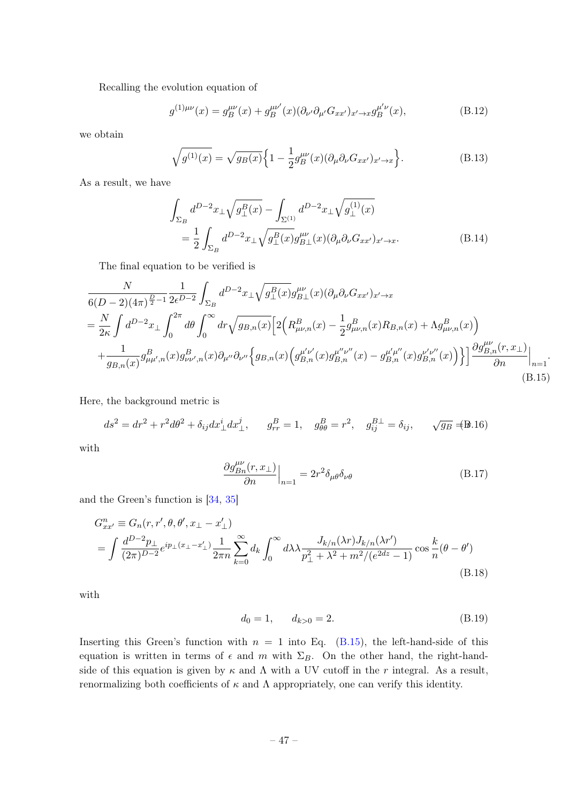Recalling the evolution equation of

$$
g^{(1)\mu\nu}(x) = g_B^{\mu\nu}(x) + g_B^{\mu\nu'}(x) (\partial_{\nu'} \partial_{\mu'} G_{xx'})_{x' \to x} g_B^{\mu'\nu}(x), \tag{B.12}
$$

we obtain

$$
\sqrt{g^{(1)}(x)} = \sqrt{g_B(x)} \Big\{ 1 - \frac{1}{2} g_B^{\mu\nu}(x) (\partial_\mu \partial_\nu G_{xx'})_{x' \to x} \Big\}.
$$
 (B.13)

As a result, we have

$$
\int_{\Sigma_B} d^{D-2}x_{\perp} \sqrt{g_{\perp}^B(x)} - \int_{\Sigma^{(1)}} d^{D-2}x_{\perp} \sqrt{g_{\perp}^{(1)}(x)} \n= \frac{1}{2} \int_{\Sigma_B} d^{D-2}x_{\perp} \sqrt{g_{\perp}^B(x)} g_{B\perp}^{\mu\nu}(x) (\partial_{\mu}\partial_{\nu}G_{xx'})_{x'\to x}.
$$
\n(B.14)

The final equation to be verified is

<span id="page-47-0"></span>
$$
\frac{N}{6(D-2)(4\pi)^{\frac{D}{2}-1}} \frac{1}{2\epsilon^{D-2}} \int_{\Sigma_{B}} d^{D-2}x_{\perp} \sqrt{g_{\perp}^{B}(x)} g_{B\perp}^{\mu\nu}(x) (\partial_{\mu}\partial_{\nu}G_{xx'})_{x'\to x} \n= \frac{N}{2\kappa} \int d^{D-2}x_{\perp} \int_{0}^{2\pi} d\theta \int_{0}^{\infty} dr \sqrt{g_{B,n}(x)} \Big[ 2\Big(R^{B}_{\mu\nu,n}(x) - \frac{1}{2}g_{\mu\nu,n}^{B}(x)R_{B,n}(x) + \Lambda g_{\mu\nu,n}^{B}(x)\Big) \n+ \frac{1}{g_{B,n}(x)} g_{\mu\mu',n}^{B}(x)g_{\nu\nu',n}^{B}(x) \partial_{\mu''}\partial_{\nu''} \Big\{ g_{B,n}(x) \Big(g_{B,n}^{\mu'\nu'}(x)g_{B,n}^{\mu''\nu''}(x) - g_{B,n}^{\mu'\mu'}(x)g_{B,n}^{\nu'\nu''}(x)\Big) \Big\} \Big] \frac{\partial g_{B,n}^{\mu\nu}(r,x_{\perp})}{\partial n} \Big|_{n=1}.
$$
\n(B.15)

Here, the background metric is

$$
ds^2 = dr^2 + r^2 d\theta^2 + \delta_{ij} dx^i_{\perp} dx^j_{\perp}, \qquad g^B_{rr} = 1, \quad g^B_{\theta\theta} = r^2, \quad g^{B\perp}_{ij} = \delta_{ij}, \qquad \sqrt{g_B} \neq \mathbb{B}.16
$$

with

$$
\frac{\partial g_{Bn}^{\mu\nu}(r,x_{\perp})}{\partial n}\Big|_{n=1} = 2r^2 \delta_{\mu\theta} \delta_{\nu\theta}
$$
\n(B.17)

and the Green's function is [\[34,](#page-49-3) [35\]](#page-49-7)

$$
G_{xx'}^{n} \equiv G_{n}(r, r', \theta, \theta', x_{\perp} - x'_{\perp})
$$
  
= 
$$
\int \frac{d^{D-2}p_{\perp}}{(2\pi)^{D-2}} e^{ip_{\perp}(x_{\perp} - x'_{\perp})} \frac{1}{2\pi n} \sum_{k=0}^{\infty} d_{k} \int_{0}^{\infty} d\lambda \lambda \frac{J_{k/n}(\lambda r) J_{k/n}(\lambda r')}{p_{\perp}^{2} + \lambda^{2} + m^{2}/(e^{2dz} - 1)} \cos \frac{k}{n} (\theta - \theta')
$$
(B.18)

with

$$
d_0 = 1, \qquad d_{k>0} = 2. \tag{B.19}
$$

Inserting this Green's function with  $n = 1$  into Eq. [\(B.15\)](#page-47-0), the left-hand-side of this equation is written in terms of  $\epsilon$  and m with  $\Sigma_B$ . On the other hand, the right-handside of this equation is given by  $\kappa$  and  $\Lambda$  with a UV cutoff in the r integral. As a result, renormalizing both coefficients of κ and Λ appropriately, one can verify this identity.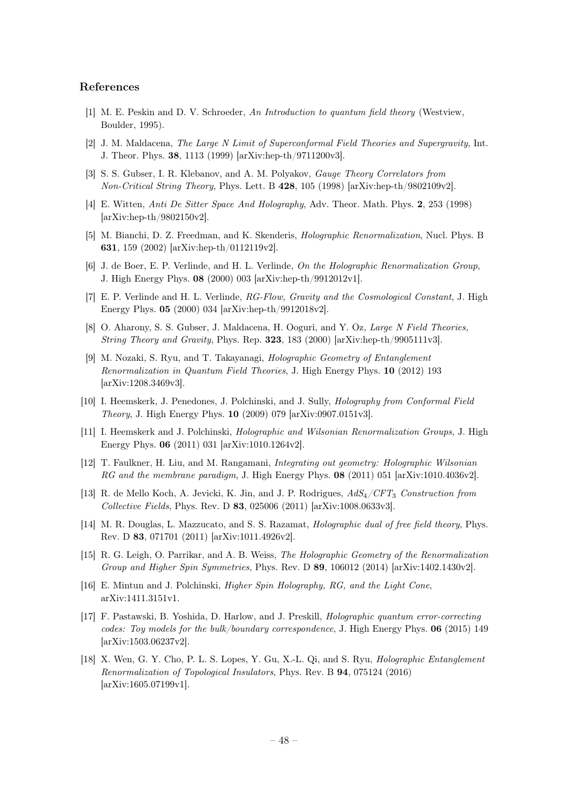#### References

- <span id="page-48-0"></span>[1] M. E. Peskin and D. V. Schroeder, An Introduction to quantum field theory (Westview, Boulder, 1995).
- <span id="page-48-1"></span>[2] J. M. Maldacena, The Large N Limit of Superconformal Field Theories and Supergravity, Int. J. Theor. Phys. 38, 1113 (1999) [arXiv:hep-th/9711200v3].
- [3] S. S. Gubser, I. R. Klebanov, and A. M. Polyakov, Gauge Theory Correlators from Non-Critical String Theory, Phys. Lett. B 428, 105 (1998) [arXiv:hep-th/9802109v2].
- [4] E. Witten, Anti De Sitter Space And Holography, Adv. Theor. Math. Phys. 2, 253 (1998) [arXiv:hep-th/9802150v2].
- <span id="page-48-4"></span>[5] M. Bianchi, D. Z. Freedman, and K. Skenderis, Holographic Renormalization, Nucl. Phys. B 631, 159 (2002) [arXiv:hep-th/0112119v2].
- [6] J. de Boer, E. P. Verlinde, and H. L. Verlinde, On the Holographic Renormalization Group, J. High Energy Phys. 08 (2000) 003 [arXiv:hep-th/9912012v1].
- <span id="page-48-5"></span>[7] E. P. Verlinde and H. L. Verlinde, RG-Flow, Gravity and the Cosmological Constant, J. High Energy Phys. 05 (2000) 034 [arXiv:hep-th/9912018v2].
- <span id="page-48-2"></span>[8] O. Aharony, S. S. Gubser, J. Maldacena, H. Ooguri, and Y. Oz, Large N Field Theories, String Theory and Gravity, Phys. Rep. 323, 183 (2000) [arXiv:hep-th/9905111v3].
- <span id="page-48-3"></span>[9] M. Nozaki, S. Ryu, and T. Takayanagi, Holographic Geometry of Entanglement Renormalization in Quantum Field Theories, J. High Energy Phys. 10 (2012) 193 [arXiv:1208.3469v3].
- [10] I. Heemskerk, J. Penedones, J. Polchinski, and J. Sully, Holography from Conformal Field Theory, J. High Energy Phys. 10 (2009) 079 [arXiv:0907.0151v3].
- [11] I. Heemskerk and J. Polchinski, Holographic and Wilsonian Renormalization Groups, J. High Energy Phys. 06 (2011) 031 [arXiv:1010.1264v2].
- [12] T. Faulkner, H. Liu, and M. Rangamani, Integrating out geometry: Holographic Wilsonian RG and the membrane paradigm, J. High Energy Phys. 08 (2011) 051 [arXiv:1010.4036v2].
- [13] R. de Mello Koch, A. Jevicki, K. Jin, and J. P. Rodrigues,  $AdS_4/CFT_3$  Construction from Collective Fields, Phys. Rev. D 83, 025006 (2011) [arXiv:1008.0633v3].
- [14] M. R. Douglas, L. Mazzucato, and S. S. Razamat, *Holographic dual of free field theory*, Phys. Rev. D 83, 071701 (2011) [arXiv:1011.4926v2].
- [15] R. G. Leigh, O. Parrikar, and A. B. Weiss, The Holographic Geometry of the Renormalization Group and Higher Spin Symmetries, Phys. Rev. D 89, 106012 (2014) [arXiv:1402.1430v2].
- [16] E. Mintun and J. Polchinski, Higher Spin Holography, RG, and the Light Cone, arXiv:1411.3151v1.
- [17] F. Pastawski, B. Yoshida, D. Harlow, and J. Preskill, Holographic quantum error-correcting codes: Toy models for the bulk/boundary correspondence, J. High Energy Phys. 06 (2015) 149 [arXiv:1503.06237v2].
- [18] X. Wen, G. Y. Cho, P. L. S. Lopes, Y. Gu, X.-L. Qi, and S. Ryu, Holographic Entanglement Renormalization of Topological Insulators, Phys. Rev. B 94, 075124 (2016) [arXiv:1605.07199v1].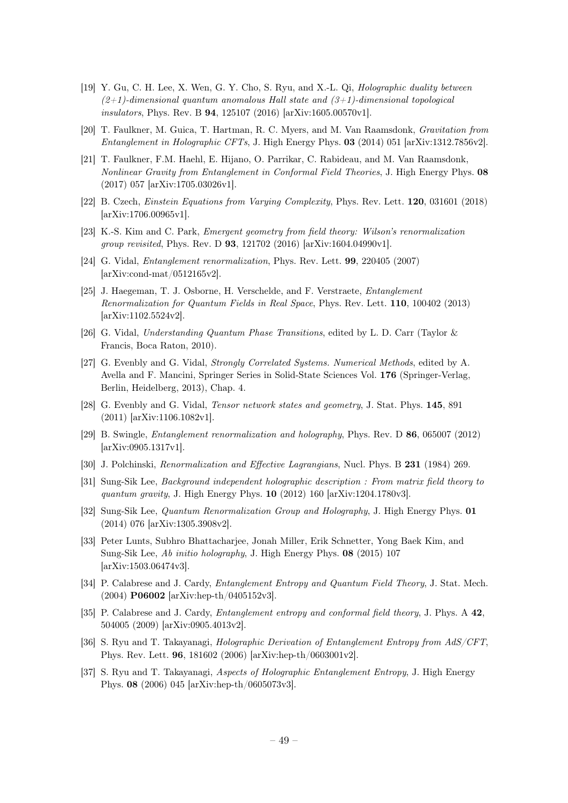- [19] Y. Gu, C. H. Lee, X. Wen, G. Y. Cho, S. Ryu, and X.-L. Qi, Holographic duality between  $(2+1)$ -dimensional quantum anomalous Hall state and  $(3+1)$ -dimensional topological insulators, Phys. Rev. B 94, 125107 (2016) [arXiv:1605.00570v1].
- [20] T. Faulkner, M. Guica, T. Hartman, R. C. Myers, and M. Van Raamsdonk, Gravitation from Entanglement in Holographic CFTs, J. High Energy Phys. 03 (2014) 051 [arXiv:1312.7856v2].
- [21] T. Faulkner, F.M. Haehl, E. Hijano, O. Parrikar, C. Rabideau, and M. Van Raamsdonk, Nonlinear Gravity from Entanglement in Conformal Field Theories, J. High Energy Phys. 08 (2017) 057 [arXiv:1705.03026v1].
- [22] B. Czech, Einstein Equations from Varying Complexity, Phys. Rev. Lett. 120, 031601 (2018) [arXiv:1706.00965v1].
- [23] K.-S. Kim and C. Park, Emergent geometry from field theory: Wilson's renormalization group revisited, Phys. Rev. D 93, 121702 (2016) [arXiv:1604.04990v1].
- [24] G. Vidal, Entanglement renormalization, Phys. Rev. Lett. 99, 220405 (2007) [arXiv:cond-mat/0512165v2].
- [25] J. Haegeman, T. J. Osborne, H. Verschelde, and F. Verstraete, *Entanglement* Renormalization for Quantum Fields in Real Space, Phys. Rev. Lett. 110, 100402 (2013) [arXiv:1102.5524v2].
- [26] G. Vidal, Understanding Quantum Phase Transitions, edited by L. D. Carr (Taylor & Francis, Boca Raton, 2010).
- [27] G. Evenbly and G. Vidal, Strongly Correlated Systems. Numerical Methods, edited by A. Avella and F. Mancini, Springer Series in Solid-State Sciences Vol. 176 (Springer-Verlag, Berlin, Heidelberg, 2013), Chap. 4.
- [28] G. Evenbly and G. Vidal, Tensor network states and geometry, J. Stat. Phys. 145, 891 (2011) [arXiv:1106.1082v1].
- <span id="page-49-0"></span>[29] B. Swingle, Entanglement renormalization and holography, Phys. Rev. D 86, 065007 (2012) [arXiv:0905.1317v1].
- <span id="page-49-4"></span>[30] J. Polchinski, Renormalization and Effective Lagrangians, Nucl. Phys. B 231 (1984) 269.
- <span id="page-49-1"></span>[31] Sung-Sik Lee, Background independent holographic description : From matrix field theory to quantum gravity, J. High Energy Phys. 10 (2012) 160 [arXiv:1204.1780v3].
- [32] Sung-Sik Lee, Quantum Renormalization Group and Holography, J. High Energy Phys. 01 (2014) 076 [arXiv:1305.3908v2].
- <span id="page-49-2"></span>[33] Peter Lunts, Subhro Bhattacharjee, Jonah Miller, Erik Schnetter, Yong Baek Kim, and Sung-Sik Lee, Ab initio holography, J. High Energy Phys. 08 (2015) 107 [arXiv:1503.06474v3].
- <span id="page-49-3"></span>[34] P. Calabrese and J. Cardy, *Entanglement Entropy and Quantum Field Theory*, J. Stat. Mech. (2004) P06002 [arXiv:hep-th/0405152v3].
- <span id="page-49-7"></span>[35] P. Calabrese and J. Cardy, *Entanglement entropy and conformal field theory*, J. Phys. A 42. 504005 (2009) [arXiv:0905.4013v2].
- <span id="page-49-5"></span>[36] S. Ryu and T. Takayanagi, *Holographic Derivation of Entanglement Entropy from AdS/CFT*, Phys. Rev. Lett. 96, 181602 (2006) [arXiv:hep-th/0603001v2].
- <span id="page-49-6"></span>[37] S. Ryu and T. Takayanagi, Aspects of Holographic Entanglement Entropy, J. High Energy Phys. 08 (2006) 045 [arXiv:hep-th/0605073v3].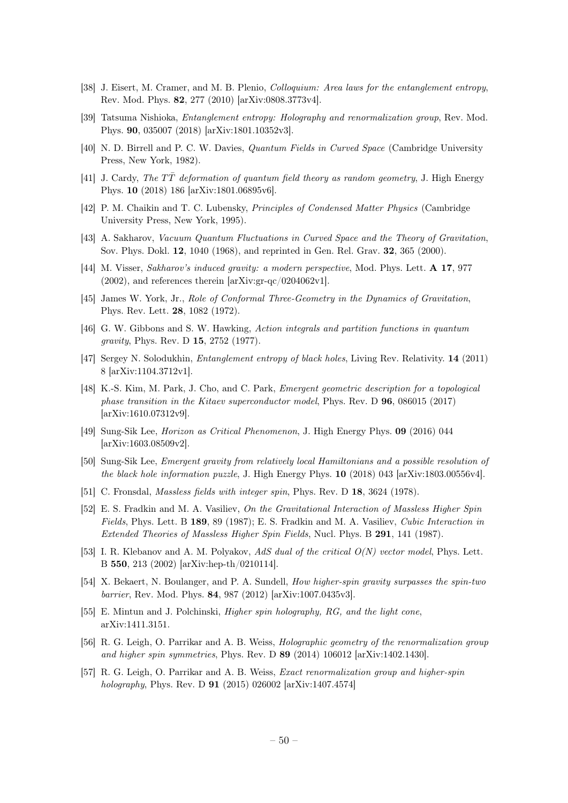- [38] J. Eisert, M. Cramer, and M. B. Plenio, *Colloquium: Area laws for the entanglement entropy*, Rev. Mod. Phys. 82, 277 (2010) [arXiv:0808.3773v4].
- <span id="page-50-0"></span>[39] Tatsuma Nishioka, Entanglement entropy: Holography and renormalization group, Rev. Mod. Phys. 90, 035007 (2018) [arXiv:1801.10352v3].
- <span id="page-50-1"></span>[40] N. D. Birrell and P. C. W. Davies, Quantum Fields in Curved Space (Cambridge University Press, New York, 1982).
- <span id="page-50-2"></span>[41] J. Cardy, The  $T\bar{T}$  deformation of quantum field theory as random geometry, J. High Energy Phys. 10 (2018) 186 [arXiv:1801.06895v6].
- <span id="page-50-3"></span>[42] P. M. Chaikin and T. C. Lubensky, Principles of Condensed Matter Physics (Cambridge University Press, New York, 1995).
- <span id="page-50-4"></span>[43] A. Sakharov, Vacuum Quantum Fluctuations in Curved Space and the Theory of Gravitation, Sov. Phys. Dokl. 12, 1040 (1968), and reprinted in Gen. Rel. Grav. 32, 365 (2000).
- <span id="page-50-5"></span>[44] M. Visser, Sakharov's induced gravity: a modern perspective, Mod. Phys. Lett. A 17, 977  $(2002)$ , and references therein [arXiv:gr-qc/0204062v1].
- <span id="page-50-6"></span>[45] James W. York, Jr., Role of Conformal Three-Geometry in the Dynamics of Gravitation, Phys. Rev. Lett. 28, 1082 (1972).
- <span id="page-50-7"></span>[46] G. W. Gibbons and S. W. Hawking, Action integrals and partition functions in quantum gravity, Phys. Rev. D 15, 2752 (1977).
- <span id="page-50-8"></span>[47] Sergey N. Solodukhin, Entanglement entropy of black holes, Living Rev. Relativity. 14 (2011) 8 [arXiv:1104.3712v1].
- <span id="page-50-9"></span>[48] K.-S. Kim, M. Park, J. Cho, and C. Park, Emergent geometric description for a topological phase transition in the Kitaev superconductor model, Phys. Rev. D 96, 086015 (2017) [arXiv:1610.07312v9].
- <span id="page-50-10"></span>[49] Sung-Sik Lee, Horizon as Critical Phenomenon, J. High Energy Phys. 09 (2016) 044 [arXiv:1603.08509v2].
- <span id="page-50-11"></span>[50] Sung-Sik Lee, Emergent gravity from relatively local Hamiltonians and a possible resolution of the black hole information puzzle, J. High Energy Phys. 10 (2018) 043 [arXiv:1803.00556v4].
- <span id="page-50-12"></span>[51] C. Fronsdal, Massless fields with integer spin, Phys. Rev. D 18, 3624 (1978).
- [52] E. S. Fradkin and M. A. Vasiliev, On the Gravitational Interaction of Massless Higher Spin Fields, Phys. Lett. B 189, 89 (1987); E. S. Fradkin and M. A. Vasiliev, Cubic Interaction in Extended Theories of Massless Higher Spin Fields, Nucl. Phys. B 291, 141 (1987).
- [53] I. R. Klebanov and A. M. Polyakov, AdS dual of the critical  $O(N)$  vector model, Phys. Lett. B 550, 213 (2002) [arXiv:hep-th/0210114].
- <span id="page-50-13"></span>[54] X. Bekaert, N. Boulanger, and P. A. Sundell, How higher-spin gravity surpasses the spin-two barrier, Rev. Mod. Phys. 84, 987 (2012) [arXiv:1007.0435v3].
- <span id="page-50-14"></span>[55] E. Mintun and J. Polchinski, Higher spin holography, RG, and the light cone, arXiv:1411.3151.
- [56] R. G. Leigh, O. Parrikar and A. B. Weiss, Holographic geometry of the renormalization group and higher spin symmetries, Phys. Rev. D 89 (2014) 106012 [arXiv:1402.1430].
- <span id="page-50-15"></span>[57] R. G. Leigh, O. Parrikar and A. B. Weiss, *Exact renormalization group and higher-spin* holography, Phys. Rev. D 91 (2015) 026002 [arXiv:1407.4574]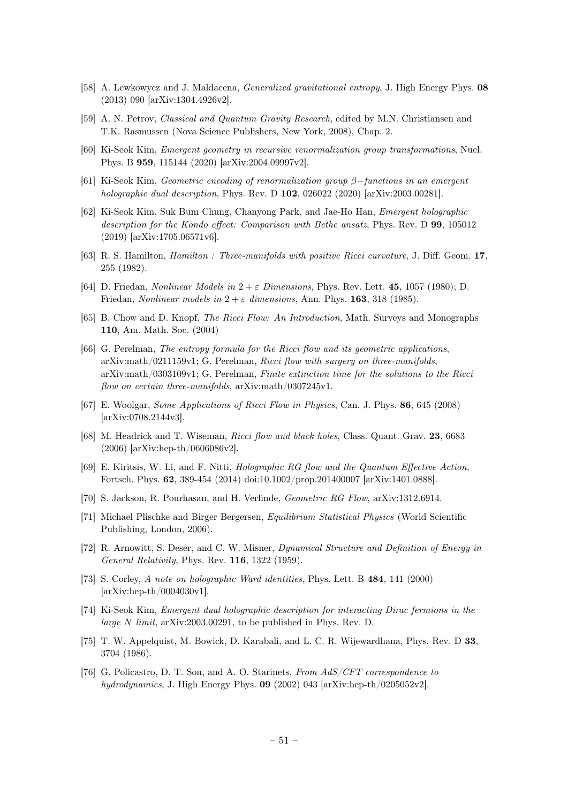- <span id="page-51-1"></span>[58] A. Lewkowycz and J. Maldacena, *Generalized gravitational entropy*, J. High Energy Phys. 08 (2013) 090 [arXiv:1304.4926v2].
- <span id="page-51-2"></span>[59] A. N. Petrov, Classical and Quantum Gravity Research, edited by M.N. Christiansen and T.K. Rasmussen (Nova Science Publishers, New York, 2008), Chap. 2.
- <span id="page-51-3"></span>[60] Ki-Seok Kim, Emergent geometry in recursive renormalization group transformations, Nucl. Phys. B 959, 115144 (2020) [arXiv:2004.09997v2].
- <span id="page-51-4"></span>[61] Ki-Seok Kim, Geometric encoding of renormalization group β−functions in an emergent holographic dual description, Phys. Rev. D 102, 026022 (2020) [arXiv:2003.00281].
- <span id="page-51-5"></span>[62] Ki-Seok Kim, Suk Bum Chung, Chanyong Park, and Jae-Ho Han, Emergent holographic description for the Kondo effect: Comparison with Bethe ansatz, Phys. Rev. D 99, 105012 (2019) [arXiv:1705.06571v6].
- <span id="page-51-6"></span>[63] R. S. Hamilton, Hamilton : Three-manifolds with positive Ricci curvature, J. Diff. Geom. 17, 255 (1982).
- [64] D. Friedan, Nonlinear Models in  $2 + \varepsilon$  Dimensions, Phys. Rev. Lett. 45, 1057 (1980); D. Friedan, *Nonlinear models in*  $2 + \varepsilon$  dimensions, Ann. Phys. **163**, 318 (1985).
- [65] B. Chow and D. Knopf, The Ricci Flow: An Introduction, Math. Surveys and Monographs 110, Am. Math. Soc. (2004)
- [66] G. Perelman, The entropy formula for the Ricci flow and its geometric applications, arXiv:math/0211159v1; G. Perelman, Ricci flow with surgery on three-manifolds, arXiv:math/0303109v1; G. Perelman, Finite extinction time for the solutions to the Ricci flow on certain three-manifolds, arXiv:math/0307245v1.
- [67] E. Woolgar, Some Applications of Ricci Flow in Physics, Can. J. Phys. 86, 645 (2008) [arXiv:0708.2144v3].
- <span id="page-51-7"></span>[68] M. Headrick and T. Wiseman, Ricci flow and black holes, Class. Quant. Grav. 23, 6683 (2006) [arXiv:hep-th/0606086v2].
- <span id="page-51-8"></span>[69] E. Kiritsis, W. Li, and F. Nitti, Holographic RG flow and the Quantum Effective Action, Fortsch. Phys. 62, 389-454 (2014) doi:10.1002/prop.201400007 [arXiv:1401.0888].
- <span id="page-51-9"></span>[70] S. Jackson, R. Pourhasan, and H. Verlinde, Geometric RG Flow, arXiv:1312.6914.
- <span id="page-51-0"></span>[71] Michael Plischke and Birger Bergersen, Equilibrium Statistical Physics (World Scientific Publishing, London, 2006).
- <span id="page-51-10"></span>[72] R. Arnowitt, S. Deser, and C. W. Misner, Dynamical Structure and Definition of Energy in General Relativity, Phys. Rev. 116, 1322 (1959).
- <span id="page-51-11"></span>[73] S. Corley, A note on holographic Ward identities, Phys. Lett. B 484, 141 (2000) [arXiv:hep-th/0004030v1].
- <span id="page-51-12"></span>[74] Ki-Seok Kim, Emergent dual holographic description for interacting Dirac fermions in the large N limit, arXiv:2003.00291, to be published in Phys. Rev. D.
- <span id="page-51-13"></span>[75] T. W. Appelquist, M. Bowick, D. Karabali, and L. C. R. Wijewardhana, Phys. Rev. D 33, 3704 (1986).
- <span id="page-51-14"></span>[76] G. Policastro, D. T. Son, and A. O. Starinets, From AdS/CFT correspondence to hydrodynamics, J. High Energy Phys.  $\mathbf{09}$  (2002) 043 [arXiv:hep-th/0205052v2].